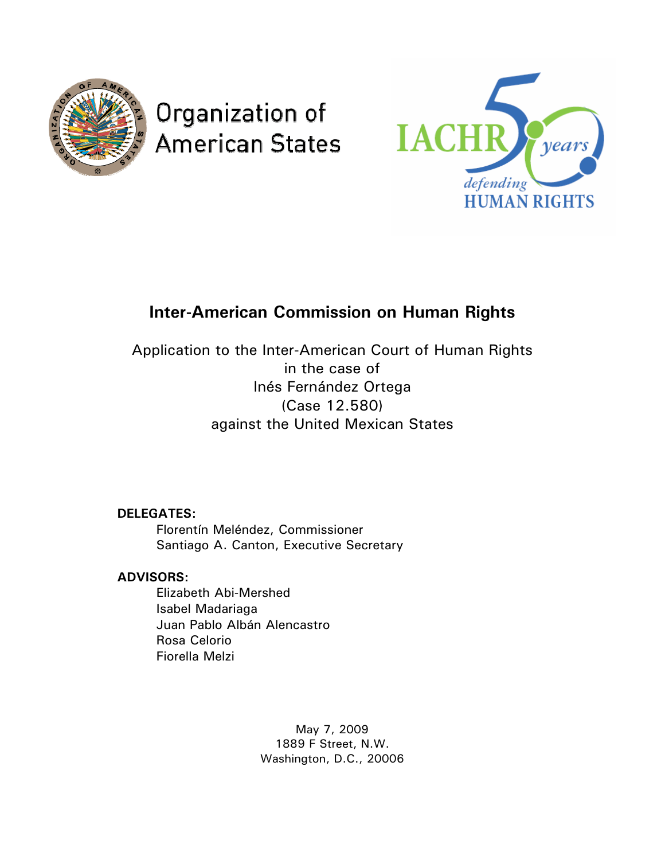

# Organization of **American States**



# **Inter-American Commission on Human Rights**

Application to the Inter-American Court of Human Rights in the case of Inés Fernández Ortega (Case 12.580) against the United Mexican States

 **DELEGATES:** 

 Florentín Meléndez, Commissioner Santiago A. Canton, Executive Secretary

# **ADVISORS:**

 Elizabeth Abi-Mershed Isabel Madariaga Juan Pablo Albán Alencastro Rosa Celorio Fiorella Melzi

> May 7, 2009 1889 F Street, N.W. Washington, D.C., 20006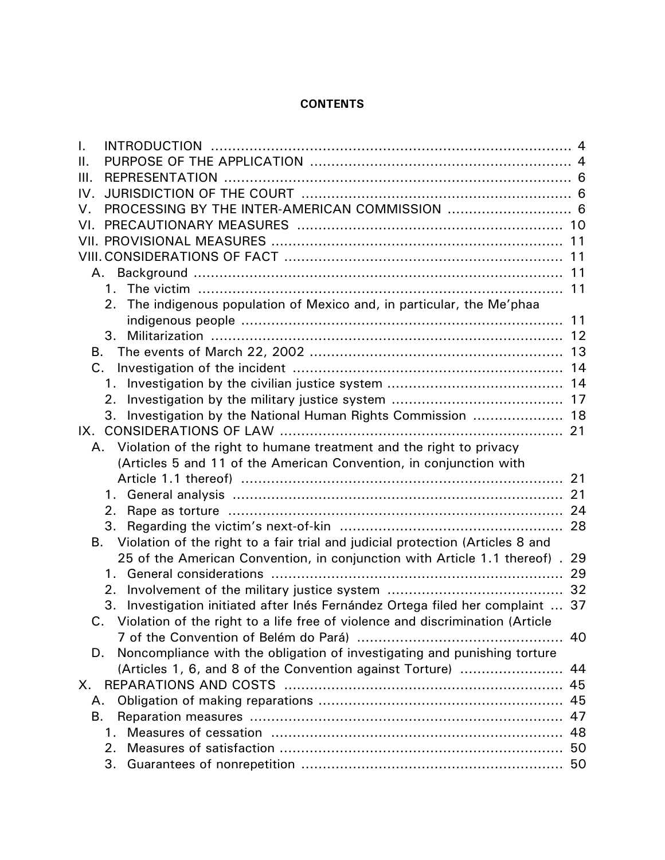# **CONTENTS**

| I.      |                                                                                   |    |
|---------|-----------------------------------------------------------------------------------|----|
| $\Pi$ . |                                                                                   |    |
| III.    |                                                                                   |    |
| IV.     |                                                                                   |    |
| V.      |                                                                                   |    |
| VI.     |                                                                                   |    |
|         |                                                                                   |    |
|         |                                                                                   |    |
|         |                                                                                   |    |
|         | $1 \quad$                                                                         |    |
|         | The indigenous population of Mexico and, in particular, the Me'phaa<br>2.         |    |
|         |                                                                                   |    |
|         |                                                                                   |    |
| В.      |                                                                                   |    |
| $C_{1}$ |                                                                                   |    |
|         |                                                                                   |    |
|         | 2.                                                                                |    |
|         | 3.                                                                                |    |
|         |                                                                                   |    |
|         | Violation of the right to humane treatment and the right to privacy<br>A.         |    |
|         | (Articles 5 and 11 of the American Convention, in conjunction with                |    |
|         |                                                                                   |    |
|         | 1.                                                                                |    |
|         | 2.                                                                                |    |
|         | 3.                                                                                |    |
| В.      | Violation of the right to a fair trial and judicial protection (Articles 8 and    |    |
|         | 25 of the American Convention, in conjunction with Article 1.1 thereof). 29       |    |
|         | 1.                                                                                |    |
|         | 2.                                                                                |    |
|         | Investigation initiated after Inés Fernández Ortega filed her complaint  37<br>3. |    |
|         | C. Violation of the right to a life free of violence and discrimination (Article  |    |
|         |                                                                                   |    |
| D.      | Noncompliance with the obligation of investigating and punishing torture          |    |
|         | (Articles 1, 6, and 8 of the Convention against Torture)                          | 44 |
| Х.      |                                                                                   | 45 |
| А.      |                                                                                   |    |
| В.      |                                                                                   | 47 |
|         | $1_{-}$                                                                           | 48 |
|         | 2.                                                                                |    |
|         | 3.                                                                                |    |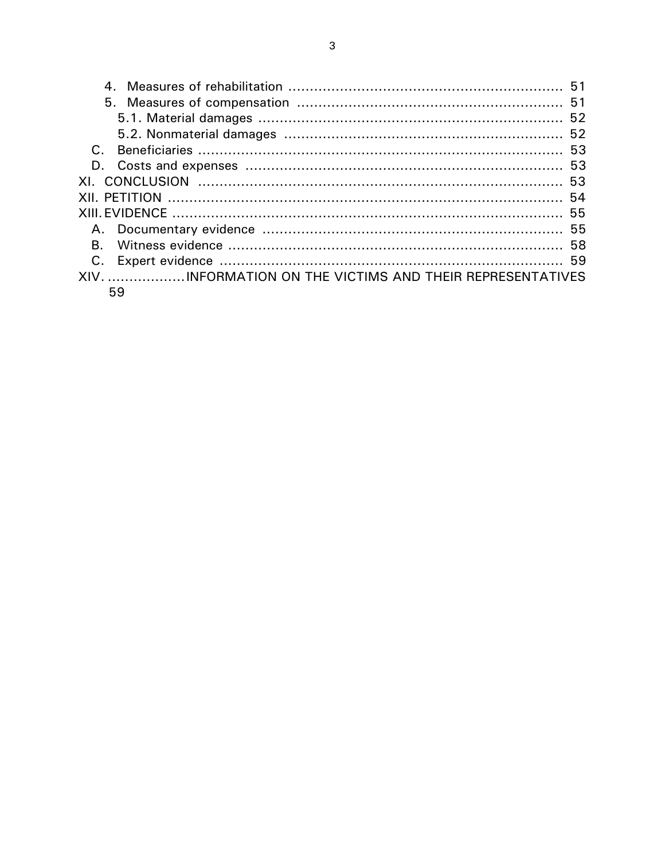| XIV. INFORMATION ON THE VICTIMS AND THEIR REPRESENTATIVES |  |  |  |
|-----------------------------------------------------------|--|--|--|
| 59                                                        |  |  |  |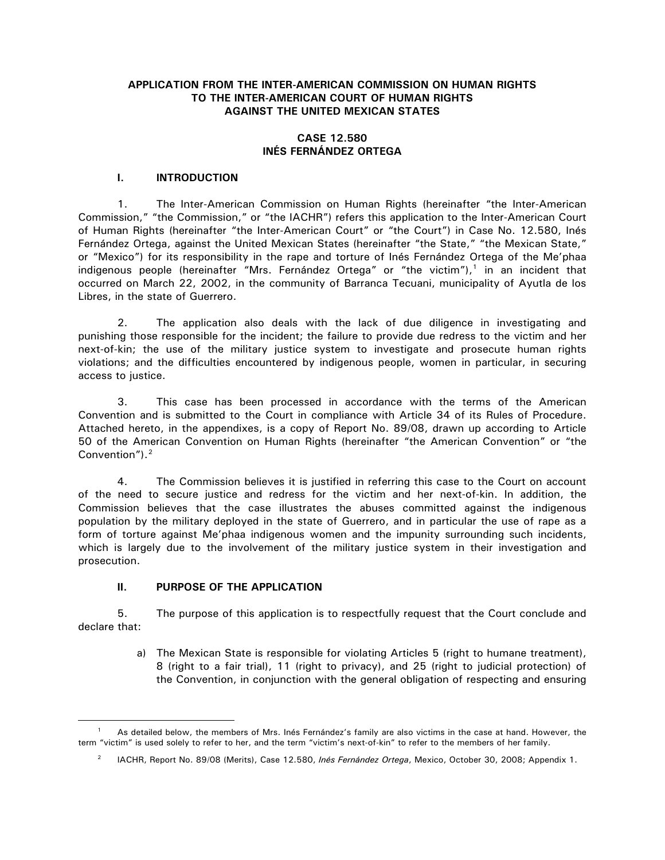# <span id="page-3-0"></span>**APPLICATION FROM THE INTER-AMERICAN COMMISSION ON HUMAN RIGHTS TO THE INTER-AMERICAN COURT OF HUMAN RIGHTS AGAINST THE UNITED MEXICAN STATES**

# **CASE 12.580 INÉS FERNÁNDEZ ORTEGA**

# **I. INTRODUCTION**

1. The Inter-American Commission on Human Rights (hereinafter "the Inter-American Commission," "the Commission," or "the IACHR") refers this application to the Inter-American Court of Human Rights (hereinafter "the Inter-American Court" or "the Court") in Case No. 12.580, Inés Fernández Ortega, against the United Mexican States (hereinafter "the State," "the Mexican State," or "Mexico") for its responsibility in the rape and torture of Inés Fernández Ortega of the Me'phaa indigenous people (hereinafter "Mrs. Fernández Ortega" or "the victim"),<sup>1</sup> in an incident that occurred on March 22, 2002, in the community of Barranca Tecuani, municipality of Ayutla de los Libres, in the state of Guerrero.

2. The application also deals with the lack of due diligence in investigating and punishing those responsible for the incident; the failure to provide due redress to the victim and her next-of-kin; the use of the military justice system to investigate and prosecute human rights violations; and the difficulties encountered by indigenous people, women in particular, in securing access to justice.

3. This case has been processed in accordance with the terms of the American Convention and is submitted to the Court in compliance with Article 34 of its Rules of Procedure. Attached hereto, in the appendixes, is a copy of Report No. 89/08, drawn up according to Article 50 of the American Convention on Human Rights (hereinafter "the American Convention" or "the Convention").<sup>[2](#page-3-2)</sup>

4. The Commission believes it is justified in referring this case to the Court on account of the need to secure justice and redress for the victim and her next-of-kin. In addition, the Commission believes that the case illustrates the abuses committed against the indigenous population by the military deployed in the state of Guerrero, and in particular the use of rape as a form of torture against Me'phaa indigenous women and the impunity surrounding such incidents, which is largely due to the involvement of the military justice system in their investigation and prosecution.

#### **II. PURPOSE OF THE APPLICATION**

 $\overline{a}$ 

5. The purpose of this application is to respectfully request that the Court conclude and declare that:

> a) The Mexican State is responsible for violating Articles 5 (right to humane treatment), 8 (right to a fair trial), 11 (right to privacy), and 25 (right to judicial protection) of the Convention, in conjunction with the general obligation of respecting and ensuring

<span id="page-3-2"></span><span id="page-3-1"></span>As detailed below, the members of Mrs. Inés Fernández's family are also victims in the case at hand. However, the term "victim" is used solely to refer to her, and the term "victim's next-of-kin" to refer to the members of her family.

<sup>&</sup>lt;sup>2</sup> IACHR, Report No. 89/08 (Merits), Case 12.580, *Inés Fernández Ortega*, Mexico, October 30, 2008; Appendix 1.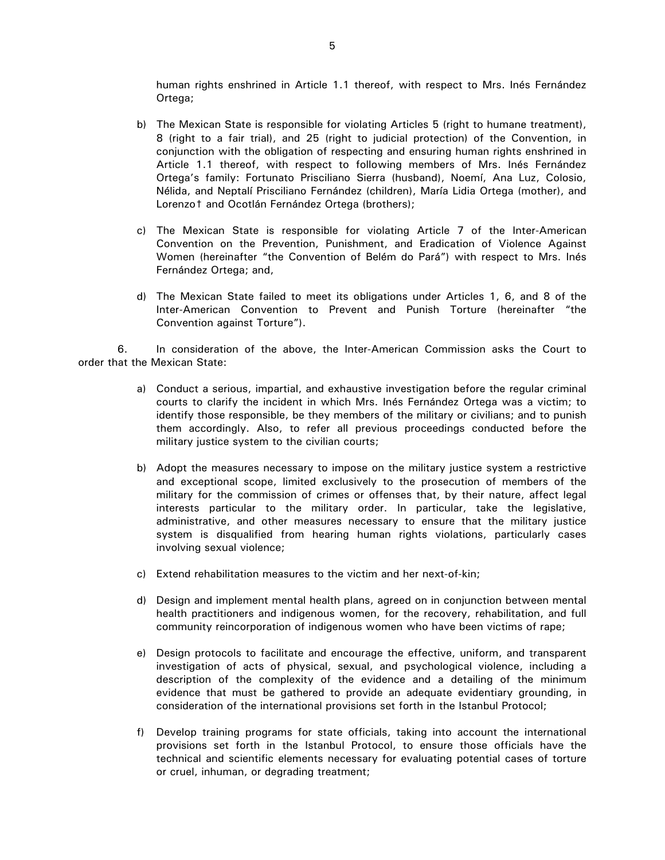human rights enshrined in Article 1.1 thereof, with respect to Mrs. Inés Fernández Ortega;

- b) The Mexican State is responsible for violating Articles 5 (right to humane treatment), 8 (right to a fair trial), and 25 (right to judicial protection) of the Convention, in conjunction with the obligation of respecting and ensuring human rights enshrined in Article 1.1 thereof, with respect to following members of Mrs. Inés Fernández Ortega's family: Fortunato Prisciliano Sierra (husband), Noemí, Ana Luz, Colosio, Nélida, and Neptalí Prisciliano Fernández (children), María Lidia Ortega (mother), and Lorenzot and Ocotlán Fernández Ortega (brothers);
- c) The Mexican State is responsible for violating Article 7 of the Inter-American Convention on the Prevention, Punishment, and Eradication of Violence Against Women (hereinafter "the Convention of Belém do Pará") with respect to Mrs. Inés Fernández Ortega; and,
- d) The Mexican State failed to meet its obligations under Articles 1, 6, and 8 of the Inter-American Convention to Prevent and Punish Torture (hereinafter "the Convention against Torture").

6. In consideration of the above, the Inter-American Commission asks the Court to order that the Mexican State:

- a) Conduct a serious, impartial, and exhaustive investigation before the regular criminal courts to clarify the incident in which Mrs. Inés Fernández Ortega was a victim; to identify those responsible, be they members of the military or civilians; and to punish them accordingly. Also, to refer all previous proceedings conducted before the military justice system to the civilian courts;
- b) Adopt the measures necessary to impose on the military justice system a restrictive and exceptional scope, limited exclusively to the prosecution of members of the military for the commission of crimes or offenses that, by their nature, affect legal interests particular to the military order. In particular, take the legislative, administrative, and other measures necessary to ensure that the military justice system is disqualified from hearing human rights violations, particularly cases involving sexual violence;
- c) Extend rehabilitation measures to the victim and her next-of-kin;
- d) Design and implement mental health plans, agreed on in conjunction between mental health practitioners and indigenous women, for the recovery, rehabilitation, and full community reincorporation of indigenous women who have been victims of rape;
- e) Design protocols to facilitate and encourage the effective, uniform, and transparent investigation of acts of physical, sexual, and psychological violence, including a description of the complexity of the evidence and a detailing of the minimum evidence that must be gathered to provide an adequate evidentiary grounding, in consideration of the international provisions set forth in the Istanbul Protocol;
- f) Develop training programs for state officials, taking into account the international provisions set forth in the Istanbul Protocol, to ensure those officials have the technical and scientific elements necessary for evaluating potential cases of torture or cruel, inhuman, or degrading treatment;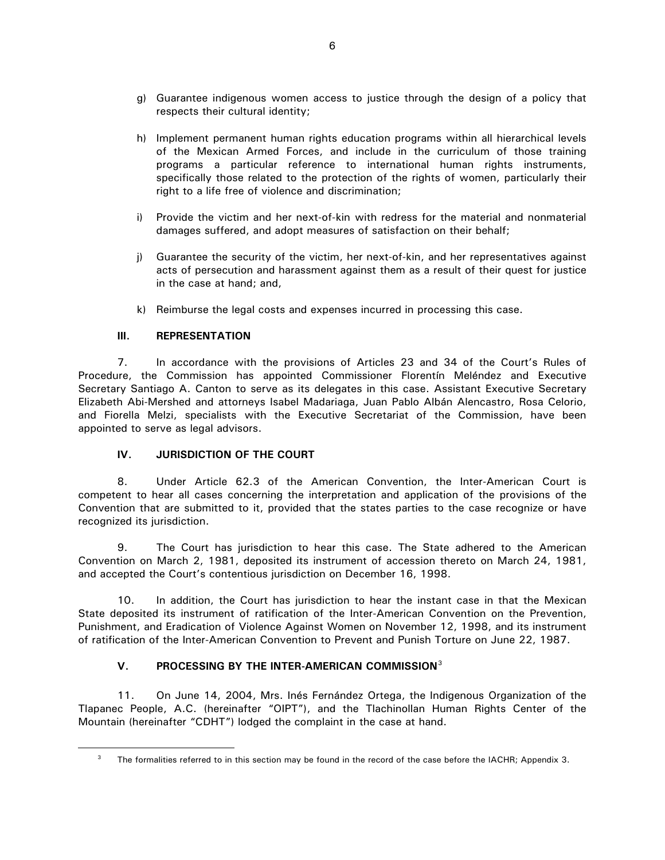- <span id="page-5-0"></span>g) Guarantee indigenous women access to justice through the design of a policy that respects their cultural identity;
- h) Implement permanent human rights education programs within all hierarchical levels of the Mexican Armed Forces, and include in the curriculum of those training programs a particular reference to international human rights instruments, specifically those related to the protection of the rights of women, particularly their right to a life free of violence and discrimination;
- i) Provide the victim and her next-of-kin with redress for the material and nonmaterial damages suffered, and adopt measures of satisfaction on their behalf;
- j) Guarantee the security of the victim, her next-of-kin, and her representatives against acts of persecution and harassment against them as a result of their quest for justice in the case at hand; and,
- k) Reimburse the legal costs and expenses incurred in processing this case.

# **III. REPRESENTATION**

<span id="page-5-1"></span> $\overline{a}$ 

7. In accordance with the provisions of Articles 23 and 34 of the Court's Rules of Procedure, the Commission has appointed Commissioner Florentín Meléndez and Executive Secretary Santiago A. Canton to serve as its delegates in this case. Assistant Executive Secretary Elizabeth Abi-Mershed and attorneys Isabel Madariaga, Juan Pablo Albán Alencastro, Rosa Celorio, and Fiorella Melzi, specialists with the Executive Secretariat of the Commission, have been appointed to serve as legal advisors.

# **IV. JURISDICTION OF THE COURT**

8. Under Article 62.3 of the American Convention, the Inter-American Court is competent to hear all cases concerning the interpretation and application of the provisions of the Convention that are submitted to it, provided that the states parties to the case recognize or have recognized its jurisdiction.

9. The Court has jurisdiction to hear this case. The State adhered to the American Convention on March 2, 1981, deposited its instrument of accession thereto on March 24, 1981, and accepted the Court's contentious jurisdiction on December 16, 1998.

10. In addition, the Court has jurisdiction to hear the instant case in that the Mexican State deposited its instrument of ratification of the Inter-American Convention on the Prevention, Punishment, and Eradication of Violence Against Women on November 12, 1998, and its instrument of ratification of the Inter-American Convention to Prevent and Punish Torture on June 22, 1987.

# **V. PROCESSING BY THE INTER-AMERICAN COMMISSION**[3](#page-5-1)

11. On June 14, 2004, Mrs. Inés Fernández Ortega, the Indigenous Organization of the Tlapanec People, A.C. (hereinafter "OIPT"), and the Tlachinollan Human Rights Center of the Mountain (hereinafter "CDHT") lodged the complaint in the case at hand.

<sup>&</sup>lt;sup>3</sup> The formalities referred to in this section may be found in the record of the case before the IACHR; Appendix 3.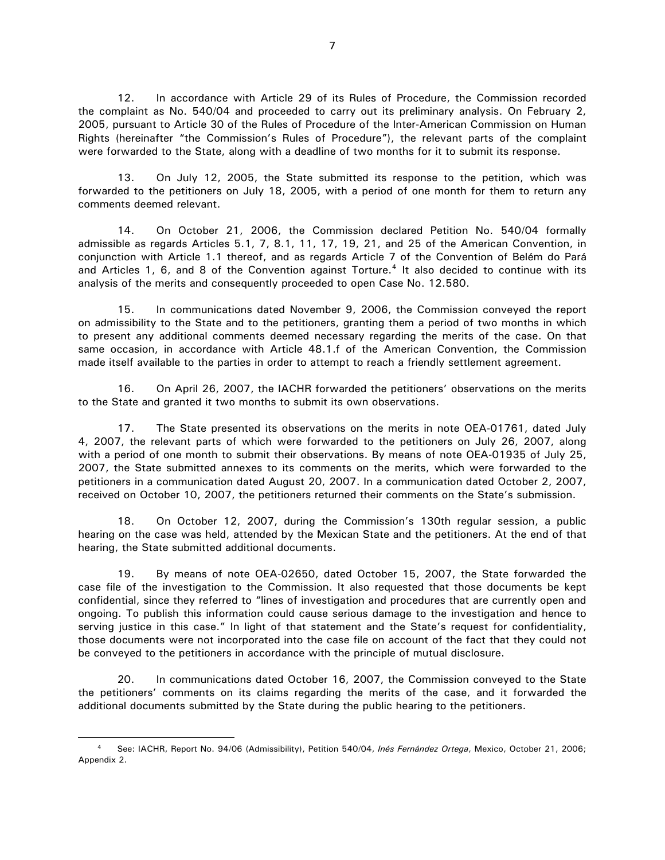12. In accordance with Article 29 of its Rules of Procedure, the Commission recorded the complaint as No. 540/04 and proceeded to carry out its preliminary analysis. On February 2, 2005, pursuant to Article 30 of the Rules of Procedure of the Inter-American Commission on Human Rights (hereinafter "the Commission's Rules of Procedure"), the relevant parts of the complaint were forwarded to the State, along with a deadline of two months for it to submit its response.

13. On July 12, 2005, the State submitted its response to the petition, which was forwarded to the petitioners on July 18, 2005, with a period of one month for them to return any comments deemed relevant.

14. On October 21, 2006, the Commission declared Petition No. 540/04 formally admissible as regards Articles 5.1, 7, 8.1, 11, 17, 19, 21, and 25 of the American Convention, in conjunction with Article 1.1 thereof, and as regards Article 7 of the Convention of Belém do Pará and Articles 1, 6, and 8 of the Convention against Torture.<sup>[4](#page-6-0)</sup> It also decided to continue with its analysis of the merits and consequently proceeded to open Case No. 12.580.

15. In communications dated November 9, 2006, the Commission conveyed the report on admissibility to the State and to the petitioners, granting them a period of two months in which to present any additional comments deemed necessary regarding the merits of the case. On that same occasion, in accordance with Article 48.1.f of the American Convention, the Commission made itself available to the parties in order to attempt to reach a friendly settlement agreement.

16. On April 26, 2007, the IACHR forwarded the petitioners' observations on the merits to the State and granted it two months to submit its own observations.

17. The State presented its observations on the merits in note OEA-01761, dated July 4, 2007, the relevant parts of which were forwarded to the petitioners on July 26, 2007, along with a period of one month to submit their observations. By means of note OEA-01935 of July 25, 2007, the State submitted annexes to its comments on the merits, which were forwarded to the petitioners in a communication dated August 20, 2007. In a communication dated October 2, 2007, received on October 10, 2007, the petitioners returned their comments on the State's submission.

18. On October 12, 2007, during the Commission's 130th regular session, a public hearing on the case was held, attended by the Mexican State and the petitioners. At the end of that hearing, the State submitted additional documents.

19. By means of note OEA-02650, dated October 15, 2007, the State forwarded the case file of the investigation to the Commission. It also requested that those documents be kept confidential, since they referred to "lines of investigation and procedures that are currently open and ongoing. To publish this information could cause serious damage to the investigation and hence to serving justice in this case." In light of that statement and the State's request for confidentiality, those documents were not incorporated into the case file on account of the fact that they could not be conveyed to the petitioners in accordance with the principle of mutual disclosure.

20. In communications dated October 16, 2007, the Commission conveyed to the State the petitioners' comments on its claims regarding the merits of the case, and it forwarded the additional documents submitted by the State during the public hearing to the petitioners.

<span id="page-6-0"></span><sup>4</sup> See: IACHR, Report No. 94/06 (Admissibility), Petition 540/04, *Inés Fernández Ortega*, Mexico, October 21, 2006; Appendix 2.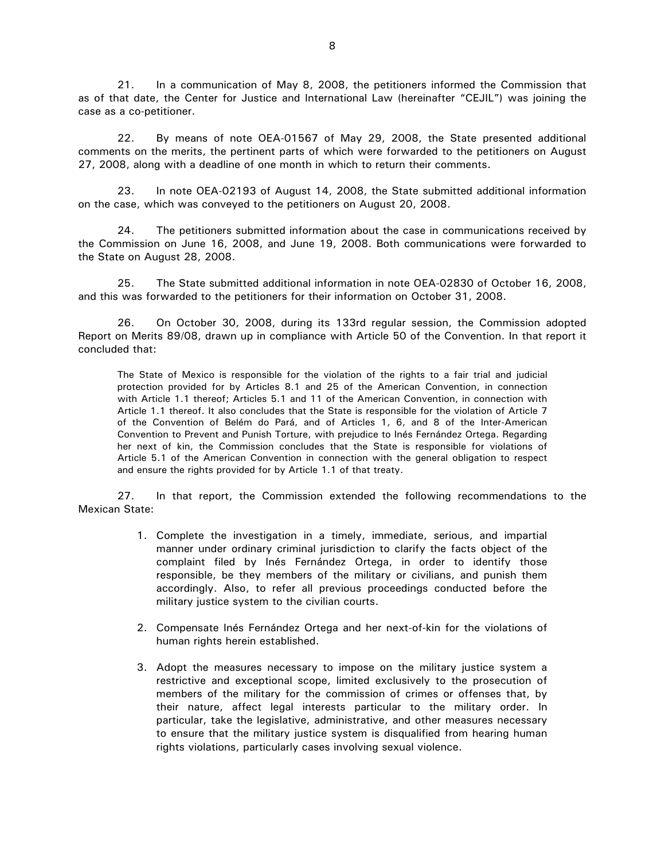21. In a communication of May 8, 2008, the petitioners informed the Commission that as of that date, the Center for Justice and International Law (hereinafter "CEJIL") was joining the case as a co-petitioner.

22. By means of note OEA-01567 of May 29, 2008, the State presented additional comments on the merits, the pertinent parts of which were forwarded to the petitioners on August 27, 2008, along with a deadline of one month in which to return their comments.

23. In note OEA-02193 of August 14, 2008, the State submitted additional information on the case, which was conveyed to the petitioners on August 20, 2008.

24. The petitioners submitted information about the case in communications received by the Commission on June 16, 2008, and June 19, 2008. Both communications were forwarded to the State on August 28, 2008.

25. The State submitted additional information in note OEA-02830 of October 16, 2008, and this was forwarded to the petitioners for their information on October 31, 2008.

26. On October 30, 2008, during its 133rd regular session, the Commission adopted Report on Merits 89/08, drawn up in compliance with Article 50 of the Convention. In that report it concluded that:

The State of Mexico is responsible for the violation of the rights to a fair trial and judicial protection provided for by Articles 8.1 and 25 of the American Convention, in connection with Article 1.1 thereof; Articles 5.1 and 11 of the American Convention, in connection with Article 1.1 thereof. It also concludes that the State is responsible for the violation of Article 7 of the Convention of Belém do Pará, and of Articles 1, 6, and 8 of the Inter-American Convention to Prevent and Punish Torture, with prejudice to Inés Fernández Ortega. Regarding her next of kin, the Commission concludes that the State is responsible for violations of Article 5.1 of the American Convention in connection with the general obligation to respect and ensure the rights provided for by Article 1.1 of that treaty.

27. In that report, the Commission extended the following recommendations to the Mexican State:

- 1. Complete the investigation in a timely, immediate, serious, and impartial manner under ordinary criminal jurisdiction to clarify the facts object of the complaint filed by Inés Fernández Ortega, in order to identify those responsible, be they members of the military or civilians, and punish them accordingly. Also, to refer all previous proceedings conducted before the military justice system to the civilian courts.
- 2. Compensate Inés Fernández Ortega and her next-of-kin for the violations of human rights herein established.
- 3. Adopt the measures necessary to impose on the military justice system a restrictive and exceptional scope, limited exclusively to the prosecution of members of the military for the commission of crimes or offenses that, by their nature, affect legal interests particular to the military order. In particular, take the legislative, administrative, and other measures necessary to ensure that the military justice system is disqualified from hearing human rights violations, particularly cases involving sexual violence.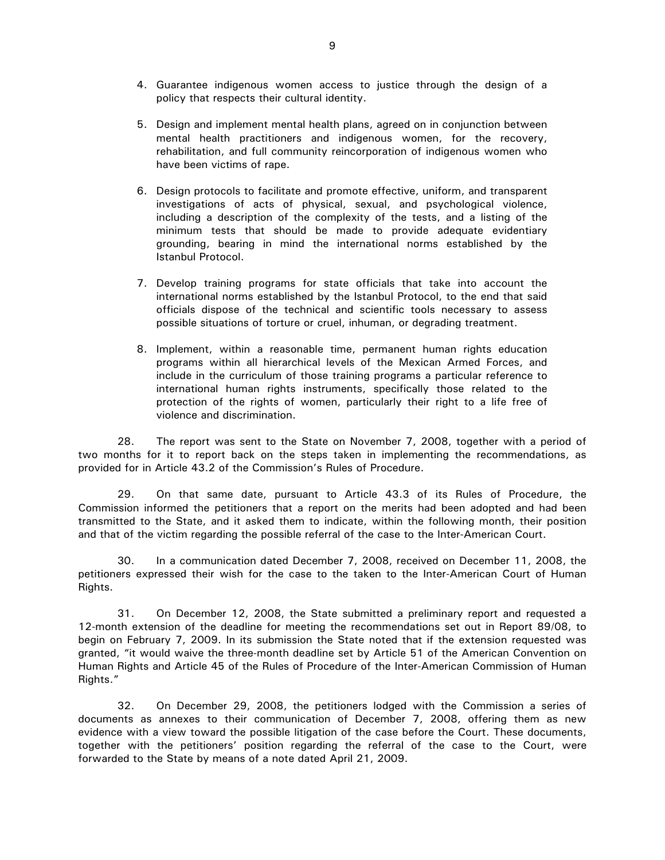- 4. Guarantee indigenous women access to justice through the design of a policy that respects their cultural identity.
- 5. Design and implement mental health plans, agreed on in conjunction between mental health practitioners and indigenous women, for the recovery, rehabilitation, and full community reincorporation of indigenous women who have been victims of rape.
- 6. Design protocols to facilitate and promote effective, uniform, and transparent investigations of acts of physical, sexual, and psychological violence, including a description of the complexity of the tests, and a listing of the minimum tests that should be made to provide adequate evidentiary grounding, bearing in mind the international norms established by the Istanbul Protocol.
- 7. Develop training programs for state officials that take into account the international norms established by the Istanbul Protocol, to the end that said officials dispose of the technical and scientific tools necessary to assess possible situations of torture or cruel, inhuman, or degrading treatment.
- 8. Implement, within a reasonable time, permanent human rights education programs within all hierarchical levels of the Mexican Armed Forces, and include in the curriculum of those training programs a particular reference to international human rights instruments, specifically those related to the protection of the rights of women, particularly their right to a life free of violence and discrimination.

28. The report was sent to the State on November 7, 2008, together with a period of two months for it to report back on the steps taken in implementing the recommendations, as provided for in Article 43.2 of the Commission's Rules of Procedure.

29. On that same date, pursuant to Article 43.3 of its Rules of Procedure, the Commission informed the petitioners that a report on the merits had been adopted and had been transmitted to the State, and it asked them to indicate, within the following month, their position and that of the victim regarding the possible referral of the case to the Inter-American Court.

30. In a communication dated December 7, 2008, received on December 11, 2008, the petitioners expressed their wish for the case to the taken to the Inter-American Court of Human Rights.

31. On December 12, 2008, the State submitted a preliminary report and requested a 12-month extension of the deadline for meeting the recommendations set out in Report 89/08, to begin on February 7, 2009. In its submission the State noted that if the extension requested was granted, "it would waive the three-month deadline set by Article 51 of the American Convention on Human Rights and Article 45 of the Rules of Procedure of the Inter-American Commission of Human Rights."

32. On December 29, 2008, the petitioners lodged with the Commission a series of documents as annexes to their communication of December 7, 2008, offering them as new evidence with a view toward the possible litigation of the case before the Court. These documents, together with the petitioners' position regarding the referral of the case to the Court, were forwarded to the State by means of a note dated April 21, 2009.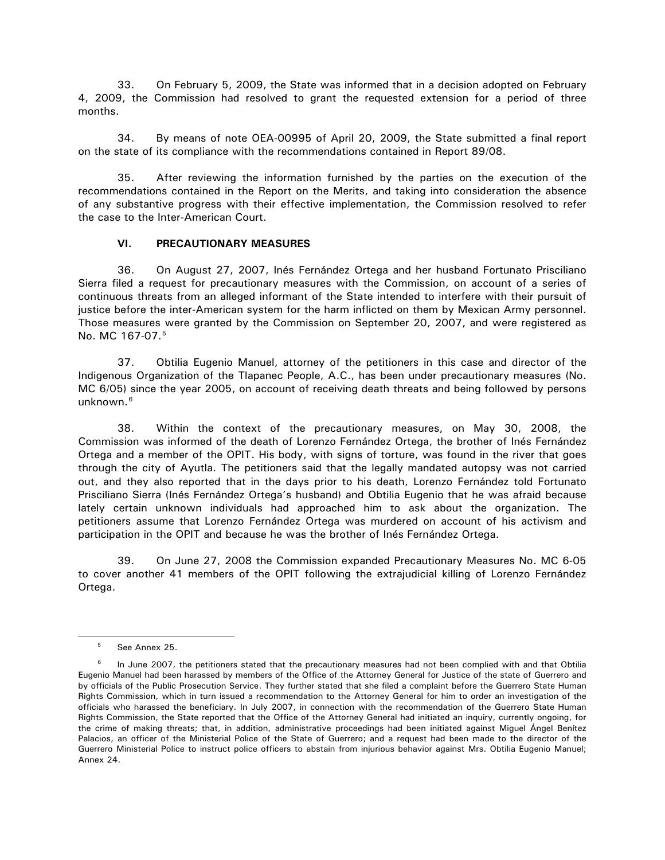<span id="page-9-0"></span>33. On February 5, 2009, the State was informed that in a decision adopted on February 4, 2009, the Commission had resolved to grant the requested extension for a period of three months.

34. By means of note OEA-00995 of April 20, 2009, the State submitted a final report on the state of its compliance with the recommendations contained in Report 89/08.

35. After reviewing the information furnished by the parties on the execution of the recommendations contained in the Report on the Merits, and taking into consideration the absence of any substantive progress with their effective implementation, the Commission resolved to refer the case to the Inter-American Court.

#### **VI. PRECAUTIONARY MEASURES**

36. On August 27, 2007, Inés Fernández Ortega and her husband Fortunato Prisciliano Sierra filed a request for precautionary measures with the Commission, on account of a series of continuous threats from an alleged informant of the State intended to interfere with their pursuit of justice before the inter-American system for the harm inflicted on them by Mexican Army personnel. Those measures were granted by the Commission on September 20, 2007, and were registered as No. MC 167-07.<sup>[5](#page-9-1)</sup>

37. Obtilia Eugenio Manuel, attorney of the petitioners in this case and director of the Indigenous Organization of the Tlapanec People, A.C., has been under precautionary measures (No. MC 6/05) since the year 2005, on account of receiving death threats and being followed by persons unknown.<sup>[6](#page-9-2)</sup>

38. Within the context of the precautionary measures, on May 30, 2008, the Commission was informed of the death of Lorenzo Fernández Ortega, the brother of Inés Fernández Ortega and a member of the OPIT. His body, with signs of torture, was found in the river that goes through the city of Ayutla. The petitioners said that the legally mandated autopsy was not carried out, and they also reported that in the days prior to his death, Lorenzo Fernández told Fortunato Prisciliano Sierra (Inés Fernández Ortega's husband) and Obtilia Eugenio that he was afraid because lately certain unknown individuals had approached him to ask about the organization. The petitioners assume that Lorenzo Fernández Ortega was murdered on account of his activism and participation in the OPIT and because he was the brother of Inés Fernández Ortega.

39. On June 27, 2008 the Commission expanded Precautionary Measures No. MC 6-05 to cover another 41 members of the OPIT following the extrajudicial killing of Lorenzo Fernández Ortega.

 $5$  See Annex 25.

<span id="page-9-2"></span><span id="page-9-1"></span>In June 2007, the petitioners stated that the precautionary measures had not been complied with and that Obtilia Eugenio Manuel had been harassed by members of the Office of the Attorney General for Justice of the state of Guerrero and by officials of the Public Prosecution Service. They further stated that she filed a complaint before the Guerrero State Human Rights Commission, which in turn issued a recommendation to the Attorney General for him to order an investigation of the officials who harassed the beneficiary. In July 2007, in connection with the recommendation of the Guerrero State Human Rights Commission, the State reported that the Office of the Attorney General had initiated an inquiry, currently ongoing, for the crime of making threats; that, in addition, administrative proceedings had been initiated against Miguel Ángel Benítez Palacios, an officer of the Ministerial Police of the State of Guerrero; and a request had been made to the director of the Guerrero Ministerial Police to instruct police officers to abstain from injurious behavior against Mrs. Obtilia Eugenio Manuel; Annex 24.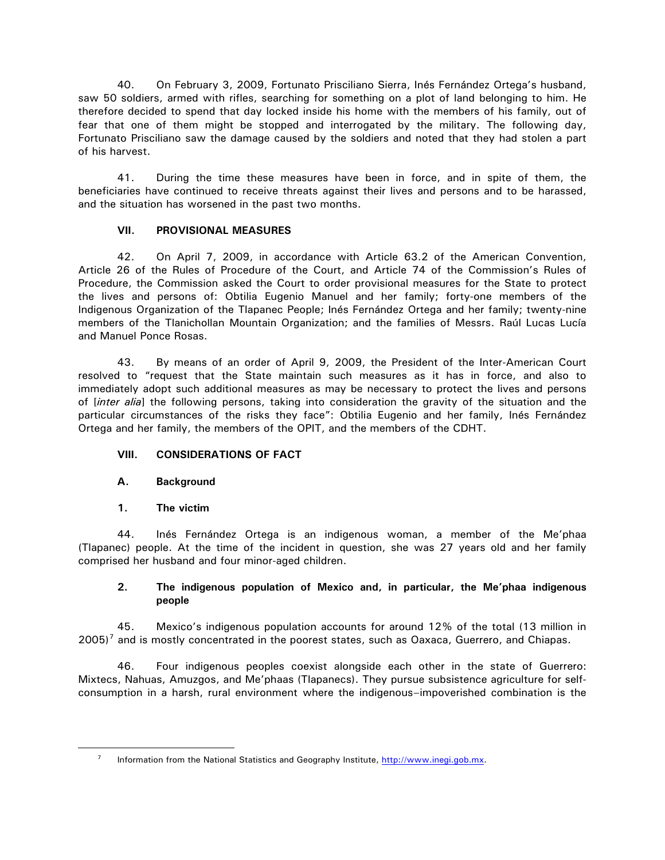<span id="page-10-0"></span>40. On February 3, 2009, Fortunato Prisciliano Sierra, Inés Fernández Ortega's husband, saw 50 soldiers, armed with rifles, searching for something on a plot of land belonging to him. He therefore decided to spend that day locked inside his home with the members of his family, out of fear that one of them might be stopped and interrogated by the military. The following day, Fortunato Prisciliano saw the damage caused by the soldiers and noted that they had stolen a part of his harvest.

41. During the time these measures have been in force, and in spite of them, the beneficiaries have continued to receive threats against their lives and persons and to be harassed, and the situation has worsened in the past two months.

# **VII. PROVISIONAL MEASURES**

42. On April 7, 2009, in accordance with Article 63.2 of the American Convention, Article 26 of the Rules of Procedure of the Court, and Article 74 of the Commission's Rules of Procedure, the Commission asked the Court to order provisional measures for the State to protect the lives and persons of: Obtilia Eugenio Manuel and her family; forty-one members of the Indigenous Organization of the Tlapanec People; Inés Fernández Ortega and her family; twenty-nine members of the Tlanichollan Mountain Organization; and the families of Messrs. Raúl Lucas Lucía and Manuel Ponce Rosas.

43. By means of an order of April 9, 2009, the President of the Inter-American Court resolved to "request that the State maintain such measures as it has in force, and also to immediately adopt such additional measures as may be necessary to protect the lives and persons of [*inter alia*] the following persons, taking into consideration the gravity of the situation and the particular circumstances of the risks they face": Obtilia Eugenio and her family, Inés Fernández Ortega and her family, the members of the OPIT, and the members of the CDHT.

# **VIII. CONSIDERATIONS OF FACT**

# **A. Background**

**1. The victim** 

<span id="page-10-1"></span> $\overline{a}$ 

44. Inés Fernández Ortega is an indigenous woman, a member of the Me'phaa (Tlapanec) people. At the time of the incident in question, she was 27 years old and her family comprised her husband and four minor-aged children.

# **2. The indigenous population of Mexico and, in particular, the Me'phaa indigenous people**

45. Mexico's indigenous population accounts for around 12% of the total (13 million in  $2005$ <sup>[7](#page-10-1)</sup> and is mostly concentrated in the poorest states, such as Oaxaca, Guerrero, and Chiapas.

46. Four indigenous peoples coexist alongside each other in the state of Guerrero: Mixtecs, Nahuas, Amuzgos, and Me'phaas (Tlapanecs). They pursue subsistence agriculture for selfconsumption in a harsh, rural environment where the indigenous–impoverished combination is the

<sup>&</sup>lt;sup>7</sup> Information from the National Statistics and Geography Institute, [http://www.inegi.gob.mx.](http://www.inegi.gob.mx/)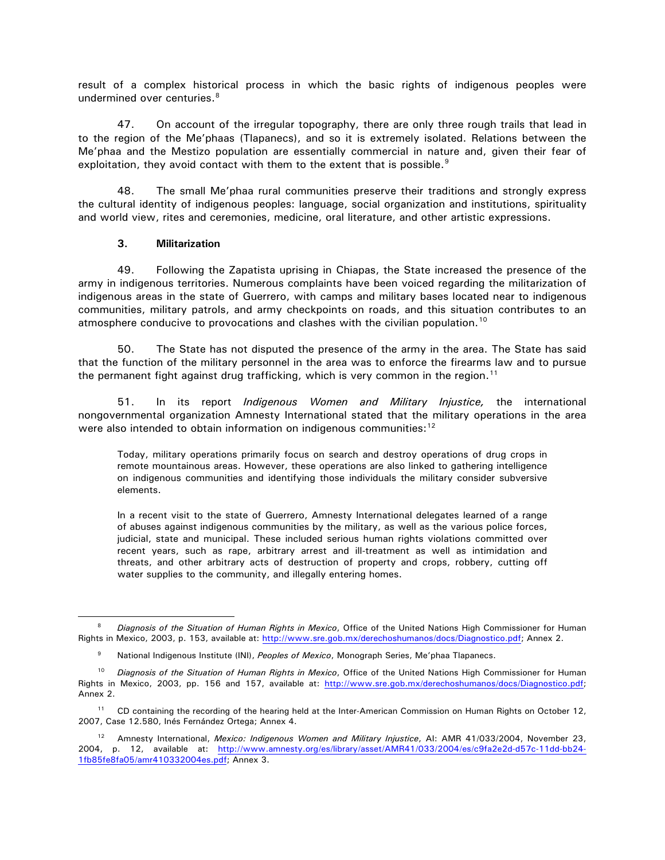<span id="page-11-0"></span>result of a complex historical process in which the basic rights of indigenous peoples were undermined over centuries. $8$ 

47. On account of the irregular topography, there are only three rough trails that lead in to the region of the Me'phaas (Tlapanecs), and so it is extremely isolated. Relations between the Me'phaa and the Mestizo population are essentially commercial in nature and, given their fear of exploitation, they avoid contact with them to the extent that is possible.<sup>[9](#page-11-2)</sup>

48. The small Me'phaa rural communities preserve their traditions and strongly express the cultural identity of indigenous peoples: language, social organization and institutions, spirituality and world view, rites and ceremonies, medicine, oral literature, and other artistic expressions.

#### **3. Militarization**

 $\overline{a}$ 

49. Following the Zapatista uprising in Chiapas, the State increased the presence of the army in indigenous territories. Numerous complaints have been voiced regarding the militarization of indigenous areas in the state of Guerrero, with camps and military bases located near to indigenous communities, military patrols, and army checkpoints on roads, and this situation contributes to an atmosphere conducive to provocations and clashes with the civilian population.[10](#page-11-3)

50. The State has not disputed the presence of the army in the area. The State has said that the function of the military personnel in the area was to enforce the firearms law and to pursue the permanent fight against drug trafficking, which is very common in the region.<sup>[11](#page-11-4)</sup>

51. In its report *Indigenous Women and Military Injustice,* the international nongovernmental organization Amnesty International stated that the military operations in the area were also intended to obtain information on indigenous communities:<sup>12</sup>

Today, military operations primarily focus on search and destroy operations of drug crops in remote mountainous areas. However, these operations are also linked to gathering intelligence on indigenous communities and identifying those individuals the military consider subversive elements.

In a recent visit to the state of Guerrero, Amnesty International delegates learned of a range of abuses against indigenous communities by the military, as well as the various police forces, judicial, state and municipal. These included serious human rights violations committed over recent years, such as rape, arbitrary arrest and ill-treatment as well as intimidation and threats, and other arbitrary acts of destruction of property and crops, robbery, cutting off water supplies to the community, and illegally entering homes.

<span id="page-11-1"></span><sup>8</sup> *Diagnosis of the Situation of Human Rights in Mexico*, Office of the United Nations High Commissioner for Human Rights in Mexico, 2003, p. 153, available at: [http://www.sre.gob.mx/derechoshumanos/docs/Diagnostico.pdf;](http://www.sre.gob.mx/derechoshumanos/docs/Diagnostico.pdf) Annex 2.

National Indigenous Institute (INI), *Peoples of Mexico*, Monograph Series, Me'phaa Tlapanecs. <sup>9</sup>

<span id="page-11-3"></span><span id="page-11-2"></span><sup>10</sup> *Diagnosis of the Situation of Human Rights in Mexico*, Office of the United Nations High Commissioner for Human Rights in Mexico, 2003, pp. 156 and 157, available at: <http://www.sre.gob.mx/derechoshumanos/docs/Diagnostico.pdf>; Annex 2.

<span id="page-11-4"></span><sup>&</sup>lt;sup>11</sup> CD containing the recording of the hearing held at the Inter-American Commission on Human Rights on October 12, 2007, Case 12.580, Inés Fernández Ortega; Annex 4.

<span id="page-11-5"></span><sup>12</sup> Amnesty International, *Mexico: Indigenous Women and Military Injustice*, AI: AMR 41/033/2004, November 23, 2004, p. 12, available at: [http://www.amnesty.org/es/library/asset/AMR41/033/2004/es/c9fa2e2d-d57c-11dd-bb24-](http://www.amnesty.org/es/library/asset/AMR41/033/2004/es/c9fa2e2d-d57c-11dd-bb24-1fb85fe8fa05/amr410332004es.pdf) [1fb85fe8fa05/amr410332004es.pdf;](http://www.amnesty.org/es/library/asset/AMR41/033/2004/es/c9fa2e2d-d57c-11dd-bb24-1fb85fe8fa05/amr410332004es.pdf) Annex 3.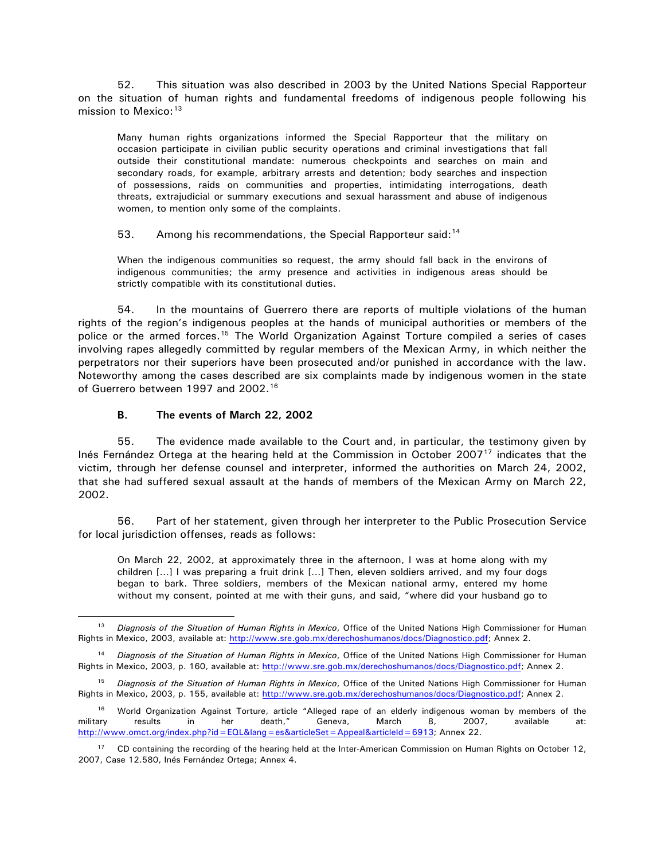<span id="page-12-0"></span>52. This situation was also described in 2003 by the United Nations Special Rapporteur on the situation of human rights and fundamental freedoms of indigenous people following his mission to Mexico:  $13$ 

Many human rights organizations informed the Special Rapporteur that the military on occasion participate in civilian public security operations and criminal investigations that fall outside their constitutional mandate: numerous checkpoints and searches on main and secondary roads, for example, arbitrary arrests and detention; body searches and inspection of possessions, raids on communities and properties, intimidating interrogations, death threats, extrajudicial or summary executions and sexual harassment and abuse of indigenous women, to mention only some of the complaints.

53. Among his recommendations, the Special Rapporteur said:  $14$ 

When the indigenous communities so request, the army should fall back in the environs of indigenous communities; the army presence and activities in indigenous areas should be strictly compatible with its constitutional duties.

54. In the mountains of Guerrero there are reports of multiple violations of the human rights of the region's indigenous peoples at the hands of municipal authorities or members of the police or the armed forces.<sup>[15](#page-12-3)</sup> The World Organization Against Torture compiled a series of cases involving rapes allegedly committed by regular members of the Mexican Army, in which neither the perpetrators nor their superiors have been prosecuted and/or punished in accordance with the law. Noteworthy among the cases described are six complaints made by indigenous women in the state of Guerrero between 1997 and 2002.<sup>[16](#page-12-4)</sup>

# **B. The events of March 22, 2002**

 $\overline{a}$ 

55. The evidence made available to the Court and, in particular, the testimony given by Inés Fernández Ortega at the hearing held at the Commission in October 2007[17](#page-12-5) indicates that the victim, through her defense counsel and interpreter, informed the authorities on March 24, 2002, that she had suffered sexual assault at the hands of members of the Mexican Army on March 22, 2002.

56. Part of her statement, given through her interpreter to the Public Prosecution Service for local jurisdiction offenses, reads as follows:

On March 22, 2002, at approximately three in the afternoon, I was at home along with my children […] I was preparing a fruit drink […] Then, eleven soldiers arrived, and my four dogs began to bark. Three soldiers, members of the Mexican national army, entered my home without my consent, pointed at me with their guns, and said, "where did your husband go to

<span id="page-12-1"></span><sup>13</sup> *Diagnosis of the Situation of Human Rights in Mexico*, Office of the United Nations High Commissioner for Human Rights in Mexico, 2003, available at: [http://www.sre.gob.mx/derechoshumanos/docs/Diagnostico.pdf;](http://www.sre.gob.mx/derechoshumanos/docs/Diagnostico.pdf) Annex 2.

<span id="page-12-2"></span><sup>14</sup> *Diagnosis of the Situation of Human Rights in Mexico*, Office of the United Nations High Commissioner for Human Rights in Mexico, 2003, p. 160, available at: [http://www.sre.gob.mx/derechoshumanos/docs/Diagnostico.pdf;](http://www.sre.gob.mx/derechoshumanos/docs/Diagnostico.pdf) Annex 2.

<span id="page-12-3"></span><sup>15</sup> *Diagnosis of the Situation of Human Rights in Mexico*, Office of the United Nations High Commissioner for Human Rights in Mexico, 2003, p. 155, available at: [http://www.sre.gob.mx/derechoshumanos/docs/Diagnostico.pdf;](http://www.sre.gob.mx/derechoshumanos/docs/Diagnostico.pdf) Annex 2.

<span id="page-12-4"></span><sup>&</sup>lt;sup>16</sup> World Organization Against Torture, article "Alleged rape of an elderly indigenous woman by members of the military results in her death," Geneva, March 8, 2007, available at: <http://www.omct.org/index.php?id=EQL&lang=es&articleSet=Appeal&articleId=6913>; Annex 22.

<span id="page-12-5"></span><sup>&</sup>lt;sup>17</sup> CD containing the recording of the hearing held at the Inter-American Commission on Human Rights on October 12, 2007, Case 12.580, Inés Fernández Ortega; Annex 4.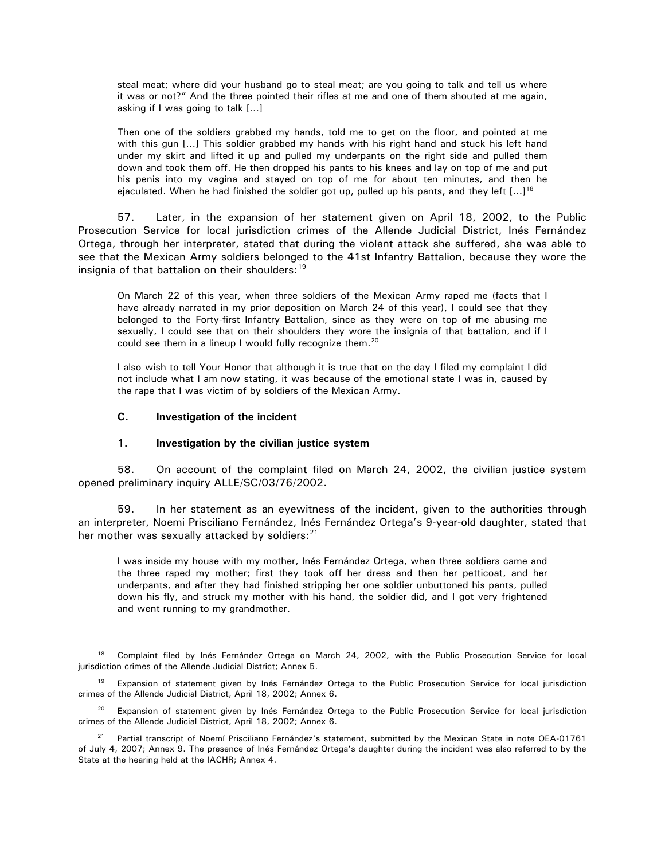<span id="page-13-0"></span>steal meat; where did your husband go to steal meat; are you going to talk and tell us where it was or not?" And the three pointed their rifles at me and one of them shouted at me again, asking if I was going to talk […]

Then one of the soldiers grabbed my hands, told me to get on the floor, and pointed at me with this gun […] This soldier grabbed my hands with his right hand and stuck his left hand under my skirt and lifted it up and pulled my underpants on the right side and pulled them down and took them off. He then dropped his pants to his knees and lay on top of me and put his penis into my vagina and stayed on top of me for about ten minutes, and then he ejaculated. When he had finished the soldier got up, pulled up his pants, and they left  $[...]^{18}$ 

57. Later, in the expansion of her statement given on April 18, 2002, to the Public Prosecution Service for local jurisdiction crimes of the Allende Judicial District, Inés Fernández Ortega, through her interpreter, stated that during the violent attack she suffered, she was able to see that the Mexican Army soldiers belonged to the 41st Infantry Battalion, because they wore the insignia of that battalion on their shoulders: $19$ 

On March 22 of this year, when three soldiers of the Mexican Army raped me (facts that I have already narrated in my prior deposition on March 24 of this year), I could see that they belonged to the Forty-first Infantry Battalion, since as they were on top of me abusing me sexually, I could see that on their shoulders they wore the insignia of that battalion, and if I could see them in a lineup I would fully recognize them.<sup>[20](#page-13-3)</sup>

I also wish to tell Your Honor that although it is true that on the day I filed my complaint I did not include what I am now stating, it was because of the emotional state I was in, caused by the rape that I was victim of by soldiers of the Mexican Army.

#### **C. Investigation of the incident**

 $\overline{a}$ 

#### **1. Investigation by the civilian justice system**

58. On account of the complaint filed on March 24, 2002, the civilian justice system opened preliminary inquiry ALLE/SC/03/76/2002.

59. In her statement as an eyewitness of the incident, given to the authorities through an interpreter, Noemi Prisciliano Fernández, Inés Fernández Ortega's 9-year-old daughter, stated that her mother was sexually attacked by soldiers: $21$ 

I was inside my house with my mother, Inés Fernández Ortega, when three soldiers came and the three raped my mother; first they took off her dress and then her petticoat, and her underpants, and after they had finished stripping her one soldier unbuttoned his pants, pulled down his fly, and struck my mother with his hand, the soldier did, and I got very frightened and went running to my grandmother.

<span id="page-13-1"></span><sup>&</sup>lt;sup>18</sup> Complaint filed by Inés Fernández Ortega on March 24, 2002, with the Public Prosecution Service for local jurisdiction crimes of the Allende Judicial District; Annex 5.

<span id="page-13-2"></span>Expansion of statement given by Inés Fernández Ortega to the Public Prosecution Service for local jurisdiction crimes of the Allende Judicial District, April 18, 2002; Annex 6.

<span id="page-13-3"></span><sup>&</sup>lt;sup>20</sup> Expansion of statement given by Inés Fernández Ortega to the Public Prosecution Service for local jurisdiction crimes of the Allende Judicial District, April 18, 2002; Annex 6.

<span id="page-13-4"></span><sup>&</sup>lt;sup>21</sup> Partial transcript of Noemí Prisciliano Fernández's statement, submitted by the Mexican State in note OEA-01761 of July 4, 2007; Annex 9. The presence of Inés Fernández Ortega's daughter during the incident was also referred to by the State at the hearing held at the IACHR; Annex 4.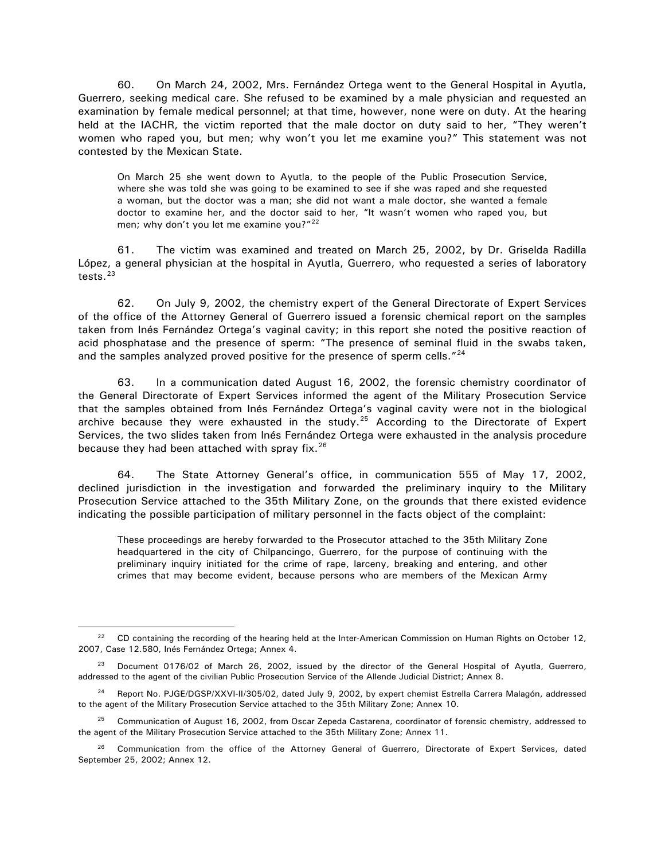60. On March 24, 2002, Mrs. Fernández Ortega went to the General Hospital in Ayutla, Guerrero, seeking medical care. She refused to be examined by a male physician and requested an examination by female medical personnel; at that time, however, none were on duty. At the hearing held at the IACHR, the victim reported that the male doctor on duty said to her, "They weren't women who raped you, but men; why won't you let me examine you?" This statement was not contested by the Mexican State.

On March 25 she went down to Ayutla, to the people of the Public Prosecution Service, where she was told she was going to be examined to see if she was raped and she requested a woman, but the doctor was a man; she did not want a male doctor, she wanted a female doctor to examine her, and the doctor said to her, "It wasn't women who raped you, but men; why don't you let me examine you?"<sup>[22](#page-14-0)</sup>

61. The victim was examined and treated on March 25, 2002, by Dr. Griselda Radilla López, a general physician at the hospital in Ayutla, Guerrero, who requested a series of laboratory tests. $23$ 

62. On July 9, 2002, the chemistry expert of the General Directorate of Expert Services of the office of the Attorney General of Guerrero issued a forensic chemical report on the samples taken from Inés Fernández Ortega's vaginal cavity; in this report she noted the positive reaction of acid phosphatase and the presence of sperm: "The presence of seminal fluid in the swabs taken, and the samples analyzed proved positive for the presence of sperm cells.<sup>"[24](#page-14-2)</sup>

63. In a communication dated August 16, 2002, the forensic chemistry coordinator of the General Directorate of Expert Services informed the agent of the Military Prosecution Service that the samples obtained from Inés Fernández Ortega's vaginal cavity were not in the biological archive because they were exhausted in the study. $25$  According to the Directorate of Expert Services, the two slides taken from Inés Fernández Ortega were exhausted in the analysis procedure because they had been attached with spray fix.<sup>[26](#page-14-4)</sup>

64. The State Attorney General's office, in communication 555 of May 17, 2002, declined jurisdiction in the investigation and forwarded the preliminary inquiry to the Military Prosecution Service attached to the 35th Military Zone, on the grounds that there existed evidence indicating the possible participation of military personnel in the facts object of the complaint:

These proceedings are hereby forwarded to the Prosecutor attached to the 35th Military Zone headquartered in the city of Chilpancingo, Guerrero, for the purpose of continuing with the preliminary inquiry initiated for the crime of rape, larceny, breaking and entering, and other crimes that may become evident, because persons who are members of the Mexican Army

<span id="page-14-0"></span><sup>&</sup>lt;sup>22</sup> CD containing the recording of the hearing held at the Inter-American Commission on Human Rights on October 12, 2007, Case 12.580, Inés Fernández Ortega; Annex 4.

<span id="page-14-1"></span><sup>&</sup>lt;sup>23</sup> Document 0176/02 of March 26, 2002, issued by the director of the General Hospital of Ayutla, Guerrero, addressed to the agent of the civilian Public Prosecution Service of the Allende Judicial District; Annex 8.

<span id="page-14-2"></span>Report No. PJGE/DGSP/XXVI-II/305/02, dated July 9, 2002, by expert chemist Estrella Carrera Malagón, addressed to the agent of the Military Prosecution Service attached to the 35th Military Zone; Annex 10.

<span id="page-14-3"></span> $25$  Communication of August 16, 2002, from Oscar Zepeda Castarena, coordinator of forensic chemistry, addressed to the agent of the Military Prosecution Service attached to the 35th Military Zone; Annex 11.

<span id="page-14-4"></span><sup>&</sup>lt;sup>26</sup> Communication from the office of the Attorney General of Guerrero, Directorate of Expert Services, dated September 25, 2002; Annex 12.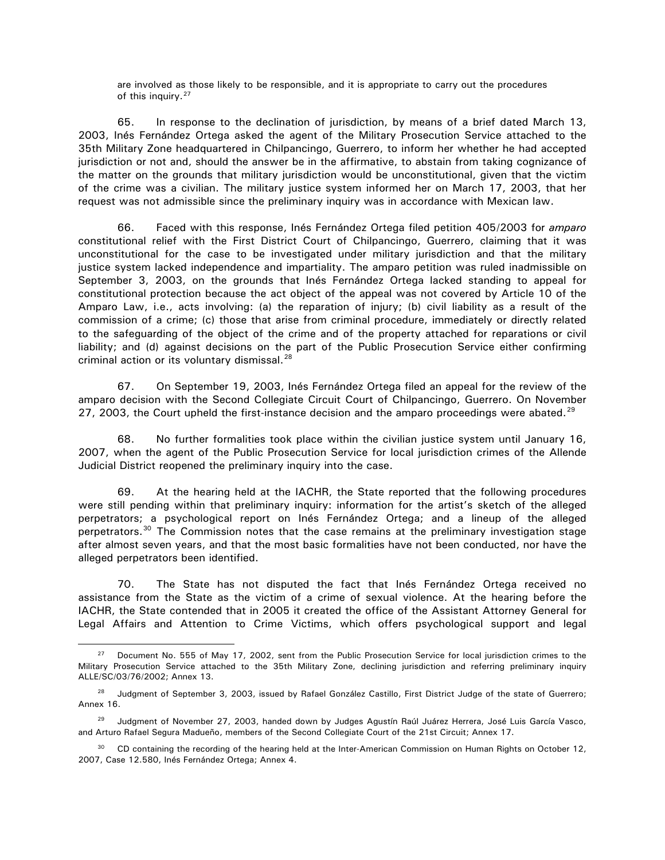are involved as those likely to be responsible, and it is appropriate to carry out the procedures of this inquiry.<sup>[27](#page-15-0)</sup>

65. In response to the declination of jurisdiction, by means of a brief dated March 13, 2003, Inés Fernández Ortega asked the agent of the Military Prosecution Service attached to the 35th Military Zone headquartered in Chilpancingo, Guerrero, to inform her whether he had accepted jurisdiction or not and, should the answer be in the affirmative, to abstain from taking cognizance of the matter on the grounds that military jurisdiction would be unconstitutional, given that the victim of the crime was a civilian. The military justice system informed her on March 17, 2003, that her request was not admissible since the preliminary inquiry was in accordance with Mexican law.

66. Faced with this response, Inés Fernández Ortega filed petition 405/2003 for *amparo* constitutional relief with the First District Court of Chilpancingo, Guerrero, claiming that it was unconstitutional for the case to be investigated under military jurisdiction and that the military justice system lacked independence and impartiality. The amparo petition was ruled inadmissible on September 3, 2003, on the grounds that Inés Fernández Ortega lacked standing to appeal for constitutional protection because the act object of the appeal was not covered by Article 10 of the Amparo Law, i.e., acts involving: (a) the reparation of injury; (b) civil liability as a result of the commission of a crime; (c) those that arise from criminal procedure, immediately or directly related to the safeguarding of the object of the crime and of the property attached for reparations or civil liability; and (d) against decisions on the part of the Public Prosecution Service either confirming criminal action or its voluntary dismissal.<sup>[28](#page-15-1)</sup>

67. On September 19, 2003, Inés Fernández Ortega filed an appeal for the review of the amparo decision with the Second Collegiate Circuit Court of Chilpancingo, Guerrero. On November 27, 2003, the Court upheld the first-instance decision and the amparo proceedings were abated.<sup>[29](#page-15-2)</sup>

68. No further formalities took place within the civilian justice system until January 16, 2007, when the agent of the Public Prosecution Service for local jurisdiction crimes of the Allende Judicial District reopened the preliminary inquiry into the case.

69. At the hearing held at the IACHR, the State reported that the following procedures were still pending within that preliminary inquiry: information for the artist's sketch of the alleged perpetrators; a psychological report on Inés Fernández Ortega; and a lineup of the alleged perpetrators.[30](#page-15-3) The Commission notes that the case remains at the preliminary investigation stage after almost seven years, and that the most basic formalities have not been conducted, nor have the alleged perpetrators been identified.

70. The State has not disputed the fact that Inés Fernández Ortega received no assistance from the State as the victim of a crime of sexual violence. At the hearing before the IACHR, the State contended that in 2005 it created the office of the Assistant Attorney General for Legal Affairs and Attention to Crime Victims, which offers psychological support and legal

<span id="page-15-0"></span><sup>&</sup>lt;sup>27</sup> Document No. 555 of May 17, 2002, sent from the Public Prosecution Service for local jurisdiction crimes to the Military Prosecution Service attached to the 35th Military Zone, declining jurisdiction and referring preliminary inquiry ALLE/SC/03/76/2002; Annex 13.

<span id="page-15-1"></span> $28$  Judgment of September 3, 2003, issued by Rafael González Castillo, First District Judge of the state of Guerrero; Annex 16.

<span id="page-15-2"></span><sup>&</sup>lt;sup>29</sup> Judgment of November 27, 2003, handed down by Judges Agustín Raúl Juárez Herrera, José Luis García Vasco, and Arturo Rafael Segura Madueño, members of the Second Collegiate Court of the 21st Circuit; Annex 17.

<span id="page-15-3"></span><sup>&</sup>lt;sup>30</sup> CD containing the recording of the hearing held at the Inter-American Commission on Human Rights on October 12, 2007, Case 12.580, Inés Fernández Ortega; Annex 4.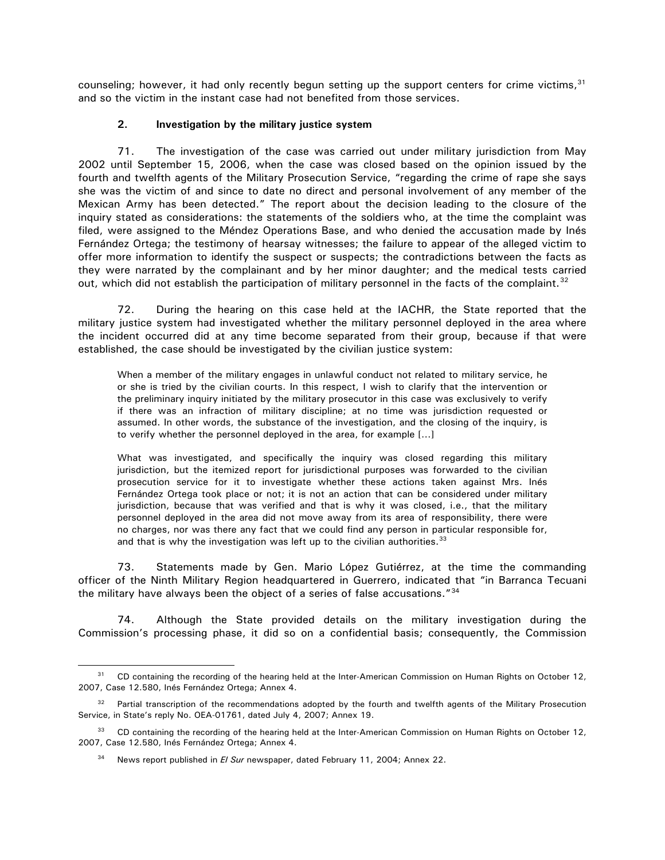<span id="page-16-0"></span>counseling; however, it had only recently begun setting up the support centers for crime victims,  $31$ and so the victim in the instant case had not benefited from those services.

# **2. Investigation by the military justice system**

71. The investigation of the case was carried out under military jurisdiction from May 2002 until September 15, 2006, when the case was closed based on the opinion issued by the fourth and twelfth agents of the Military Prosecution Service, "regarding the crime of rape she says she was the victim of and since to date no direct and personal involvement of any member of the Mexican Army has been detected." The report about the decision leading to the closure of the inquiry stated as considerations: the statements of the soldiers who, at the time the complaint was filed, were assigned to the Méndez Operations Base, and who denied the accusation made by Inés Fernández Ortega; the testimony of hearsay witnesses; the failure to appear of the alleged victim to offer more information to identify the suspect or suspects; the contradictions between the facts as they were narrated by the complainant and by her minor daughter; and the medical tests carried out, which did not establish the participation of military personnel in the facts of the complaint. $32$ 

72. During the hearing on this case held at the IACHR, the State reported that the military justice system had investigated whether the military personnel deployed in the area where the incident occurred did at any time become separated from their group, because if that were established, the case should be investigated by the civilian justice system:

When a member of the military engages in unlawful conduct not related to military service, he or she is tried by the civilian courts. In this respect, I wish to clarify that the intervention or the preliminary inquiry initiated by the military prosecutor in this case was exclusively to verify if there was an infraction of military discipline; at no time was jurisdiction requested or assumed. In other words, the substance of the investigation, and the closing of the inquiry, is to verify whether the personnel deployed in the area, for example […]

What was investigated, and specifically the inquiry was closed regarding this military jurisdiction, but the itemized report for jurisdictional purposes was forwarded to the civilian prosecution service for it to investigate whether these actions taken against Mrs. Inés Fernández Ortega took place or not; it is not an action that can be considered under military jurisdiction, because that was verified and that is why it was closed, i.e., that the military personnel deployed in the area did not move away from its area of responsibility, there were no charges, nor was there any fact that we could find any person in particular responsible for, and that is why the investigation was left up to the civilian authorities.  $33$ 

73. Statements made by Gen. Mario López Gutiérrez, at the time the commanding officer of the Ninth Military Region headquartered in Guerrero, indicated that "in Barranca Tecuani the military have always been the object of a series of false accusations."[34](#page-16-4)

74. Although the State provided details on the military investigation during the Commission's processing phase, it did so on a confidential basis; consequently, the Commission

<span id="page-16-1"></span><sup>&</sup>lt;sup>31</sup> CD containing the recording of the hearing held at the Inter-American Commission on Human Rights on October 12, 2007, Case 12.580, Inés Fernández Ortega; Annex 4.

<span id="page-16-2"></span><sup>&</sup>lt;sup>32</sup> Partial transcription of the recommendations adopted by the fourth and twelfth agents of the Military Prosecution Service, in State's reply No. OEA-01761, dated July 4, 2007; Annex 19.

<span id="page-16-4"></span><span id="page-16-3"></span><sup>&</sup>lt;sup>33</sup> CD containing the recording of the hearing held at the Inter-American Commission on Human Rights on October 12, 2007, Case 12.580, Inés Fernández Ortega; Annex 4.

<sup>&</sup>lt;sup>34</sup> News report published in *El Sur* newspaper, dated February 11, 2004; Annex 22.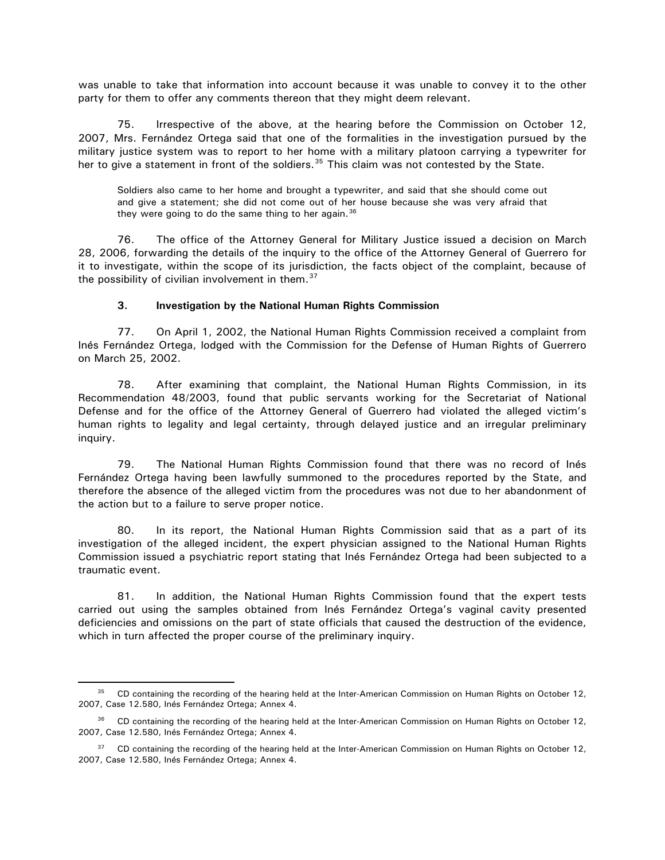<span id="page-17-0"></span>was unable to take that information into account because it was unable to convey it to the other party for them to offer any comments thereon that they might deem relevant.

75. Irrespective of the above, at the hearing before the Commission on October 12, 2007, Mrs. Fernández Ortega said that one of the formalities in the investigation pursued by the military justice system was to report to her home with a military platoon carrying a typewriter for her to give a statement in front of the soldiers.<sup>[35](#page-17-1)</sup> This claim was not contested by the State.

Soldiers also came to her home and brought a typewriter, and said that she should come out and give a statement; she did not come out of her house because she was very afraid that they were going to do the same thing to her again.<sup>36</sup>

76. The office of the Attorney General for Military Justice issued a decision on March 28, 2006, forwarding the details of the inquiry to the office of the Attorney General of Guerrero for it to investigate, within the scope of its jurisdiction, the facts object of the complaint, because of the possibility of civilian involvement in them. $37$ 

#### **3. Investigation by the National Human Rights Commission**

77. On April 1, 2002, the National Human Rights Commission received a complaint from Inés Fernández Ortega, lodged with the Commission for the Defense of Human Rights of Guerrero on March 25, 2002.

78. After examining that complaint, the National Human Rights Commission, in its Recommendation 48/2003, found that public servants working for the Secretariat of National Defense and for the office of the Attorney General of Guerrero had violated the alleged victim's human rights to legality and legal certainty, through delayed justice and an irregular preliminary inquiry.

79. The National Human Rights Commission found that there was no record of Inés Fernández Ortega having been lawfully summoned to the procedures reported by the State, and therefore the absence of the alleged victim from the procedures was not due to her abandonment of the action but to a failure to serve proper notice.

80. In its report, the National Human Rights Commission said that as a part of its investigation of the alleged incident, the expert physician assigned to the National Human Rights Commission issued a psychiatric report stating that Inés Fernández Ortega had been subjected to a traumatic event.

81. In addition, the National Human Rights Commission found that the expert tests carried out using the samples obtained from Inés Fernández Ortega's vaginal cavity presented deficiencies and omissions on the part of state officials that caused the destruction of the evidence, which in turn affected the proper course of the preliminary inquiry.

<span id="page-17-1"></span><sup>&</sup>lt;sup>35</sup> CD containing the recording of the hearing held at the Inter-American Commission on Human Rights on October 12, 2007, Case 12.580, Inés Fernández Ortega; Annex 4.

<span id="page-17-2"></span><sup>&</sup>lt;sup>36</sup> CD containing the recording of the hearing held at the Inter-American Commission on Human Rights on October 12, 2007, Case 12.580, Inés Fernández Ortega; Annex 4.

<span id="page-17-3"></span><sup>&</sup>lt;sup>37</sup> CD containing the recording of the hearing held at the Inter-American Commission on Human Rights on October 12, 2007, Case 12.580, Inés Fernández Ortega; Annex 4.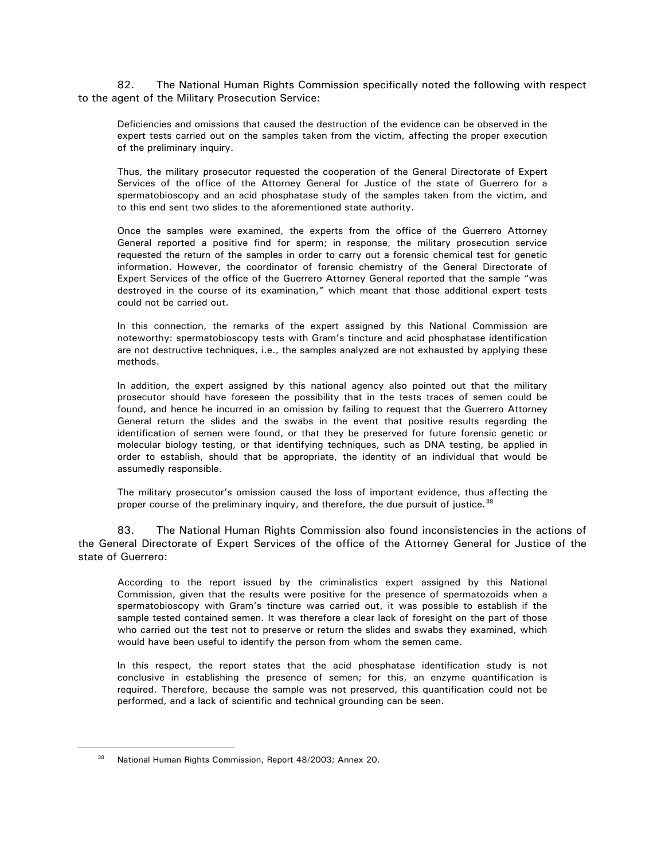82. The National Human Rights Commission specifically noted the following with respect to the agent of the Military Prosecution Service:

Deficiencies and omissions that caused the destruction of the evidence can be observed in the expert tests carried out on the samples taken from the victim, affecting the proper execution of the preliminary inquiry.

Thus, the military prosecutor requested the cooperation of the General Directorate of Expert Services of the office of the Attorney General for Justice of the state of Guerrero for a spermatobioscopy and an acid phosphatase study of the samples taken from the victim, and to this end sent two slides to the aforementioned state authority.

Once the samples were examined, the experts from the office of the Guerrero Attorney General reported a positive find for sperm; in response, the military prosecution service requested the return of the samples in order to carry out a forensic chemical test for genetic information. However, the coordinator of forensic chemistry of the General Directorate of Expert Services of the office of the Guerrero Attorney General reported that the sample "was destroyed in the course of its examination," which meant that those additional expert tests could not be carried out.

In this connection, the remarks of the expert assigned by this National Commission are noteworthy: spermatobioscopy tests with Gram's tincture and acid phosphatase identification are not destructive techniques, i.e., the samples analyzed are not exhausted by applying these methods.

In addition, the expert assigned by this national agency also pointed out that the military prosecutor should have foreseen the possibility that in the tests traces of semen could be found, and hence he incurred in an omission by failing to request that the Guerrero Attorney General return the slides and the swabs in the event that positive results regarding the identification of semen were found, or that they be preserved for future forensic genetic or molecular biology testing, or that identifying techniques, such as DNA testing, be applied in order to establish, should that be appropriate, the identity of an individual that would be assumedly responsible.

The military prosecutor's omission caused the loss of important evidence, thus affecting the proper course of the preliminary inquiry, and therefore, the due pursuit of justice.<sup>[38](#page-18-0)</sup>

83. The National Human Rights Commission also found inconsistencies in the actions of the General Directorate of Expert Services of the office of the Attorney General for Justice of the state of Guerrero:

According to the report issued by the criminalistics expert assigned by this National Commission, given that the results were positive for the presence of spermatozoids when a spermatobioscopy with Gram's tincture was carried out, it was possible to establish if the sample tested contained semen. It was therefore a clear lack of foresight on the part of those who carried out the test not to preserve or return the slides and swabs they examined, which would have been useful to identify the person from whom the semen came.

In this respect, the report states that the acid phosphatase identification study is not conclusive in establishing the presence of semen; for this, an enzyme quantification is required. Therefore, because the sample was not preserved, this quantification could not be performed, and a lack of scientific and technical grounding can be seen.

<span id="page-18-0"></span><sup>38</sup> National Human Rights Commission, Report 48/2003; Annex 20.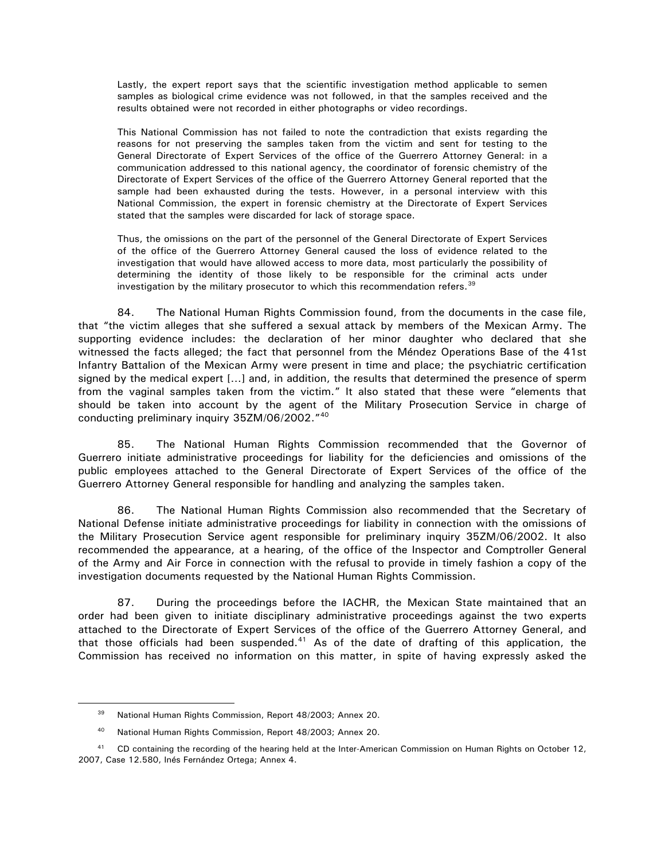Lastly, the expert report says that the scientific investigation method applicable to semen samples as biological crime evidence was not followed, in that the samples received and the results obtained were not recorded in either photographs or video recordings.

This National Commission has not failed to note the contradiction that exists regarding the reasons for not preserving the samples taken from the victim and sent for testing to the General Directorate of Expert Services of the office of the Guerrero Attorney General: in a communication addressed to this national agency, the coordinator of forensic chemistry of the Directorate of Expert Services of the office of the Guerrero Attorney General reported that the sample had been exhausted during the tests. However, in a personal interview with this National Commission, the expert in forensic chemistry at the Directorate of Expert Services stated that the samples were discarded for lack of storage space.

Thus, the omissions on the part of the personnel of the General Directorate of Expert Services of the office of the Guerrero Attorney General caused the loss of evidence related to the investigation that would have allowed access to more data, most particularly the possibility of determining the identity of those likely to be responsible for the criminal acts under investigation by the military prosecutor to which this recommendation refers.<sup>[39](#page-19-0)</sup>

84. The National Human Rights Commission found, from the documents in the case file, that "the victim alleges that she suffered a sexual attack by members of the Mexican Army. The supporting evidence includes: the declaration of her minor daughter who declared that she witnessed the facts alleged; the fact that personnel from the Méndez Operations Base of the 41st Infantry Battalion of the Mexican Army were present in time and place; the psychiatric certification signed by the medical expert […] and, in addition, the results that determined the presence of sperm from the vaginal samples taken from the victim." It also stated that these were "elements that should be taken into account by the agent of the Military Prosecution Service in charge of conducting preliminary inquiry 35ZM/06/2002."[40](#page-19-1)

85. The National Human Rights Commission recommended that the Governor of Guerrero initiate administrative proceedings for liability for the deficiencies and omissions of the public employees attached to the General Directorate of Expert Services of the office of the Guerrero Attorney General responsible for handling and analyzing the samples taken.

86. The National Human Rights Commission also recommended that the Secretary of National Defense initiate administrative proceedings for liability in connection with the omissions of the Military Prosecution Service agent responsible for preliminary inquiry 35ZM/06/2002. It also recommended the appearance, at a hearing, of the office of the Inspector and Comptroller General of the Army and Air Force in connection with the refusal to provide in timely fashion a copy of the investigation documents requested by the National Human Rights Commission.

87. During the proceedings before the IACHR, the Mexican State maintained that an order had been given to initiate disciplinary administrative proceedings against the two experts attached to the Directorate of Expert Services of the office of the Guerrero Attorney General, and that those officials had been suspended. $41$  As of the date of drafting of this application, the Commission has received no information on this matter, in spite of having expressly asked the

<sup>39</sup> National Human Rights Commission, Report 48/2003; Annex 20.

<sup>&</sup>lt;sup>40</sup> National Human Rights Commission, Report 48/2003; Annex 20.

<span id="page-19-2"></span><span id="page-19-1"></span><span id="page-19-0"></span><sup>&</sup>lt;sup>41</sup> CD containing the recording of the hearing held at the Inter-American Commission on Human Rights on October 12, 2007, Case 12.580, Inés Fernández Ortega; Annex 4.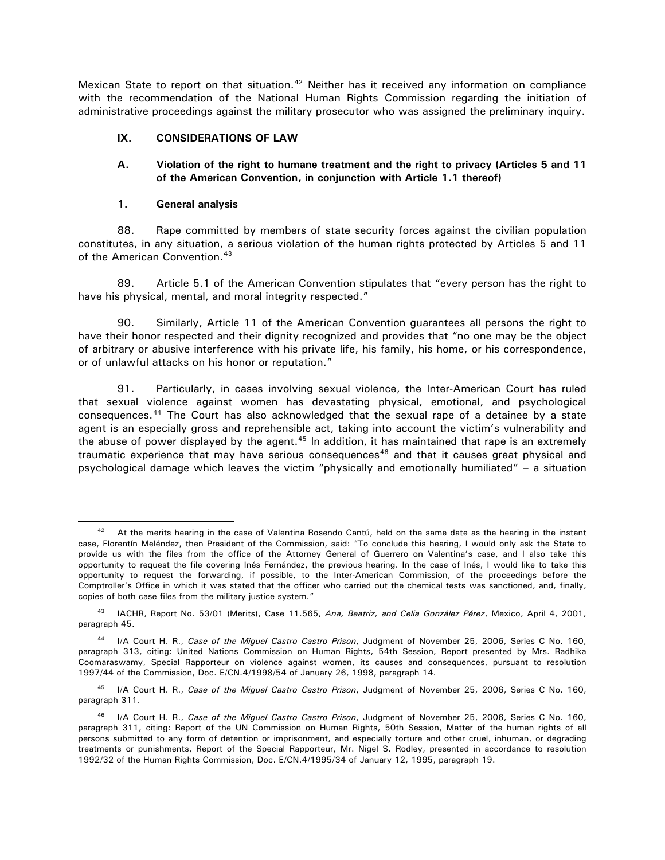<span id="page-20-0"></span>Mexican State to report on that situation.<sup>[42](#page-20-1)</sup> Neither has it received any information on compliance with the recommendation of the National Human Rights Commission regarding the initiation of administrative proceedings against the military prosecutor who was assigned the preliminary inquiry.

# **IX. CONSIDERATIONS OF LAW**

# **A. Violation of the right to humane treatment and the right to privacy (Articles 5 and 11 of the American Convention, in conjunction with Article 1.1 thereof)**

#### **1. General analysis**

 $\overline{a}$ 

88. Rape committed by members of state security forces against the civilian population constitutes, in any situation, a serious violation of the human rights protected by Articles 5 and 11 of the American Convention.<sup>[43](#page-20-2)</sup>

89. Article 5.1 of the American Convention stipulates that "every person has the right to have his physical, mental, and moral integrity respected."

90. Similarly, Article 11 of the American Convention guarantees all persons the right to have their honor respected and their dignity recognized and provides that "no one may be the object of arbitrary or abusive interference with his private life, his family, his home, or his correspondence, or of unlawful attacks on his honor or reputation."

91. Particularly, in cases involving sexual violence, the Inter-American Court has ruled that sexual violence against women has devastating physical, emotional, and psychological consequences.[44](#page-20-3) The Court has also acknowledged that the sexual rape of a detainee by a state agent is an especially gross and reprehensible act, taking into account the victim's vulnerability and the abuse of power displayed by the agent.<sup>[45](#page-20-4)</sup> In addition, it has maintained that rape is an extremely traumatic experience that may have serious consequences $46$  and that it causes great physical and psychological damage which leaves the victim "physically and emotionally humiliated" – a situation

<span id="page-20-1"></span> $42$  At the merits hearing in the case of Valentina Rosendo Cantú, held on the same date as the hearing in the instant case, Florentín Meléndez, then President of the Commission, said: "To conclude this hearing, I would only ask the State to provide us with the files from the office of the Attorney General of Guerrero on Valentina's case, and I also take this opportunity to request the file covering Inés Fernández, the previous hearing. In the case of Inés, I would like to take this opportunity to request the forwarding, if possible, to the Inter-American Commission, of the proceedings before the Comptroller's Office in which it was stated that the officer who carried out the chemical tests was sanctioned, and, finally, copies of both case files from the military justice system."

<span id="page-20-2"></span><sup>43</sup> IACHR, Report No. 53/01 (Merits), Case 11.565, *Ana, Beatriz, and Celia González Pérez*, Mexico, April 4, 2001, paragraph 45.

<span id="page-20-3"></span><sup>44</sup> I/A Court H. R., *Case of the Miguel Castro Castro Prison*, Judgment of November 25, 2006, Series C No. 160, paragraph 313, citing: United Nations Commission on Human Rights, 54th Session, Report presented by Mrs. Radhika Coomaraswamy, Special Rapporteur on violence against women, its causes and consequences, pursuant to resolution 1997/44 of the Commission, Doc. E/CN.4/1998/54 of January 26, 1998, paragraph 14.

<span id="page-20-4"></span><sup>45</sup> I/A Court H. R., *Case of the Miguel Castro Castro Prison*, Judgment of November 25, 2006, Series C No. 160, paragraph 311.

<span id="page-20-5"></span><sup>46</sup> I/A Court H. R., *Case of the Miguel Castro Castro Prison*, Judgment of November 25, 2006, Series C No. 160, paragraph 311, citing: Report of the UN Commission on Human Rights, 50th Session, Matter of the human rights of all persons submitted to any form of detention or imprisonment, and especially torture and other cruel, inhuman, or degrading treatments or punishments, Report of the Special Rapporteur, Mr. Nigel S. Rodley, presented in accordance to resolution 1992/32 of the Human Rights Commission, Doc. E/CN.4/1995/34 of January 12, 1995, paragraph 19.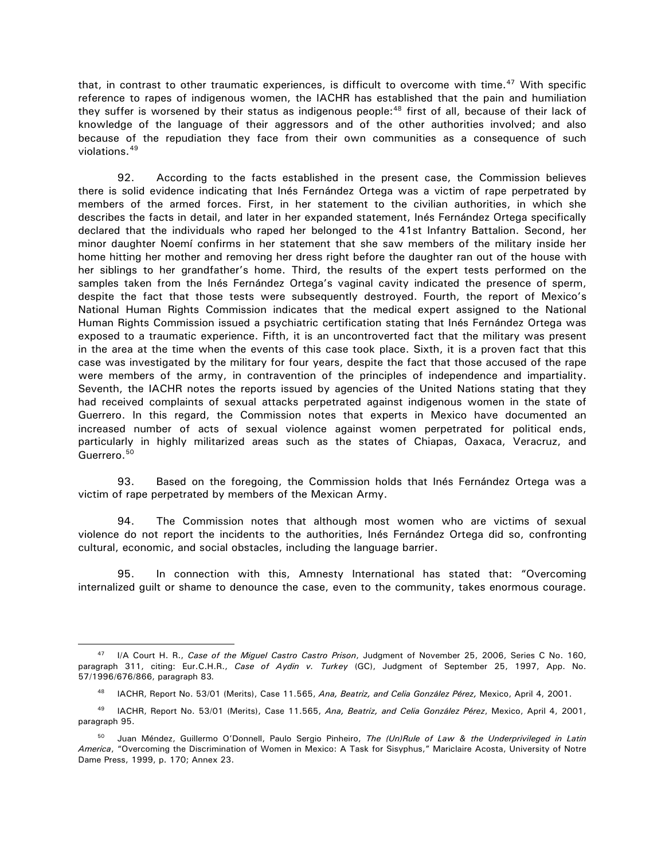that, in contrast to other traumatic experiences, is difficult to overcome with time. $47$  With specific reference to rapes of indigenous women, the IACHR has established that the pain and humiliation they suffer is worsened by their status as indigenous people:<sup>48</sup> first of all, because of their lack of knowledge of the language of their aggressors and of the other authorities involved; and also because of the repudiation they face from their own communities as a consequence of such violations.[49](#page-21-2)

92. According to the facts established in the present case, the Commission believes there is solid evidence indicating that Inés Fernández Ortega was a victim of rape perpetrated by members of the armed forces. First, in her statement to the civilian authorities, in which she describes the facts in detail, and later in her expanded statement, Inés Fernández Ortega specifically declared that the individuals who raped her belonged to the 41st Infantry Battalion. Second, her minor daughter Noemí confirms in her statement that she saw members of the military inside her home hitting her mother and removing her dress right before the daughter ran out of the house with her siblings to her grandfather's home. Third, the results of the expert tests performed on the samples taken from the Inés Fernández Ortega's vaginal cavity indicated the presence of sperm, despite the fact that those tests were subsequently destroyed. Fourth, the report of Mexico's National Human Rights Commission indicates that the medical expert assigned to the National Human Rights Commission issued a psychiatric certification stating that Inés Fernández Ortega was exposed to a traumatic experience. Fifth, it is an uncontroverted fact that the military was present in the area at the time when the events of this case took place. Sixth, it is a proven fact that this case was investigated by the military for four years, despite the fact that those accused of the rape were members of the army, in contravention of the principles of independence and impartiality. Seventh, the IACHR notes the reports issued by agencies of the United Nations stating that they had received complaints of sexual attacks perpetrated against indigenous women in the state of Guerrero. In this regard, the Commission notes that experts in Mexico have documented an increased number of acts of sexual violence against women perpetrated for political ends, particularly in highly militarized areas such as the states of Chiapas, Oaxaca, Veracruz, and Guerrero.<sup>[50](#page-21-3)</sup>

93. Based on the foregoing, the Commission holds that Inés Fernández Ortega was a victim of rape perpetrated by members of the Mexican Army.

94. The Commission notes that although most women who are victims of sexual violence do not report the incidents to the authorities, Inés Fernández Ortega did so, confronting cultural, economic, and social obstacles, including the language barrier.

95. In connection with this, Amnesty International has stated that: "Overcoming internalized guilt or shame to denounce the case, even to the community, takes enormous courage.

<span id="page-21-0"></span> $\overline{a}$ <sup>47</sup> I/A Court H. R., *Case of the Miguel Castro Castro Prison*, Judgment of November 25, 2006, Series C No. 160, paragraph 311, citing: Eur.C.H.R., *Case of Aydin v. Turkey* (GC), Judgment of September 25, 1997, App. No. 57/1996/676/866, paragraph 83*.*

<sup>&</sup>lt;sup>48</sup> IACHR, Report No. 53/01 (Merits), Case 11.565, *Ana, Beatriz, and Celia González Pérez, Mexico, April 4, 2001.* 

<span id="page-21-2"></span><span id="page-21-1"></span><sup>49</sup> IACHR, Report No. 53/01 (Merits), Case 11.565, *Ana, Beatriz, and Celia González Pérez*, Mexico, April 4, 2001, paragraph 95.

<span id="page-21-3"></span><sup>50</sup> Juan Méndez, Guillermo O'Donnell, Paulo Sergio Pinheiro, *The (Un)Rule of Law & the Underprivileged in Latin America*, "Overcoming the Discrimination of Women in Mexico: A Task for Sisyphus," Mariclaire Acosta, University of Notre Dame Press, 1999, p. 170; Annex 23.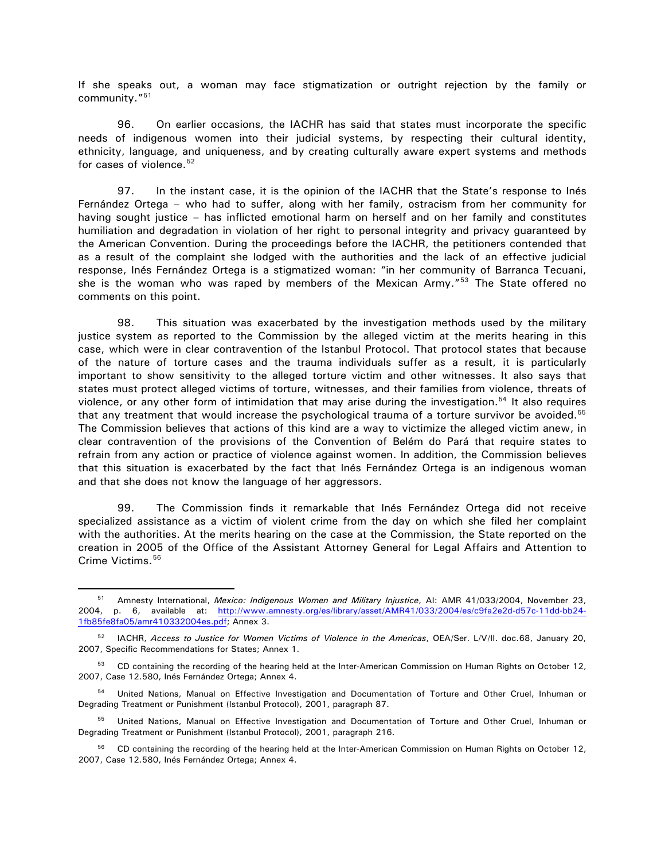If she speaks out, a woman may face stigmatization or outright rejection by the family or community."[51](#page-22-0)

96. On earlier occasions, the IACHR has said that states must incorporate the specific needs of indigenous women into their judicial systems, by respecting their cultural identity, ethnicity, language, and uniqueness, and by creating culturally aware expert systems and methods for cases of violence.  $52$ 

97. In the instant case, it is the opinion of the IACHR that the State's response to Inés Fernández Ortega – who had to suffer, along with her family, ostracism from her community for having sought justice – has inflicted emotional harm on herself and on her family and constitutes humiliation and degradation in violation of her right to personal integrity and privacy guaranteed by the American Convention. During the proceedings before the IACHR, the petitioners contended that as a result of the complaint she lodged with the authorities and the lack of an effective judicial response, Inés Fernández Ortega is a stigmatized woman: "in her community of Barranca Tecuani, she is the woman who was raped by members of the Mexican Army."<sup>[53](#page-22-2)</sup> The State offered no comments on this point.

98. This situation was exacerbated by the investigation methods used by the military justice system as reported to the Commission by the alleged victim at the merits hearing in this case, which were in clear contravention of the Istanbul Protocol. That protocol states that because of the nature of torture cases and the trauma individuals suffer as a result, it is particularly important to show sensitivity to the alleged torture victim and other witnesses. It also says that states must protect alleged victims of torture, witnesses, and their families from violence, threats of violence, or any other form of intimidation that may arise during the investigation.[54](#page-22-3) It also requires that any treatment that would increase the psychological trauma of a torture survivor be avoided.<sup>[55](#page-22-4)</sup> The Commission believes that actions of this kind are a way to victimize the alleged victim anew, in clear contravention of the provisions of the Convention of Belém do Pará that require states to refrain from any action or practice of violence against women. In addition, the Commission believes that this situation is exacerbated by the fact that Inés Fernández Ortega is an indigenous woman and that she does not know the language of her aggressors.

99. The Commission finds it remarkable that Inés Fernández Ortega did not receive specialized assistance as a victim of violent crime from the day on which she filed her complaint with the authorities. At the merits hearing on the case at the Commission, the State reported on the creation in 2005 of the Office of the Assistant Attorney General for Legal Affairs and Attention to Crime Victims.<sup>[56](#page-22-5)</sup>

<span id="page-22-0"></span><sup>51</sup> Amnesty International, *Mexico: Indigenous Women and Military Injustice*, AI: AMR 41/033/2004, November 23, 2004, p. 6, available at: [http://www.amnesty.org/es/library/asset/AMR41/033/2004/es/c9fa2e2d-d57c-11dd-bb24-](http://www.amnesty.org/es/library/asset/AMR41/033/2004/es/c9fa2e2d-d57c-11dd-bb24-1fb85fe8fa05/amr410332004es.pdf) [1fb85fe8fa05/amr410332004es.pdf;](http://www.amnesty.org/es/library/asset/AMR41/033/2004/es/c9fa2e2d-d57c-11dd-bb24-1fb85fe8fa05/amr410332004es.pdf) Annex 3.

<span id="page-22-1"></span><sup>52</sup> IACHR, *Access to Justice for Women Victims of Violence in the Americas*, OEA/Ser. L/V/II. doc.68, January 20, 2007, Specific Recommendations for States; Annex 1.

<span id="page-22-2"></span><sup>53</sup> CD containing the recording of the hearing held at the Inter-American Commission on Human Rights on October 12, 2007, Case 12.580, Inés Fernández Ortega; Annex 4.

<span id="page-22-3"></span><sup>54</sup> United Nations, Manual on Effective Investigation and Documentation of Torture and Other Cruel, Inhuman or Degrading Treatment or Punishment (Istanbul Protocol), 2001, paragraph 87.

<span id="page-22-4"></span><sup>&</sup>lt;sup>55</sup> United Nations, Manual on Effective Investigation and Documentation of Torture and Other Cruel, Inhuman or Degrading Treatment or Punishment (Istanbul Protocol), 2001, paragraph 216.

<span id="page-22-5"></span><sup>&</sup>lt;sup>56</sup> CD containing the recording of the hearing held at the Inter-American Commission on Human Rights on October 12, 2007, Case 12.580, Inés Fernández Ortega; Annex 4.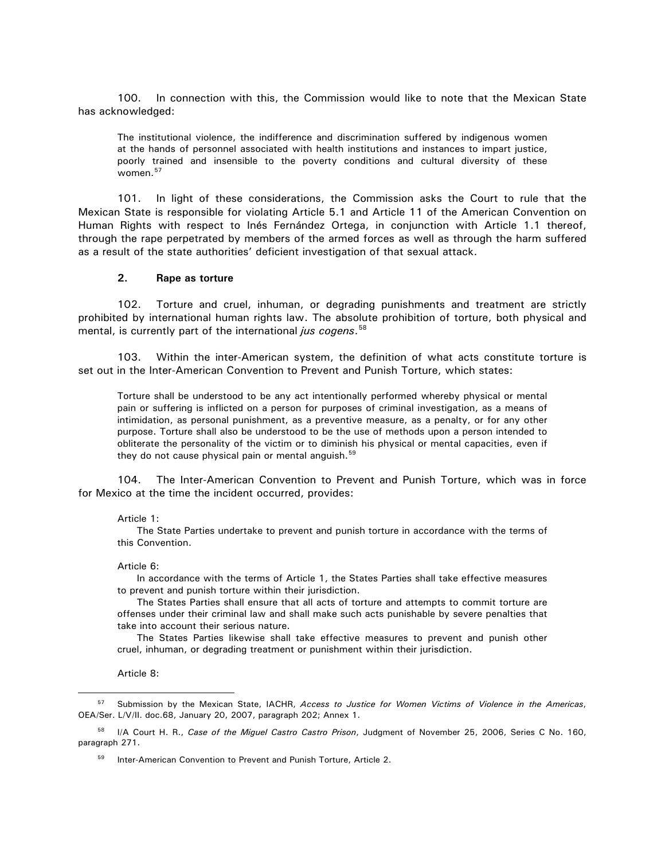<span id="page-23-0"></span>100. In connection with this, the Commission would like to note that the Mexican State has acknowledged:

The institutional violence, the indifference and discrimination suffered by indigenous women at the hands of personnel associated with health institutions and instances to impart justice, poorly trained and insensible to the poverty conditions and cultural diversity of these women.[57](#page-23-1)

101. In light of these considerations, the Commission asks the Court to rule that the Mexican State is responsible for violating Article 5.1 and Article 11 of the American Convention on Human Rights with respect to Inés Fernández Ortega, in conjunction with Article 1.1 thereof, through the rape perpetrated by members of the armed forces as well as through the harm suffered as a result of the state authorities' deficient investigation of that sexual attack.

#### **2. Rape as torture**

102. Torture and cruel, inhuman, or degrading punishments and treatment are strictly prohibited by international human rights law. The absolute prohibition of torture, both physical and mental, is currently part of the international *jus cogens*. [58](#page-23-2)

103. Within the inter-American system, the definition of what acts constitute torture is set out in the Inter-American Convention to Prevent and Punish Torture, which states:

Torture shall be understood to be any act intentionally performed whereby physical or mental pain or suffering is inflicted on a person for purposes of criminal investigation, as a means of intimidation, as personal punishment, as a preventive measure, as a penalty, or for any other purpose. Torture shall also be understood to be the use of methods upon a person intended to obliterate the personality of the victim or to diminish his physical or mental capacities, even if they do not cause physical pain or mental anguish. $59$ 

104. The Inter-American Convention to Prevent and Punish Torture, which was in force for Mexico at the time the incident occurred, provides:

#### Article 1:

The State Parties undertake to prevent and punish torture in accordance with the terms of this Convention.

#### Article 6:

In accordance with the terms of Article 1, the States Parties shall take effective measures to prevent and punish torture within their jurisdiction.

The States Parties shall ensure that all acts of torture and attempts to commit torture are offenses under their criminal law and shall make such acts punishable by severe penalties that take into account their serious nature.

The States Parties likewise shall take effective measures to prevent and punish other cruel, inhuman, or degrading treatment or punishment within their jurisdiction.

Article 8:

 $\overline{a}$ 

<sup>59</sup> Inter-American Convention to Prevent and Punish Torture, Article 2.

<span id="page-23-1"></span><sup>57</sup> Submission by the Mexican State, IACHR, *Access to Justice for Women Victims of Violence in the Americas*, OEA/Ser. L/V/II. doc.68, January 20, 2007, paragraph 202; Annex 1.

<span id="page-23-3"></span><span id="page-23-2"></span><sup>58</sup> I/A Court H. R., *Case of the Miguel Castro Castro Prison*, Judgment of November 25, 2006, Series C No. 160, paragraph 271.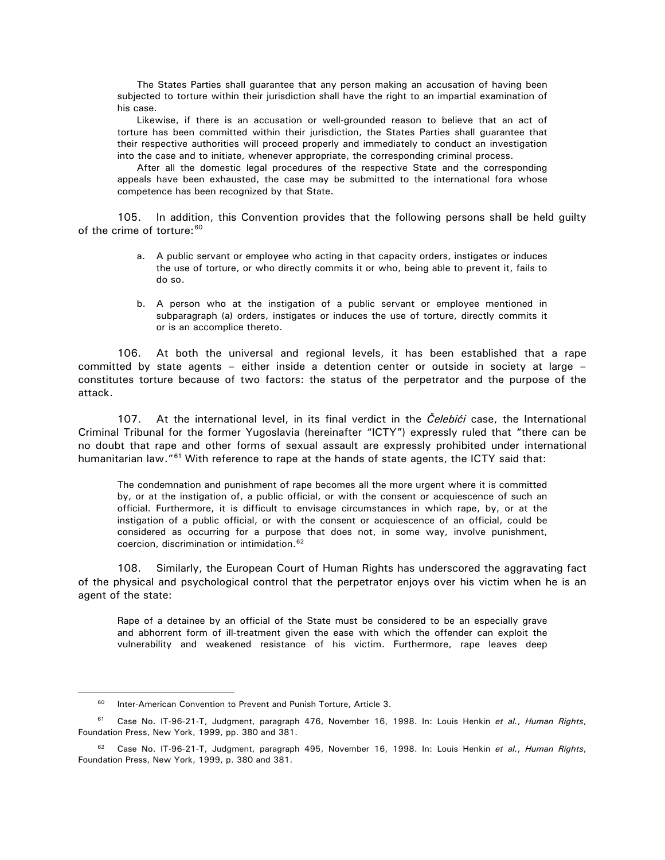The States Parties shall guarantee that any person making an accusation of having been subjected to torture within their jurisdiction shall have the right to an impartial examination of his case.

Likewise, if there is an accusation or well-grounded reason to believe that an act of torture has been committed within their jurisdiction, the States Parties shall guarantee that their respective authorities will proceed properly and immediately to conduct an investigation into the case and to initiate, whenever appropriate, the corresponding criminal process.

After all the domestic legal procedures of the respective State and the corresponding appeals have been exhausted, the case may be submitted to the international fora whose competence has been recognized by that State.

105. In addition, this Convention provides that the following persons shall be held guilty of the crime of torture: [60](#page-24-0)

- a. A public servant or employee who acting in that capacity orders, instigates or induces the use of torture, or who directly commits it or who, being able to prevent it, fails to do so.
- b. A person who at the instigation of a public servant or employee mentioned in subparagraph (a) orders, instigates or induces the use of torture, directly commits it or is an accomplice thereto.

106. At both the universal and regional levels, it has been established that a rape committed by state agents – either inside a detention center or outside in society at large – constitutes torture because of two factors: the status of the perpetrator and the purpose of the attack.

107. At the international level, in its final verdict in the *Čelebići* case, the International Criminal Tribunal for the former Yugoslavia (hereinafter "ICTY") expressly ruled that "there can be no doubt that rape and other forms of sexual assault are expressly prohibited under international humanitarian law."<sup>[61](#page-24-1)</sup> With reference to rape at the hands of state agents, the ICTY said that:

The condemnation and punishment of rape becomes all the more urgent where it is committed by, or at the instigation of, a public official, or with the consent or acquiescence of such an official. Furthermore, it is difficult to envisage circumstances in which rape, by, or at the instigation of a public official, or with the consent or acquiescence of an official, could be considered as occurring for a purpose that does not, in some way, involve punishment, coercion, discrimination or intimidation.[62](#page-24-2)

108. Similarly, the European Court of Human Rights has underscored the aggravating fact of the physical and psychological control that the perpetrator enjoys over his victim when he is an agent of the state:

Rape of a detainee by an official of the State must be considered to be an especially grave and abhorrent form of ill-treatment given the ease with which the offender can exploit the vulnerability and weakened resistance of his victim. Furthermore, rape leaves deep

 $60$  Inter-American Convention to Prevent and Punish Torture, Article 3.

<span id="page-24-1"></span><span id="page-24-0"></span><sup>61</sup> Case No. IT-96-21-T, Judgment, paragraph 476, November 16, 1998. In: Louis Henkin *et al.*, *Human Rights*, Foundation Press, New York, 1999, pp. 380 and 381.

<span id="page-24-2"></span><sup>62</sup> Case No. IT-96-21-T, Judgment, paragraph 495, November 16, 1998. In: Louis Henkin *et al.*, *Human Rights*, Foundation Press, New York, 1999, p. 380 and 381.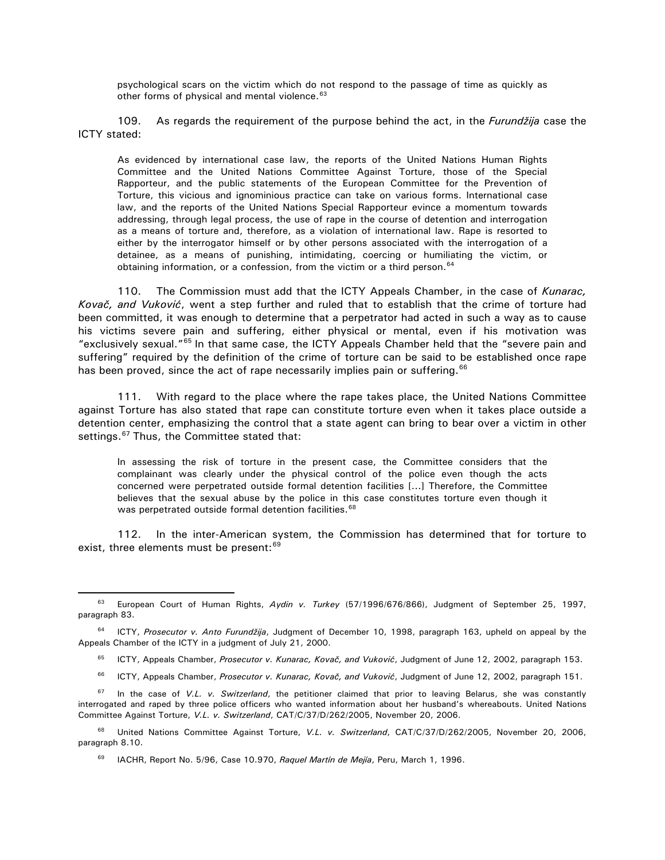psychological scars on the victim which do not respond to the passage of time as quickly as other forms of physical and mental violence.<sup>[63](#page-25-0)</sup>

109. As regards the requirement of the purpose behind the act, in the *Furundžija* case the ICTY stated:

As evidenced by international case law, the reports of the United Nations Human Rights Committee and the United Nations Committee Against Torture, those of the Special Rapporteur, and the public statements of the European Committee for the Prevention of Torture, this vicious and ignominious practice can take on various forms. International case law, and the reports of the United Nations Special Rapporteur evince a momentum towards addressing, through legal process, the use of rape in the course of detention and interrogation as a means of torture and, therefore, as a violation of international law. Rape is resorted to either by the interrogator himself or by other persons associated with the interrogation of a detainee, as a means of punishing, intimidating, coercing or humiliating the victim, or obtaining information, or a confession, from the victim or a third person.<sup>64</sup>

110. The Commission must add that the ICTY Appeals Chamber, in the case of *Kunarac, Kovač, and Vuković*, went a step further and ruled that to establish that the crime of torture had been committed, it was enough to determine that a perpetrator had acted in such a way as to cause his victims severe pain and suffering, either physical or mental, even if his motivation was "exclusively sexual."[65](#page-25-2) In that same case, the ICTY Appeals Chamber held that the "severe pain and suffering" required by the definition of the crime of torture can be said to be established once rape has been proved, since the act of rape necessarily implies pain or suffering.<sup>[66](#page-25-3)</sup>

111. With regard to the place where the rape takes place, the United Nations Committee against Torture has also stated that rape can constitute torture even when it takes place outside a detention center, emphasizing the control that a state agent can bring to bear over a victim in other settings.<sup>[67](#page-25-4)</sup> Thus, the Committee stated that:

In assessing the risk of torture in the present case, the Committee considers that the complainant was clearly under the physical control of the police even though the acts concerned were perpetrated outside formal detention facilities [...] Therefore, the Committee believes that the sexual abuse by the police in this case constitutes torture even though it was perpetrated outside formal detention facilities.<sup>[68](#page-25-5)</sup>

112. In the inter-American system, the Commission has determined that for torture to exist, three elements must be present:<sup>[69](#page-25-6)</sup>

- ICTY, Appeals Chamber, *Prosecutor v. Kunarac, Kovač, and Vuković*, Judgment of June 12, 2002, paragraph 153. <sup>65</sup>
- ICTY, Appeals Chamber, *Prosecutor v. Kunarac, Kovač, and Vuković*, Judgment of June 12, 2002, paragraph 151. <sup>66</sup>

<span id="page-25-4"></span><span id="page-25-3"></span><sup>67</sup> In the case of *V.L. v. Switzerland*, the petitioner claimed that prior to leaving Belarus, she was constantly interrogated and raped by three police officers who wanted information about her husband's whereabouts. United Nations Committee Against Torture, *V.L. v. Switzerland*, CAT/C/37/D/262/2005, November 20, 2006.

<span id="page-25-6"></span><span id="page-25-5"></span><sup>68</sup> United Nations Committee Against Torture, *V.L. v. Switzerland*, CAT/C/37/D/262/2005, November 20, 2006, paragraph 8.10.

<sup>69</sup> IACHR, Report No. 5/96, Case 10.970, Raquel Martín de Mejía, Peru, March 1, 1996.

<span id="page-25-0"></span><sup>63</sup> European Court of Human Rights, *Aydin v. Turkey* (57/1996/676/866), Judgment of September 25, 1997, paragraph 83.

<span id="page-25-2"></span><span id="page-25-1"></span><sup>64</sup> ICTY, *Prosecutor v. Anto Furundžija*, Judgment of December 10, 1998, paragraph 163, upheld on appeal by the Appeals Chamber of the ICTY in a judgment of July 21, 2000.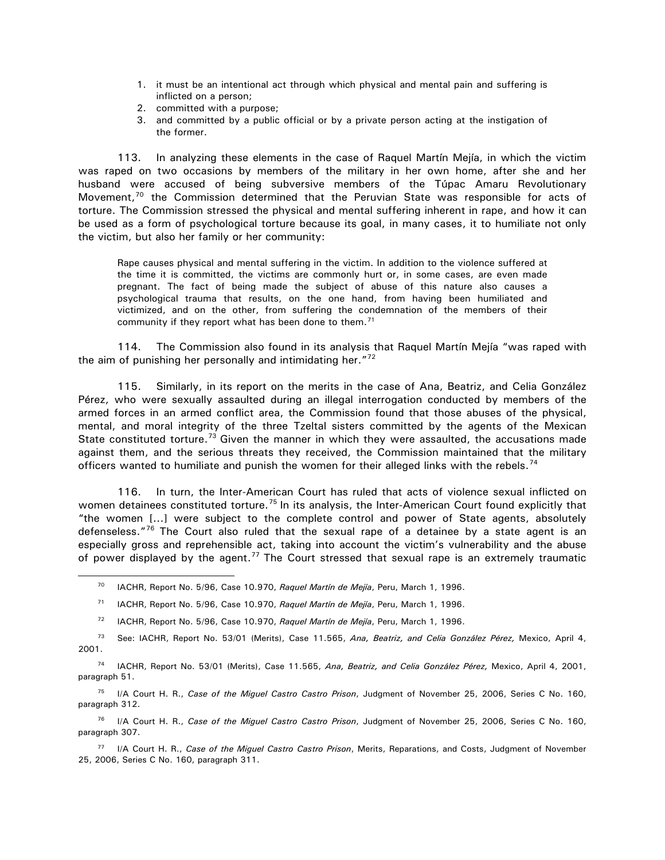- 1. it must be an intentional act through which physical and mental pain and suffering is inflicted on a person;
- 2. committed with a purpose;
- 3. and committed by a public official or by a private person acting at the instigation of the former.

113. In analyzing these elements in the case of Raquel Martín Mejía, in which the victim was raped on two occasions by members of the military in her own home, after she and her husband were accused of being subversive members of the Túpac Amaru Revolutionary Movement, $70$  the Commission determined that the Peruvian State was responsible for acts of torture. The Commission stressed the physical and mental suffering inherent in rape, and how it can be used as a form of psychological torture because its goal, in many cases, it to humiliate not only the victim, but also her family or her community:

Rape causes physical and mental suffering in the victim. In addition to the violence suffered at the time it is committed, the victims are commonly hurt or, in some cases, are even made pregnant. The fact of being made the subject of abuse of this nature also causes a psychological trauma that results, on the one hand, from having been humiliated and victimized, and on the other, from suffering the condemnation of the members of their community if they report what has been done to them. $71$ 

114. The Commission also found in its analysis that Raquel Martín Mejía "was raped with the aim of punishing her personally and intimidating her.<sup>"[72](#page-26-2)</sup>

115. Similarly, in its report on the merits in the case of Ana, Beatriz, and Celia González Pérez, who were sexually assaulted during an illegal interrogation conducted by members of the armed forces in an armed conflict area, the Commission found that those abuses of the physical, mental, and moral integrity of the three Tzeltal sisters committed by the agents of the Mexican State constituted torture.<sup>[73](#page-26-3)</sup> Given the manner in which they were assaulted, the accusations made against them, and the serious threats they received, the Commission maintained that the military officers wanted to humiliate and punish the women for their alleged links with the rebels.<sup>[74](#page-26-4)</sup>

116. In turn, the Inter-American Court has ruled that acts of violence sexual inflicted on women detainees constituted torture.<sup>[75](#page-26-5)</sup> In its analysis, the Inter-American Court found explicitly that "the women [...] were subject to the complete control and power of State agents, absolutely defenseless."<sup>[76](#page-26-6)</sup> The Court also ruled that the sexual rape of a detainee by a state agent is an especially gross and reprehensible act, taking into account the victim's vulnerability and the abuse of power displayed by the agent.<sup>[77](#page-26-7)</sup> The Court stressed that sexual rape is an extremely traumatic

<span id="page-26-0"></span> $\overline{a}$ 

- <sup>71</sup> IACHR, Report No. 5/96, Case 10.970, Raquel Martín de Mejía, Peru, March 1, 1996.
- <sup>72</sup> IACHR, Report No. 5/96, Case 10.970, Raquel Martín de Mejía, Peru, March 1, 1996.
- <span id="page-26-3"></span><span id="page-26-2"></span><span id="page-26-1"></span><sup>73</sup> See: IACHR, Report No. 53/01 (Merits), Case 11.565, *Ana, Beatriz, and Celia González Pérez,* Mexico, April 4, 2001.

<span id="page-26-4"></span><sup>74</sup> IACHR, Report No. 53/01 (Merits), Case 11.565, *Ana, Beatriz, and Celia González Pérez,* Mexico, April 4, 2001, paragraph 51.

<span id="page-26-5"></span><sup>75</sup> I/A Court H. R., *Case of the Miguel Castro Castro Prison*, Judgment of November 25, 2006, Series C No. 160, paragraph 312.

<span id="page-26-6"></span><sup>76</sup> I/A Court H. R., *Case of the Miguel Castro Castro Prison*, Judgment of November 25, 2006, Series C No. 160, paragraph 307.

<span id="page-26-7"></span><sup>77</sup> I/A Court H. R., *Case of the Miguel Castro Castro Prison*, Merits, Reparations, and Costs, Judgment of November 25, 2006, Series C No. 160, paragraph 311.

<sup>&</sup>lt;sup>70</sup> IACHR, Report No. 5/96, Case 10.970, *Raquel Martín de Mejía*, Peru, March 1, 1996.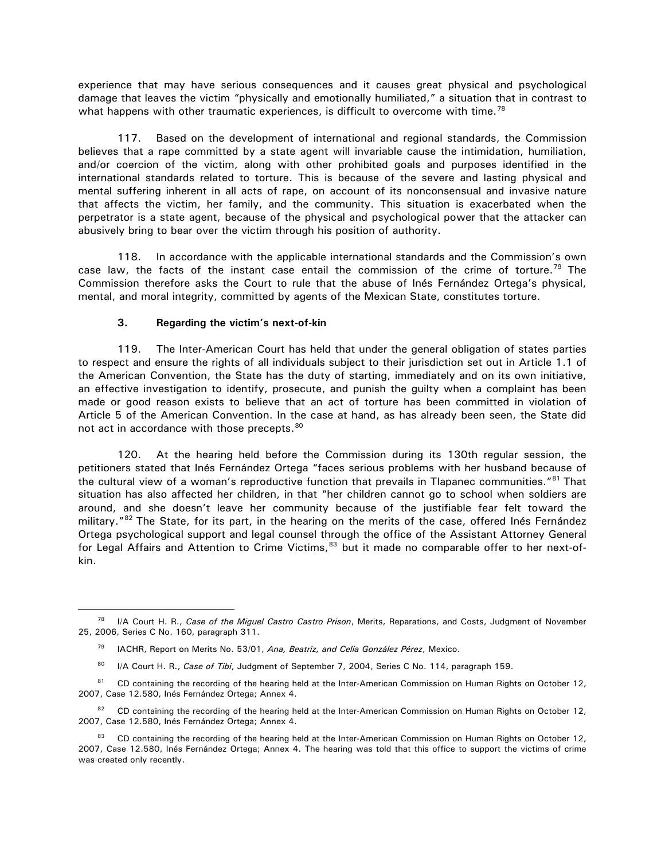<span id="page-27-0"></span>experience that may have serious consequences and it causes great physical and psychological damage that leaves the victim "physically and emotionally humiliated," a situation that in contrast to what happens with other traumatic experiences, is difficult to overcome with time.<sup>[78](#page-27-1)</sup>

117. Based on the development of international and regional standards, the Commission believes that a rape committed by a state agent will invariable cause the intimidation, humiliation, and/or coercion of the victim, along with other prohibited goals and purposes identified in the international standards related to torture. This is because of the severe and lasting physical and mental suffering inherent in all acts of rape, on account of its nonconsensual and invasive nature that affects the victim, her family, and the community. This situation is exacerbated when the perpetrator is a state agent, because of the physical and psychological power that the attacker can abusively bring to bear over the victim through his position of authority.

118. In accordance with the applicable international standards and the Commission's own case law, the facts of the instant case entail the commission of the crime of torture.<sup>[79](#page-27-2)</sup> The Commission therefore asks the Court to rule that the abuse of Inés Fernández Ortega's physical, mental, and moral integrity, committed by agents of the Mexican State, constitutes torture.

#### **3. Regarding the victim's next-of-kin**

 $\overline{a}$ 

119. The Inter-American Court has held that under the general obligation of states parties to respect and ensure the rights of all individuals subject to their jurisdiction set out in Article 1.1 of the American Convention, the State has the duty of starting, immediately and on its own initiative, an effective investigation to identify, prosecute, and punish the guilty when a complaint has been made or good reason exists to believe that an act of torture has been committed in violation of Article 5 of the American Convention. In the case at hand, as has already been seen, the State did not act in accordance with those precepts.<sup>[80](#page-27-3)</sup>

120. At the hearing held before the Commission during its 130th regular session, the petitioners stated that Inés Fernández Ortega "faces serious problems with her husband because of the cultural view of a woman's reproductive function that prevails in Tlapanec communities."[81](#page-27-4) That situation has also affected her children, in that "her children cannot go to school when soldiers are around, and she doesn't leave her community because of the justifiable fear felt toward the military."<sup>[82](#page-27-5)</sup> The State, for its part, in the hearing on the merits of the case, offered Inés Fernández Ortega psychological support and legal counsel through the office of the Assistant Attorney General for Legal Affairs and Attention to Crime Victims, [83](#page-27-6) but it made no comparable offer to her next-ofkin.

<sup>80</sup> I/A Court H. R., *Case of Tibi*, Judgment of September 7, 2004, Series C No. 114, paragraph 159.

<span id="page-27-2"></span><span id="page-27-1"></span><sup>78</sup> I/A Court H. R., *Case of the Miguel Castro Castro Prison*, Merits, Reparations, and Costs, Judgment of November 25, 2006, Series C No. 160, paragraph 311.

<sup>&</sup>lt;sup>79</sup> IACHR, Report on Merits No. 53/01, *Ana, Beatriz, and Celia González Pérez*, Mexico.

<span id="page-27-4"></span><span id="page-27-3"></span><sup>81</sup> CD containing the recording of the hearing held at the Inter-American Commission on Human Rights on October 12, 2007, Case 12.580, Inés Fernández Ortega; Annex 4.

<span id="page-27-5"></span><sup>&</sup>lt;sup>82</sup> CD containing the recording of the hearing held at the Inter-American Commission on Human Rights on October 12, 2007, Case 12.580, Inés Fernández Ortega; Annex 4.

<span id="page-27-6"></span><sup>83</sup> CD containing the recording of the hearing held at the Inter-American Commission on Human Rights on October 12, 2007, Case 12.580, Inés Fernández Ortega; Annex 4. The hearing was told that this office to support the victims of crime was created only recently.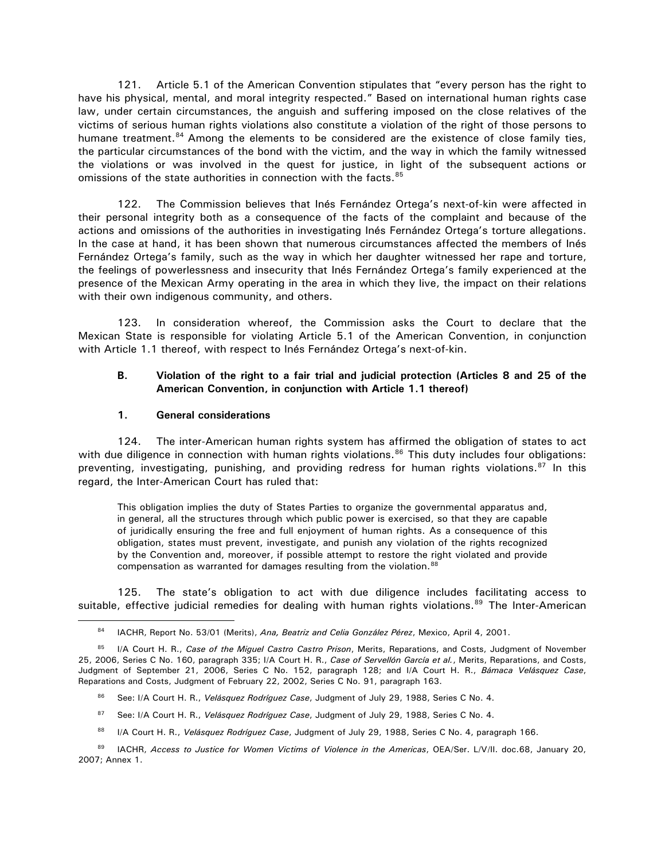<span id="page-28-0"></span>121. Article 5.1 of the American Convention stipulates that "every person has the right to have his physical, mental, and moral integrity respected." Based on international human rights case law, under certain circumstances, the anguish and suffering imposed on the close relatives of the victims of serious human rights violations also constitute a violation of the right of those persons to humane treatment.<sup>[84](#page-28-1)</sup> Among the elements to be considered are the existence of close family ties, the particular circumstances of the bond with the victim, and the way in which the family witnessed the violations or was involved in the quest for justice, in light of the subsequent actions or omissions of the state authorities in connection with the facts.<sup>[85](#page-28-2)</sup>

122. The Commission believes that Inés Fernández Ortega's next-of-kin were affected in their personal integrity both as a consequence of the facts of the complaint and because of the actions and omissions of the authorities in investigating Inés Fernández Ortega's torture allegations. In the case at hand, it has been shown that numerous circumstances affected the members of Inés Fernández Ortega's family, such as the way in which her daughter witnessed her rape and torture, the feelings of powerlessness and insecurity that Inés Fernández Ortega's family experienced at the presence of the Mexican Army operating in the area in which they live, the impact on their relations with their own indigenous community, and others.

123. In consideration whereof, the Commission asks the Court to declare that the Mexican State is responsible for violating Article 5.1 of the American Convention, in conjunction with Article 1.1 thereof, with respect to Inés Fernández Ortega's next-of-kin.

#### **B. Violation of the right to a fair trial and judicial protection (Articles 8 and 25 of the American Convention, in conjunction with Article 1.1 thereof)**

#### **1. General considerations**

 $\overline{a}$ 

124. The inter-American human rights system has affirmed the obligation of states to act with due diligence in connection with human rights violations.<sup>[86](#page-28-3)</sup> This duty includes four obligations: preventing, investigating, punishing, and providing redress for human rights violations. $87$  In this regard, the Inter-American Court has ruled that:

This obligation implies the duty of States Parties to organize the governmental apparatus and, in general, all the structures through which public power is exercised, so that they are capable of juridically ensuring the free and full enjoyment of human rights. As a consequence of this obligation, states must prevent, investigate, and punish any violation of the rights recognized by the Convention and, moreover, if possible attempt to restore the right violated and provide compensation as warranted for damages resulting from the violation.<sup>[88](#page-28-5)</sup>

125. The state's obligation to act with due diligence includes facilitating access to suitable, effective judicial remedies for dealing with human rights violations.<sup>[89](#page-28-6)</sup> The Inter-American

- 86 See: I/A Court H. R., Velásquez Rodríguez Case, Judgment of July 29, 1988, Series C No. 4.
- 87 See: I/A Court H. R., Velásquez Rodríguez Case, Judgment of July 29, 1988, Series C No. 4.
- 88 I/A Court H. R., *Velásquez Rodríguez Case*, Judgment of July 29, 1988, Series C No. 4, paragraph 166.

<sup>84</sup> IACHR, Report No. 53/01 (Merits), *Ana, Beatriz and Celia González Pérez*, Mexico, April 4, 2001.

<span id="page-28-3"></span><span id="page-28-2"></span><span id="page-28-1"></span><sup>85</sup> I/A Court H. R., *Case of the Miguel Castro Castro Prison*, Merits, Reparations, and Costs, Judgment of November 25, 2006, Series C No. 160, paragraph 335; I/A Court H. R., *Case of Servellón García et al.*, Merits, Reparations, and Costs, Judgment of September 21, 2006, Series C No. 152, paragraph 128; and I/A Court H. R., *Bámaca Velásquez Case*, Reparations and Costs, Judgment of February 22, 2002, Series C No. 91, paragraph 163.

<span id="page-28-6"></span><span id="page-28-5"></span><span id="page-28-4"></span><sup>89</sup> IACHR, *Access to Justice for Women Victims of Violence in the Americas*, OEA/Ser. L/V/II. doc.68, January 20, 2007; Annex 1.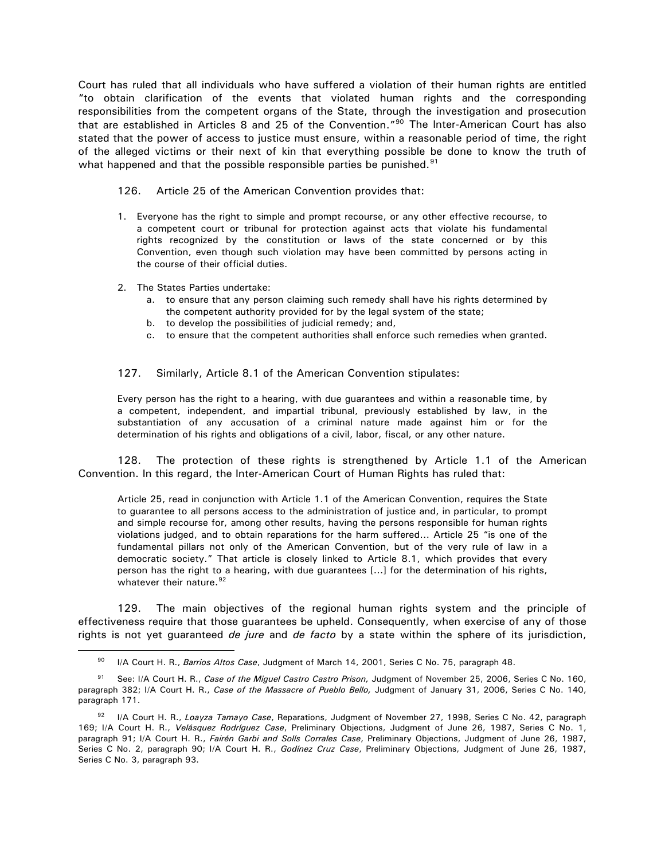Court has ruled that all individuals who have suffered a violation of their human rights are entitled "to obtain clarification of the events that violated human rights and the corresponding responsibilities from the competent organs of the State, through the investigation and prosecution that are established in Articles 8 and 25 of the Convention."<sup>[90](#page-29-0)</sup> The Inter-American Court has also stated that the power of access to justice must ensure, within a reasonable period of time, the right of the alleged victims or their next of kin that everything possible be done to know the truth of what happened and that the possible responsible parties be punished. $91$ 

126. Article 25 of the American Convention provides that:

- 1. Everyone has the right to simple and prompt recourse, or any other effective recourse, to a competent court or tribunal for protection against acts that violate his fundamental rights recognized by the constitution or laws of the state concerned or by this Convention, even though such violation may have been committed by persons acting in the course of their official duties.
- 2. The States Parties undertake:

 $\overline{a}$ 

- a. to ensure that any person claiming such remedy shall have his rights determined by the competent authority provided for by the legal system of the state;
- b. to develop the possibilities of judicial remedy; and,
- c. to ensure that the competent authorities shall enforce such remedies when granted.

#### 127. Similarly, Article 8.1 of the American Convention stipulates:

Every person has the right to a hearing, with due guarantees and within a reasonable time, by a competent, independent, and impartial tribunal, previously established by law, in the substantiation of any accusation of a criminal nature made against him or for the determination of his rights and obligations of a civil, labor, fiscal, or any other nature.

128. The protection of these rights is strengthened by Article 1.1 of the American Convention. In this regard, the Inter-American Court of Human Rights has ruled that:

Article 25, read in conjunction with Article 1.1 of the American Convention, requires the State to guarantee to all persons access to the administration of justice and, in particular, to prompt and simple recourse for, among other results, having the persons responsible for human rights violations judged, and to obtain reparations for the harm suffered… Article 25 "is one of the fundamental pillars not only of the American Convention, but of the very rule of law in a democratic society." That article is closely linked to Article 8.1, which provides that every person has the right to a hearing, with due guarantees [...] for the determination of his rights, whatever their nature.<sup>[92](#page-29-2)</sup>

129. The main objectives of the regional human rights system and the principle of effectiveness require that those guarantees be upheld. Consequently, when exercise of any of those rights is not yet guaranteed *de jure* and *de facto* by a state within the sphere of its jurisdiction,

<sup>&</sup>lt;sup>90</sup> I/A Court H. R., *Barrios Altos Case*, Judgment of March 14, 2001, Series C No. 75, paragraph 48.

<span id="page-29-1"></span><span id="page-29-0"></span><sup>91</sup> See: I/A Court H. R., *Case of the Miguel Castro Castro Prison,* Judgment of November 25, 2006, Series C No. 160, paragraph 382; I/A Court H. R., *Case of the Massacre of Pueblo Bello,* Judgment of January 31, 2006, Series C No. 140, paragraph 171.

<span id="page-29-2"></span><sup>92</sup> I/A Court H. R., *Loayza Tamayo Case*, Reparations, Judgment of November 27, 1998, Series C No. 42, paragraph 169; I/A Court H. R., *Velásquez Rodríguez Case*, Preliminary Objections, Judgment of June 26, 1987, Series C No. 1, paragraph 91; I/A Court H. R., *Fairén Garbi and Solís Corrales Case*, Preliminary Objections, Judgment of June 26, 1987, Series C No. 2, paragraph 90; I/A Court H. R., *Godínez Cruz Case*, Preliminary Objections, Judgment of June 26, 1987, Series C No. 3, paragraph 93.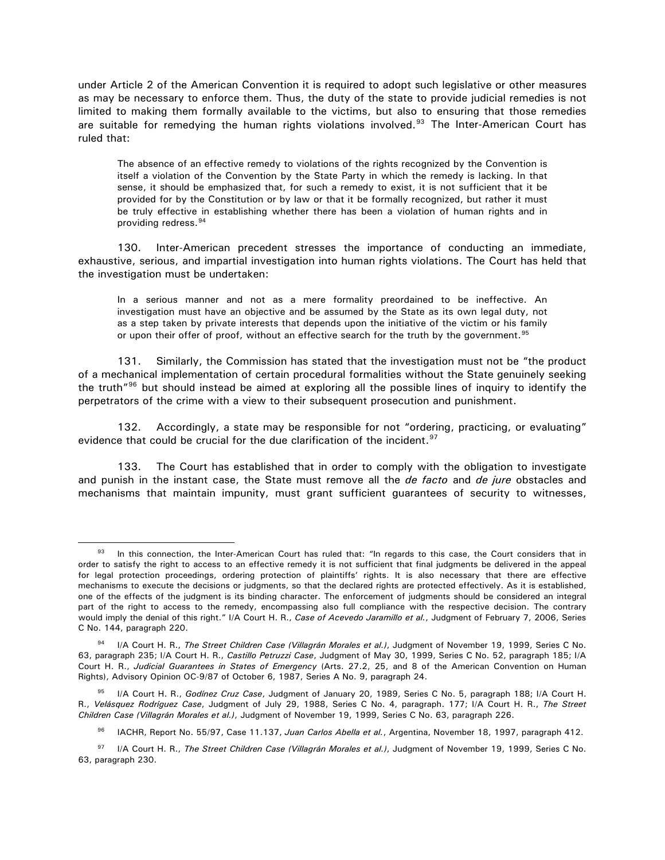under Article 2 of the American Convention it is required to adopt such legislative or other measures as may be necessary to enforce them. Thus, the duty of the state to provide judicial remedies is not limited to making them formally available to the victims, but also to ensuring that those remedies are suitable for remedying the human rights violations involved.<sup>93</sup> The Inter-American Court has ruled that:

The absence of an effective remedy to violations of the rights recognized by the Convention is itself a violation of the Convention by the State Party in which the remedy is lacking. In that sense, it should be emphasized that, for such a remedy to exist, it is not sufficient that it be provided for by the Constitution or by law or that it be formally recognized, but rather it must be truly effective in establishing whether there has been a violation of human rights and in providing redress.[94](#page-30-1)

130. Inter-American precedent stresses the importance of conducting an immediate, exhaustive, serious, and impartial investigation into human rights violations. The Court has held that the investigation must be undertaken:

In a serious manner and not as a mere formality preordained to be ineffective. An investigation must have an objective and be assumed by the State as its own legal duty, not as a step taken by private interests that depends upon the initiative of the victim or his family or upon their offer of proof, without an effective search for the truth by the government.<sup>[95](#page-30-2)</sup>

131. Similarly, the Commission has stated that the investigation must not be "the product of a mechanical implementation of certain procedural formalities without the State genuinely seeking the truth<sup>["96](#page-30-3)</sup> but should instead be aimed at exploring all the possible lines of inquiry to identify the perpetrators of the crime with a view to their subsequent prosecution and punishment.

132. Accordingly, a state may be responsible for not "ordering, practicing, or evaluating" evidence that could be crucial for the due clarification of the incident.<sup>[97](#page-30-4)</sup>

133. The Court has established that in order to comply with the obligation to investigate and punish in the instant case, the State must remove all the *de facto* and *de jure* obstacles and mechanisms that maintain impunity, must grant sufficient guarantees of security to witnesses,

<span id="page-30-0"></span> $93$  In this connection, the Inter-American Court has ruled that: "In regards to this case, the Court considers that in order to satisfy the right to access to an effective remedy it is not sufficient that final judgments be delivered in the appeal for legal protection proceedings, ordering protection of plaintiffs' rights. It is also necessary that there are effective mechanisms to execute the decisions or judgments, so that the declared rights are protected effectively. As it is established, one of the effects of the judgment is its binding character. The enforcement of judgments should be considered an integral part of the right to access to the remedy, encompassing also full compliance with the respective decision. The contrary would imply the denial of this right." I/A Court H. R., *Case of Acevedo Jaramillo et al.*, Judgment of February 7, 2006, Series C No. 144, paragraph 220.

<span id="page-30-1"></span><sup>94</sup> I/A Court H. R., *The Street Children Case (Villagrán Morales et al.)*, Judgment of November 19, 1999, Series C No. 63, paragraph 235; I/A Court H. R., *Castillo Petruzzi Case*, Judgment of May 30, 1999, Series C No. 52, paragraph 185; I/A Court H. R., *Judicial Guarantees in States of Emergency* (Arts. 27.2, 25, and 8 of the American Convention on Human Rights), Advisory Opinion OC-9/87 of October 6, 1987, Series A No. 9, paragraph 24.

<span id="page-30-2"></span><sup>95</sup> I/A Court H. R., *Godínez Cruz Case*, Judgment of January 20, 1989, Series C No. 5, paragraph 188; I/A Court H. R., *Velásquez Rodríguez Case*, Judgment of July 29, 1988, Series C No. 4, paragraph. 177; I/A Court H. R., *The Street Children Case (Villagrán Morales et al.)*, Judgment of November 19, 1999, Series C No. 63, paragraph 226.

IACHR, Report No. 55/97, Case 11.137, *Juan Carlos Abella et al.*, Argentina, November 18, 1997, paragraph 412. <sup>96</sup>

<span id="page-30-4"></span><span id="page-30-3"></span><sup>97</sup> I/A Court H. R., *The Street Children Case (Villagrán Morales et al.)*, Judgment of November 19, 1999, Series C No. 63, paragraph 230.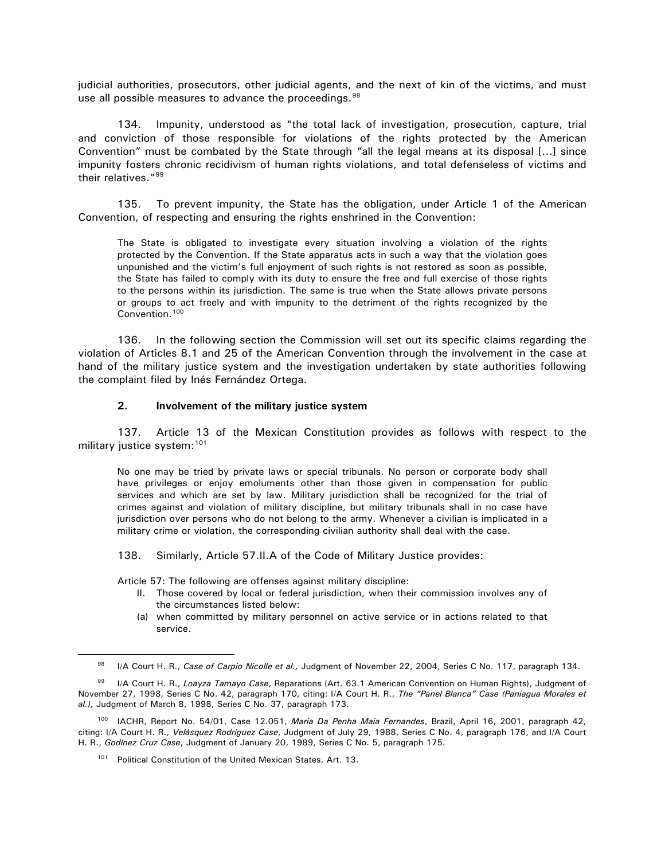<span id="page-31-0"></span>judicial authorities, prosecutors, other judicial agents, and the next of kin of the victims, and must use all possible measures to advance the proceedings.<sup>[98](#page-31-1)</sup>

134. Impunity, understood as "the total lack of investigation, prosecution, capture, trial and conviction of those responsible for violations of the rights protected by the American Convention" must be combated by the State through "all the legal means at its disposal [...] since impunity fosters chronic recidivism of human rights violations, and total defenseless of victims and their relatives."[99](#page-31-2)

135. To prevent impunity, the State has the obligation, under Article 1 of the American Convention, of respecting and ensuring the rights enshrined in the Convention:

The State is obligated to investigate every situation involving a violation of the rights protected by the Convention. If the State apparatus acts in such a way that the violation goes unpunished and the victim's full enjoyment of such rights is not restored as soon as possible, the State has failed to comply with its duty to ensure the free and full exercise of those rights to the persons within its jurisdiction. The same is true when the State allows private persons or groups to act freely and with impunity to the detriment of the rights recognized by the Convention.<sup>[100](#page-31-3)</sup>

136. In the following section the Commission will set out its specific claims regarding the violation of Articles 8.1 and 25 of the American Convention through the involvement in the case at hand of the military justice system and the investigation undertaken by state authorities following the complaint filed by Inés Fernández Ortega.

#### **2. Involvement of the military justice system**

137. Article 13 of the Mexican Constitution provides as follows with respect to the military justice system: [101](#page-31-4)

No one may be tried by private laws or special tribunals. No person or corporate body shall have privileges or enjoy emoluments other than those given in compensation for public services and which are set by law. Military jurisdiction shall be recognized for the trial of crimes against and violation of military discipline, but military tribunals shall in no case have jurisdiction over persons who do not belong to the army. Whenever a civilian is implicated in a military crime or violation, the corresponding civilian authority shall deal with the case.

138. Similarly, Article 57.II.A of the Code of Military Justice provides:

Article 57: The following are offenses against military discipline:

- II. Those covered by local or federal jurisdiction, when their commission involves any of the circumstances listed below:
- (a) when committed by military personnel on active service or in actions related to that service.

<sup>98</sup> I/A Court H. R., *Case of Carpio Nicolle et al.,* Judgment of November 22, 2004, Series C No. 117, paragraph 134.

<span id="page-31-2"></span><span id="page-31-1"></span><sup>99</sup> I/A Court H. R., *Loayza Tamayo Case*, Reparations (Art. 63.1 American Convention on Human Rights), Judgment of November 27, 1998, Series C No. 42, paragraph 170, citing: I/A Court H. R., *The "Panel Blanca" Case (Paniagua Morales et al.),* Judgment of March 8, 1998, Series C No. 37, paragraph 173.

<span id="page-31-4"></span><span id="page-31-3"></span><sup>100</sup> IACHR, Report No. 54/01, Case 12.051, *Maria Da Penha Maia Fernandes*, Brazil, April 16, 2001, paragraph 42, citing: I/A Court H. R., *Velásquez Rodríguez Case*, Judgment of July 29, 1988, Series C No. 4, paragraph 176, and I/A Court H. R., *Godínez Cruz Case*, Judgment of January 20, 1989, Series C No. 5, paragraph 175.

<sup>&</sup>lt;sup>101</sup> Political Constitution of the United Mexican States, Art. 13.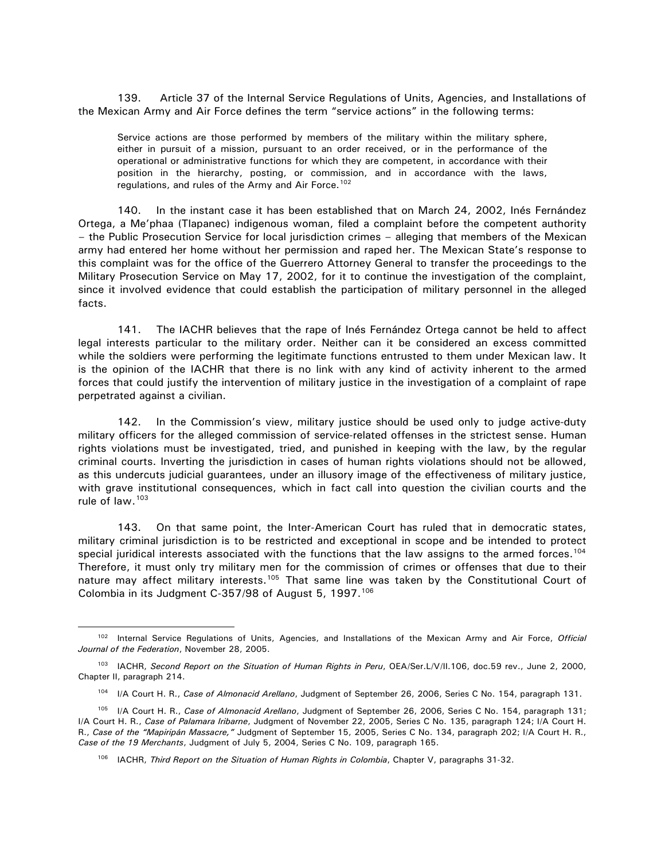139. Article 37 of the Internal Service Regulations of Units, Agencies, and Installations of the Mexican Army and Air Force defines the term "service actions" in the following terms:

Service actions are those performed by members of the military within the military sphere, either in pursuit of a mission, pursuant to an order received, or in the performance of the operational or administrative functions for which they are competent, in accordance with their position in the hierarchy, posting, or commission, and in accordance with the laws, regulations, and rules of the Army and Air Force.<sup>[102](#page-32-0)</sup>

140. In the instant case it has been established that on March 24, 2002, Inés Fernández Ortega, a Me'phaa (Tlapanec) indigenous woman, filed a complaint before the competent authority – the Public Prosecution Service for local jurisdiction crimes – alleging that members of the Mexican army had entered her home without her permission and raped her. The Mexican State's response to this complaint was for the office of the Guerrero Attorney General to transfer the proceedings to the Military Prosecution Service on May 17, 2002, for it to continue the investigation of the complaint, since it involved evidence that could establish the participation of military personnel in the alleged facts.

141. The IACHR believes that the rape of Inés Fernández Ortega cannot be held to affect legal interests particular to the military order. Neither can it be considered an excess committed while the soldiers were performing the legitimate functions entrusted to them under Mexican law. It is the opinion of the IACHR that there is no link with any kind of activity inherent to the armed forces that could justify the intervention of military justice in the investigation of a complaint of rape perpetrated against a civilian.

142. In the Commission's view, military justice should be used only to judge active-duty military officers for the alleged commission of service-related offenses in the strictest sense. Human rights violations must be investigated, tried, and punished in keeping with the law, by the regular criminal courts. Inverting the jurisdiction in cases of human rights violations should not be allowed, as this undercuts judicial guarantees, under an illusory image of the effectiveness of military justice, with grave institutional consequences, which in fact call into question the civilian courts and the rule of law.<sup>[103](#page-32-1)</sup>

143. On that same point, the Inter-American Court has ruled that in democratic states, military criminal jurisdiction is to be restricted and exceptional in scope and be intended to protect special juridical interests associated with the functions that the law assigns to the armed forces.<sup>[104](#page-32-2)</sup> Therefore, it must only try military men for the commission of crimes or offenses that due to their nature may affect military interests.<sup>[105](#page-32-3)</sup> That same line was taken by the Constitutional Court of Colombia in its Judgment C-357/98 of August 5, 1997.<sup>[106](#page-32-4)</sup>

<span id="page-32-0"></span><sup>102</sup> Internal Service Regulations of Units, Agencies, and Installations of the Mexican Army and Air Force, *Official Journal of the Federation*, November 28, 2005.

<span id="page-32-1"></span><sup>103</sup> IACHR, *Second Report on the Situation of Human Rights in Peru*, OEA/Ser.L/V/II.106, doc.59 rev., June 2, 2000, Chapter II, paragraph 214.

<sup>104</sup> I/A Court H. R., *Case of Almonacid Arellano*, Judgment of September 26, 2006, Series C No. 154, paragraph 131.

<span id="page-32-4"></span><span id="page-32-3"></span><span id="page-32-2"></span><sup>105</sup> I/A Court H. R., *Case of Almonacid Arellano*, Judgment of September 26, 2006, Series C No. 154, paragraph 131; I/A Court H. R., *Case of Palamara Iribarne*, Judgment of November 22, 2005, Series C No. 135, paragraph 124; I/A Court H. R., *Case of the "Mapiripán Massacre,"* Judgment of September 15, 2005, Series C No. 134, paragraph 202; I/A Court H. R., *Case of the 19 Merchants*, Judgment of July 5, 2004, Series C No. 109, paragraph 165.

<sup>&</sup>lt;sup>106</sup> IACHR, *Third Report on the Situation of Human Rights in Colombia*, Chapter V, paragraphs 31-32.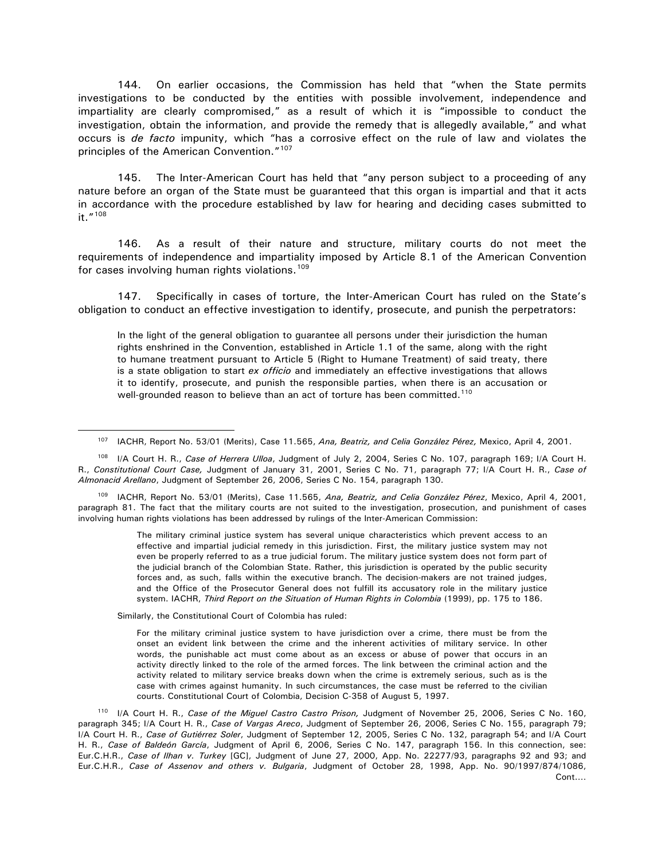144. On earlier occasions, the Commission has held that "when the State permits investigations to be conducted by the entities with possible involvement, independence and impartiality are clearly compromised," as a result of which it is "impossible to conduct the investigation, obtain the information, and provide the remedy that is allegedly available," and what occurs is *de facto* impunity, which "has a corrosive effect on the rule of law and violates the principles of the American Convention."[107](#page-33-0)

145. The Inter-American Court has held that "any person subject to a proceeding of any nature before an organ of the State must be guaranteed that this organ is impartial and that it acts in accordance with the procedure established by law for hearing and deciding cases submitted to it."[108](#page-33-1)

146. As a result of their nature and structure, military courts do not meet the requirements of independence and impartiality imposed by Article 8.1 of the American Convention for cases involving human rights violations.<sup>[109](#page-33-2)</sup>

147. Specifically in cases of torture, the Inter-American Court has ruled on the State's obligation to conduct an effective investigation to identify, prosecute, and punish the perpetrators:

In the light of the general obligation to guarantee all persons under their jurisdiction the human rights enshrined in the Convention, established in Article 1.1 of the same, along with the right to humane treatment pursuant to Article 5 (Right to Humane Treatment) of said treaty, there is a state obligation to start *ex officio* and immediately an effective investigations that allows it to identify, prosecute, and punish the responsible parties, when there is an accusation or well-grounded reason to believe than an act of torture has been committed.<sup>110</sup>

<span id="page-33-1"></span><span id="page-33-0"></span><sup>108</sup> I/A Court H. R., *Case of Herrera Ulloa*, Judgment of July 2, 2004, Series C No. 107, paragraph 169; I/A Court H. R., *Constitutional Court Case,* Judgment of January 31, 2001, Series C No. 71, paragraph 77; I/A Court H. R., *Case of Almonacid Arellano*, Judgment of September 26, 2006, Series C No. 154, paragraph 130.

<span id="page-33-2"></span><sup>109</sup> IACHR, Report No. 53/01 (Merits), Case 11.565, *Ana, Beatriz, and Celia González Pérez*, Mexico, April 4, 2001, paragraph 81. The fact that the military courts are not suited to the investigation, prosecution, and punishment of cases involving human rights violations has been addressed by rulings of the Inter-American Commission:

> The military criminal justice system has several unique characteristics which prevent access to an effective and impartial judicial remedy in this jurisdiction. First, the military justice system may not even be properly referred to as a true judicial forum. The military justice system does not form part of the judicial branch of the Colombian State. Rather, this jurisdiction is operated by the public security forces and, as such, falls within the executive branch. The decision-makers are not trained judges, and the Office of the Prosecutor General does not fulfill its accusatory role in the military justice system. IACHR, *Third Report on the Situation of Human Rights in Colombia* (1999), pp. 175 to 186.

Similarly, the Constitutional Court of Colombia has ruled:

 $\overline{a}$ 

For the military criminal justice system to have jurisdiction over a crime, there must be from the onset an evident link between the crime and the inherent activities of military service. In other words, the punishable act must come about as an excess or abuse of power that occurs in an activity directly linked to the role of the armed forces. The link between the criminal action and the activity related to military service breaks down when the crime is extremely serious, such as is the case with crimes against humanity. In such circumstances, the case must be referred to the civilian courts. Constitutional Court of Colombia, Decision C-358 of August 5, 1997.

<span id="page-33-3"></span><sup>110</sup> I/A Court H. R., *Case of the Miguel Castro Castro Prison,* Judgment of November 25, 2006, Series C No. 160, paragraph 345; I/A Court H. R., *Case of Vargas Areco*, Judgment of September 26, 2006, Series C No. 155, paragraph 79; I/A Court H. R., *Case of Gutiérrez Soler*, Judgment of September 12, 2005, Series C No. 132, paragraph 54; and I/A Court H. R., *Case of Baldeón García*, Judgment of April 6, 2006, Series C No. 147, paragraph 156. In this connection, see: Eur.C.H.R., *Case of Ilhan v. Turkey* [GC], Judgment of June 27, 2000, App. No. 22277/93, paragraphs 92 and 93; and Eur.C.H.R., *Case of Assenov and others v. Bulgaria*, Judgment of October 28, 1998, App. No. 90/1997/874/1086,

<sup>107</sup> IACHR, Report No. 53/01 (Merits), Case 11.565, *Ana, Beatriz, and Celia González Pérez,* Mexico, April 4, 2001.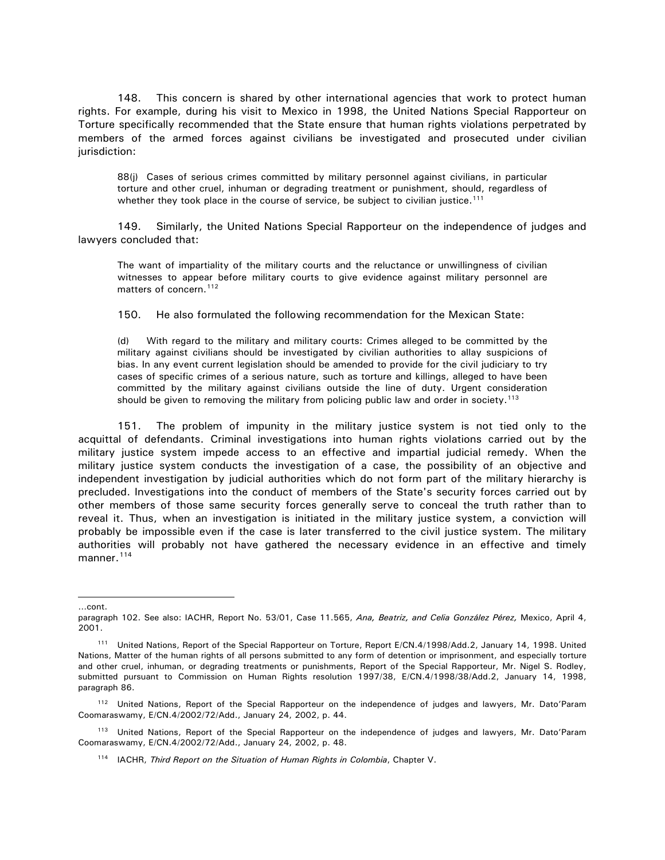148. This concern is shared by other international agencies that work to protect human rights. For example, during his visit to Mexico in 1998, the United Nations Special Rapporteur on Torture specifically recommended that the State ensure that human rights violations perpetrated by members of the armed forces against civilians be investigated and prosecuted under civilian jurisdiction:

88(j) Cases of serious crimes committed by military personnel against civilians, in particular torture and other cruel, inhuman or degrading treatment or punishment, should, regardless of whether they took place in the course of service, be subject to civilian justice.<sup>[111](#page-34-0)</sup>

149. Similarly, the United Nations Special Rapporteur on the independence of judges and lawyers concluded that:

The want of impartiality of the military courts and the reluctance or unwillingness of civilian witnesses to appear before military courts to give evidence against military personnel are matters of concern.<sup>[112](#page-34-1)</sup>

150. He also formulated the following recommendation for the Mexican State:

(d) With regard to the military and military courts: Crimes alleged to be committed by the military against civilians should be investigated by civilian authorities to allay suspicions of bias. In any event current legislation should be amended to provide for the civil judiciary to try cases of specific crimes of a serious nature, such as torture and killings, alleged to have been committed by the military against civilians outside the line of duty. Urgent consideration should be given to removing the military from policing public law and order in society.<sup>113</sup>

151. The problem of impunity in the military justice system is not tied only to the acquittal of defendants. Criminal investigations into human rights violations carried out by the military justice system impede access to an effective and impartial judicial remedy. When the military justice system conducts the investigation of a case, the possibility of an objective and independent investigation by judicial authorities which do not form part of the military hierarchy is precluded. Investigations into the conduct of members of the State's security forces carried out by other members of those same security forces generally serve to conceal the truth rather than to reveal it. Thus, when an investigation is initiated in the military justice system, a conviction will probably be impossible even if the case is later transferred to the civil justice system. The military authorities will probably not have gathered the necessary evidence in an effective and timely manner.<sup>[114](#page-34-3)</sup>

<sup>…</sup>cont.

paragraph 102. See also: IACHR, Report No. 53/01, Case 11.565, *Ana, Beatriz, and Celia González Pérez,* Mexico, April 4, 2001.

<span id="page-34-0"></span><sup>111</sup> United Nations, Report of the Special Rapporteur on Torture, Report E/CN.4/1998/Add.2, January 14, 1998. United Nations, Matter of the human rights of all persons submitted to any form of detention or imprisonment, and especially torture and other cruel, inhuman, or degrading treatments or punishments, Report of the Special Rapporteur, Mr. Nigel S. Rodley, submitted pursuant to Commission on Human Rights resolution 1997/38, E/CN.4/1998/38/Add.2, January 14, 1998, paragraph 86.

<span id="page-34-1"></span><sup>112</sup> United Nations, Report of the Special Rapporteur on the independence of judges and lawyers, Mr. Dato'Param Coomaraswamy, E/CN.4/2002/72/Add., January 24, 2002, p. 44.

<span id="page-34-3"></span><span id="page-34-2"></span><sup>113</sup> United Nations, Report of the Special Rapporteur on the independence of judges and lawyers, Mr. Dato'Param Coomaraswamy, E/CN.4/2002/72/Add., January 24, 2002, p. 48.

<sup>&</sup>lt;sup>114</sup> IACHR, *Third Report on the Situation of Human Rights in Colombia*, Chapter V.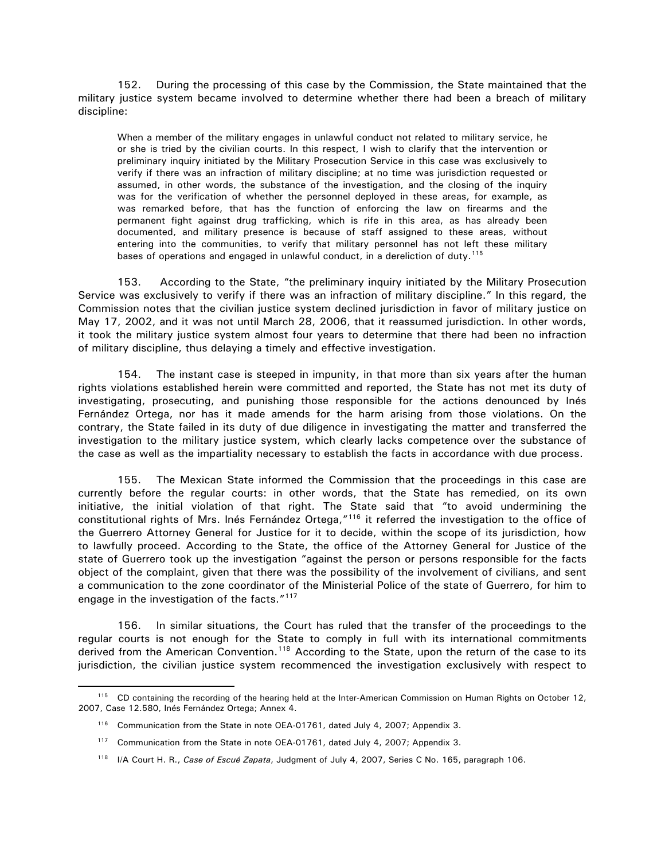152. During the processing of this case by the Commission, the State maintained that the military justice system became involved to determine whether there had been a breach of military discipline:

When a member of the military engages in unlawful conduct not related to military service, he or she is tried by the civilian courts. In this respect, I wish to clarify that the intervention or preliminary inquiry initiated by the Military Prosecution Service in this case was exclusively to verify if there was an infraction of military discipline; at no time was jurisdiction requested or assumed, in other words, the substance of the investigation, and the closing of the inquiry was for the verification of whether the personnel deployed in these areas, for example, as was remarked before, that has the function of enforcing the law on firearms and the permanent fight against drug trafficking, which is rife in this area, as has already been documented, and military presence is because of staff assigned to these areas, without entering into the communities, to verify that military personnel has not left these military bases of operations and engaged in unlawful conduct, in a dereliction of duty.<sup>115</sup>

153. According to the State, "the preliminary inquiry initiated by the Military Prosecution Service was exclusively to verify if there was an infraction of military discipline." In this regard, the Commission notes that the civilian justice system declined jurisdiction in favor of military justice on May 17, 2002, and it was not until March 28, 2006, that it reassumed jurisdiction. In other words, it took the military justice system almost four years to determine that there had been no infraction of military discipline, thus delaying a timely and effective investigation.

154. The instant case is steeped in impunity, in that more than six years after the human rights violations established herein were committed and reported, the State has not met its duty of investigating, prosecuting, and punishing those responsible for the actions denounced by Inés Fernández Ortega, nor has it made amends for the harm arising from those violations. On the contrary, the State failed in its duty of due diligence in investigating the matter and transferred the investigation to the military justice system, which clearly lacks competence over the substance of the case as well as the impartiality necessary to establish the facts in accordance with due process.

155. The Mexican State informed the Commission that the proceedings in this case are currently before the regular courts: in other words, that the State has remedied, on its own initiative, the initial violation of that right. The State said that "to avoid undermining the constitutional rights of Mrs. Inés Fernández Ortega,"<sup>[116](#page-35-1)</sup> it referred the investigation to the office of the Guerrero Attorney General for Justice for it to decide, within the scope of its jurisdiction, how to lawfully proceed. According to the State, the office of the Attorney General for Justice of the state of Guerrero took up the investigation "against the person or persons responsible for the facts object of the complaint, given that there was the possibility of the involvement of civilians, and sent a communication to the zone coordinator of the Ministerial Police of the state of Guerrero, for him to engage in the investigation of the facts."<sup>[117](#page-35-2)</sup>

156. In similar situations, the Court has ruled that the transfer of the proceedings to the regular courts is not enough for the State to comply in full with its international commitments derived from the American Convention.<sup>[118](#page-35-3)</sup> According to the State, upon the return of the case to its jurisdiction, the civilian justice system recommenced the investigation exclusively with respect to

<span id="page-35-2"></span><span id="page-35-1"></span><span id="page-35-0"></span><sup>&</sup>lt;sup>115</sup> CD containing the recording of the hearing held at the Inter-American Commission on Human Rights on October 12, 2007, Case 12.580, Inés Fernández Ortega; Annex 4.

<sup>&</sup>lt;sup>116</sup> Communication from the State in note OEA-01761, dated July 4, 2007; Appendix 3.

<sup>&</sup>lt;sup>117</sup> Communication from the State in note OEA-01761, dated July 4, 2007; Appendix 3.

<span id="page-35-3"></span><sup>&</sup>lt;sup>118</sup> I/A Court H. R., Case of Escué Zapata, Judgment of July 4, 2007, Series C No. 165, paragraph 106.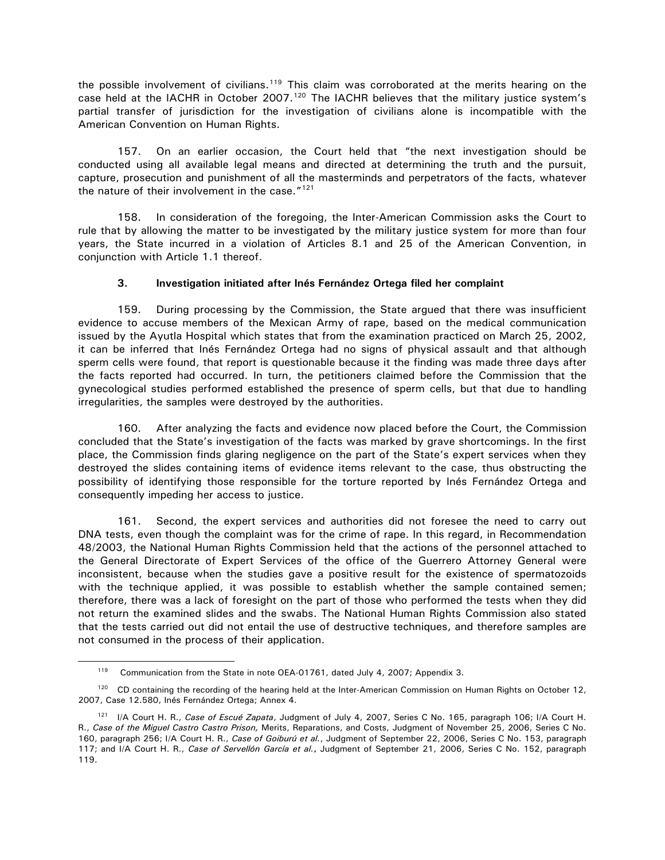<span id="page-36-0"></span>the possible involvement of civilians.<sup>[119](#page-36-1)</sup> This claim was corroborated at the merits hearing on the case held at the IACHR in October 2007.<sup>120</sup> The IACHR believes that the military justice system's partial transfer of jurisdiction for the investigation of civilians alone is incompatible with the American Convention on Human Rights.

157. On an earlier occasion, the Court held that "the next investigation should be conducted using all available legal means and directed at determining the truth and the pursuit, capture, prosecution and punishment of all the masterminds and perpetrators of the facts, whatever the nature of their involvement in the case. $"121"$  $"121"$  $"121"$ 

158. In consideration of the foregoing, the Inter-American Commission asks the Court to rule that by allowing the matter to be investigated by the military justice system for more than four years, the State incurred in a violation of Articles 8.1 and 25 of the American Convention, in conjunction with Article 1.1 thereof.

# **3. Investigation initiated after Inés Fernández Ortega filed her complaint**

159. During processing by the Commission, the State argued that there was insufficient evidence to accuse members of the Mexican Army of rape, based on the medical communication issued by the Ayutla Hospital which states that from the examination practiced on March 25, 2002, it can be inferred that Inés Fernández Ortega had no signs of physical assault and that although sperm cells were found, that report is questionable because it the finding was made three days after the facts reported had occurred. In turn, the petitioners claimed before the Commission that the gynecological studies performed established the presence of sperm cells, but that due to handling irregularities, the samples were destroyed by the authorities.

160. After analyzing the facts and evidence now placed before the Court, the Commission concluded that the State's investigation of the facts was marked by grave shortcomings. In the first place, the Commission finds glaring negligence on the part of the State's expert services when they destroyed the slides containing items of evidence items relevant to the case, thus obstructing the possibility of identifying those responsible for the torture reported by Inés Fernández Ortega and consequently impeding her access to justice.

161. Second, the expert services and authorities did not foresee the need to carry out DNA tests, even though the complaint was for the crime of rape. In this regard, in Recommendation 48/2003, the National Human Rights Commission held that the actions of the personnel attached to the General Directorate of Expert Services of the office of the Guerrero Attorney General were inconsistent, because when the studies gave a positive result for the existence of spermatozoids with the technique applied, it was possible to establish whether the sample contained semen; therefore, there was a lack of foresight on the part of those who performed the tests when they did not return the examined slides and the swabs. The National Human Rights Commission also stated that the tests carried out did not entail the use of destructive techniques, and therefore samples are not consumed in the process of their application.

<sup>&</sup>lt;sup>119</sup> Communication from the State in note OEA-01761, dated July 4, 2007; Appendix 3.

<span id="page-36-2"></span><span id="page-36-1"></span><sup>&</sup>lt;sup>120</sup> CD containing the recording of the hearing held at the Inter-American Commission on Human Rights on October 12, 2007, Case 12.580, Inés Fernández Ortega; Annex 4.

<span id="page-36-3"></span><sup>121</sup> I/A Court H. R., *Case of Escué Zapata*, Judgment of July 4, 2007, Series C No. 165, paragraph 106; I/A Court H. R., *Case of the Miguel Castro Castro Prison,* Merits, Reparations, and Costs, Judgment of November 25, 2006, Series C No. 160, paragraph 256; I/A Court H. R., *Case of Goiburú et al.*, Judgment of September 22, 2006, Series C No. 153, paragraph 117; and I/A Court H. R., *Case of Servellón García et al.***,** Judgment of September 21, 2006, Series C No. 152, paragraph 119.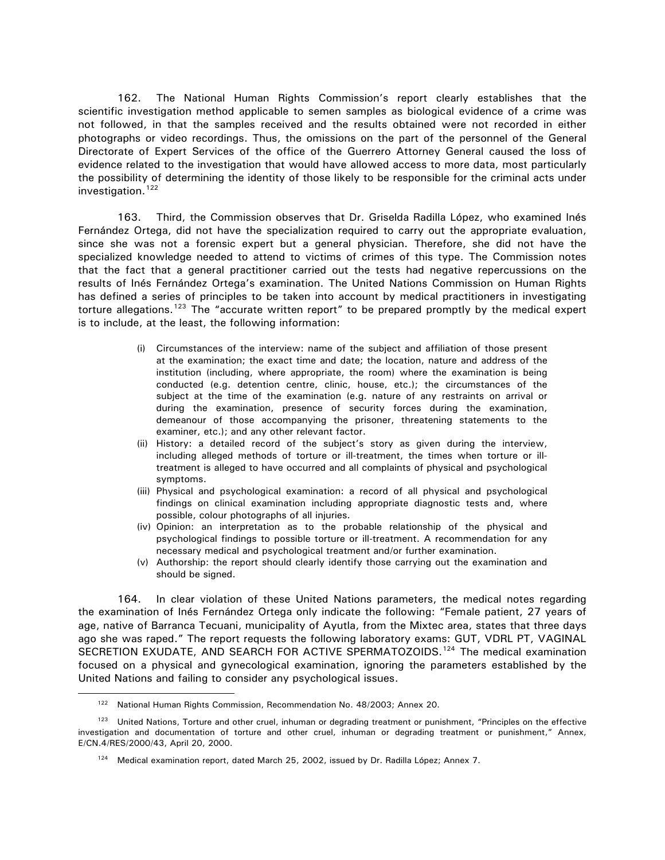162. The National Human Rights Commission's report clearly establishes that the scientific investigation method applicable to semen samples as biological evidence of a crime was not followed, in that the samples received and the results obtained were not recorded in either photographs or video recordings. Thus, the omissions on the part of the personnel of the General Directorate of Expert Services of the office of the Guerrero Attorney General caused the loss of evidence related to the investigation that would have allowed access to more data, most particularly the possibility of determining the identity of those likely to be responsible for the criminal acts under investigation.<sup>[122](#page-37-0)</sup>

163. Third, the Commission observes that Dr. Griselda Radilla López, who examined Inés Fernández Ortega, did not have the specialization required to carry out the appropriate evaluation, since she was not a forensic expert but a general physician. Therefore, she did not have the specialized knowledge needed to attend to victims of crimes of this type. The Commission notes that the fact that a general practitioner carried out the tests had negative repercussions on the results of Inés Fernández Ortega's examination. The United Nations Commission on Human Rights has defined a series of principles to be taken into account by medical practitioners in investigating torture allegations.<sup>[123](#page-37-1)</sup> The "accurate written report" to be prepared promptly by the medical expert is to include, at the least, the following information:

- (i) Circumstances of the interview: name of the subject and affiliation of those present at the examination; the exact time and date; the location, nature and address of the institution (including, where appropriate, the room) where the examination is being conducted (e.g. detention centre, clinic, house, etc.); the circumstances of the subject at the time of the examination (e.g. nature of any restraints on arrival or during the examination, presence of security forces during the examination, demeanour of those accompanying the prisoner, threatening statements to the examiner, etc.); and any other relevant factor.
- (ii) History: a detailed record of the subject's story as given during the interview, including alleged methods of torture or ill-treatment, the times when torture or illtreatment is alleged to have occurred and all complaints of physical and psychological symptoms.
- (iii) Physical and psychological examination: a record of all physical and psychological findings on clinical examination including appropriate diagnostic tests and, where possible, colour photographs of all injuries.
- (iv) Opinion: an interpretation as to the probable relationship of the physical and psychological findings to possible torture or ill-treatment. A recommendation for any necessary medical and psychological treatment and/or further examination.
- (v) Authorship: the report should clearly identify those carrying out the examination and should be signed.

164. In clear violation of these United Nations parameters, the medical notes regarding the examination of Inés Fernández Ortega only indicate the following: "Female patient, 27 years of age, native of Barranca Tecuani, municipality of Ayutla, from the Mixtec area, states that three days ago she was raped." The report requests the following laboratory exams: GUT, VDRL PT, VAGINAL SECRETION EXUDATE, AND SEARCH FOR ACTIVE SPERMATOZOIDS.<sup>[124](#page-37-2)</sup> The medical examination focused on a physical and gynecological examination, ignoring the parameters established by the United Nations and failing to consider any psychological issues.

<sup>&</sup>lt;sup>122</sup> National Human Rights Commission, Recommendation No. 48/2003; Annex 20.

<span id="page-37-2"></span><span id="page-37-1"></span><span id="page-37-0"></span><sup>&</sup>lt;sup>123</sup> United Nations, Torture and other cruel, inhuman or degrading treatment or punishment, "Principles on the effective investigation and documentation of torture and other cruel, inhuman or degrading treatment or punishment," Annex, E/CN.4/RES/2000/43, April 20, 2000.

 $124$  Medical examination report, dated March 25, 2002, issued by Dr. Radilla López; Annex 7.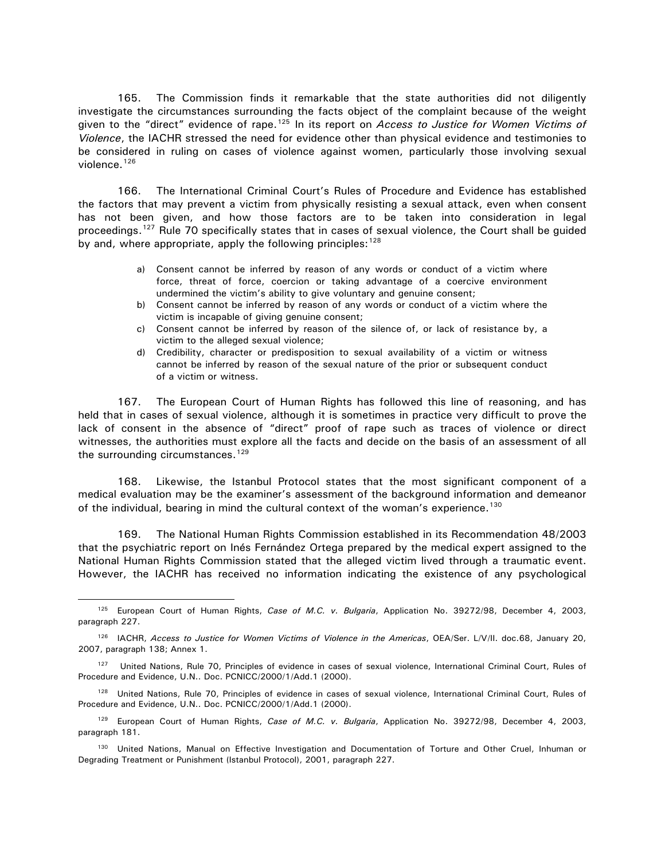165. The Commission finds it remarkable that the state authorities did not diligently investigate the circumstances surrounding the facts object of the complaint because of the weight given to the "direct" evidence of rape.[125](#page-38-0) In its report on *Access to Justice for Women Victims of Violence*, the IACHR stressed the need for evidence other than physical evidence and testimonies to be considered in ruling on cases of violence against women, particularly those involving sexual violence. $126$ 

166. The International Criminal Court's Rules of Procedure and Evidence has established the factors that may prevent a victim from physically resisting a sexual attack, even when consent has not been given, and how those factors are to be taken into consideration in legal proceedings.[127](#page-38-2) Rule 70 specifically states that in cases of sexual violence, the Court shall be guided by and, where appropriate, apply the following principles: [128](#page-38-3)

- a) Consent cannot be inferred by reason of any words or conduct of a victim where force, threat of force, coercion or taking advantage of a coercive environment undermined the victim's ability to give voluntary and genuine consent;
- b) Consent cannot be inferred by reason of any words or conduct of a victim where the victim is incapable of giving genuine consent;
- c) Consent cannot be inferred by reason of the silence of, or lack of resistance by, a victim to the alleged sexual violence;
- d) Credibility, character or predisposition to sexual availability of a victim or witness cannot be inferred by reason of the sexual nature of the prior or subsequent conduct of a victim or witness.

167. The European Court of Human Rights has followed this line of reasoning, and has held that in cases of sexual violence, although it is sometimes in practice very difficult to prove the lack of consent in the absence of "direct" proof of rape such as traces of violence or direct witnesses, the authorities must explore all the facts and decide on the basis of an assessment of all the surrounding circumstances.<sup>[129](#page-38-4)</sup>

168. Likewise, the Istanbul Protocol states that the most significant component of a medical evaluation may be the examiner's assessment of the background information and demeanor of the individual, bearing in mind the cultural context of the woman's experience.<sup>[130](#page-38-5)</sup>

169. The National Human Rights Commission established in its Recommendation 48/2003 that the psychiatric report on Inés Fernández Ortega prepared by the medical expert assigned to the National Human Rights Commission stated that the alleged victim lived through a traumatic event. However, the IACHR has received no information indicating the existence of any psychological

<span id="page-38-0"></span><sup>125</sup> European Court of Human Rights, *Case of M.C. v. Bulgaria*, Application No. 39272/98, December 4, 2003, paragraph 227.

<span id="page-38-1"></span><sup>126</sup> IACHR, *Access to Justice for Women Victims of Violence in the Americas*, OEA/Ser. L/V/II. doc.68, January 20, 2007, paragraph 138; Annex 1.

<span id="page-38-2"></span><sup>127</sup> United Nations, Rule 70, Principles of evidence in cases of sexual violence, International Criminal Court, Rules of Procedure and Evidence, U.N.. Doc. PCNICC/2000/1/Add.1 (2000).

<span id="page-38-3"></span><sup>128</sup> United Nations, Rule 70, Principles of evidence in cases of sexual violence, International Criminal Court, Rules of Procedure and Evidence, U.N.. Doc. PCNICC/2000/1/Add.1 (2000).

<span id="page-38-4"></span><sup>129</sup> European Court of Human Rights, *Case of M.C. v. Bulgaria*, Application No. 39272/98, December 4, 2003, paragraph 181.

<span id="page-38-5"></span><sup>130</sup> United Nations, Manual on Effective Investigation and Documentation of Torture and Other Cruel, Inhuman or Degrading Treatment or Punishment (Istanbul Protocol), 2001, paragraph 227.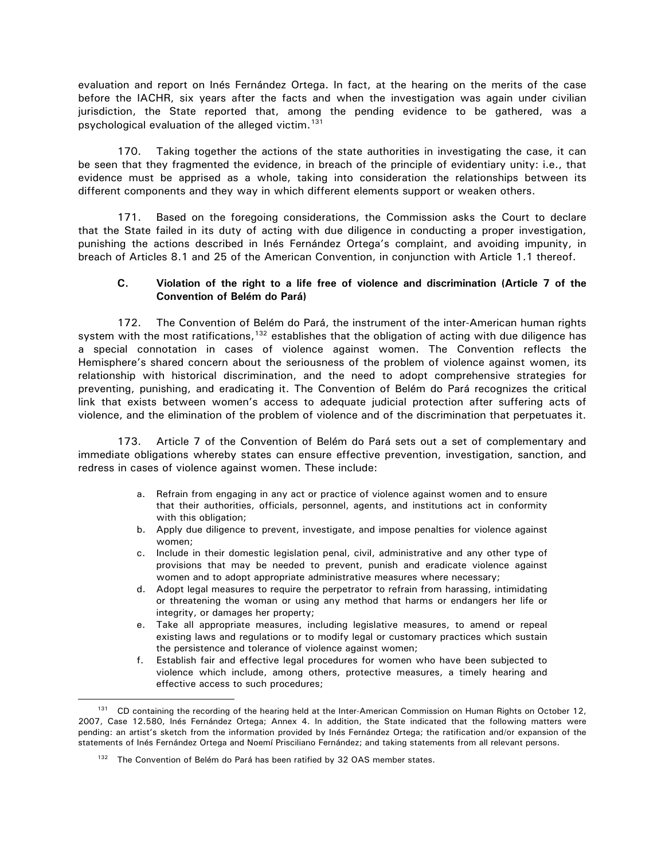<span id="page-39-0"></span>evaluation and report on Inés Fernández Ortega. In fact, at the hearing on the merits of the case before the IACHR, six years after the facts and when the investigation was again under civilian jurisdiction, the State reported that, among the pending evidence to be gathered, was a psychological evaluation of the alleged victim.<sup>[131](#page-39-1)</sup>

170. Taking together the actions of the state authorities in investigating the case, it can be seen that they fragmented the evidence, in breach of the principle of evidentiary unity: i.e., that evidence must be apprised as a whole, taking into consideration the relationships between its different components and they way in which different elements support or weaken others.

171. Based on the foregoing considerations, the Commission asks the Court to declare that the State failed in its duty of acting with due diligence in conducting a proper investigation, punishing the actions described in Inés Fernández Ortega's complaint, and avoiding impunity, in breach of Articles 8.1 and 25 of the American Convention, in conjunction with Article 1.1 thereof.

# **C. Violation of the right to a life free of violence and discrimination (Article 7 of the Convention of Belém do Pará)**

172. The Convention of Belém do Pará, the instrument of the inter-American human rights system with the most ratifications,  $132$  establishes that the obligation of acting with due diligence has a special connotation in cases of violence against women. The Convention reflects the Hemisphere's shared concern about the seriousness of the problem of violence against women, its relationship with historical discrimination, and the need to adopt comprehensive strategies for preventing, punishing, and eradicating it. The Convention of Belém do Pará recognizes the critical link that exists between women's access to adequate judicial protection after suffering acts of violence, and the elimination of the problem of violence and of the discrimination that perpetuates it.

173. Article 7 of the Convention of Belém do Pará sets out a set of complementary and immediate obligations whereby states can ensure effective prevention, investigation, sanction, and redress in cases of violence against women. These include:

- a. Refrain from engaging in any act or practice of violence against women and to ensure that their authorities, officials, personnel, agents, and institutions act in conformity with this obligation;
- b. Apply due diligence to prevent, investigate, and impose penalties for violence against women;
- c. Include in their domestic legislation penal, civil, administrative and any other type of provisions that may be needed to prevent, punish and eradicate violence against women and to adopt appropriate administrative measures where necessary;
- d. Adopt legal measures to require the perpetrator to refrain from harassing, intimidating or threatening the woman or using any method that harms or endangers her life or integrity, or damages her property;
- e. Take all appropriate measures, including legislative measures, to amend or repeal existing laws and regulations or to modify legal or customary practices which sustain the persistence and tolerance of violence against women;
- f. Establish fair and effective legal procedures for women who have been subjected to violence which include, among others, protective measures, a timely hearing and effective access to such procedures;

<span id="page-39-2"></span><span id="page-39-1"></span><sup>&</sup>lt;sup>131</sup> CD containing the recording of the hearing held at the Inter-American Commission on Human Rights on October 12, 2007, Case 12.580, Inés Fernández Ortega; Annex 4. In addition, the State indicated that the following matters were pending: an artist's sketch from the information provided by Inés Fernández Ortega; the ratification and/or expansion of the statements of Inés Fernández Ortega and Noemí Prisciliano Fernández; and taking statements from all relevant persons.

 $132$  The Convention of Belém do Pará has been ratified by 32 OAS member states.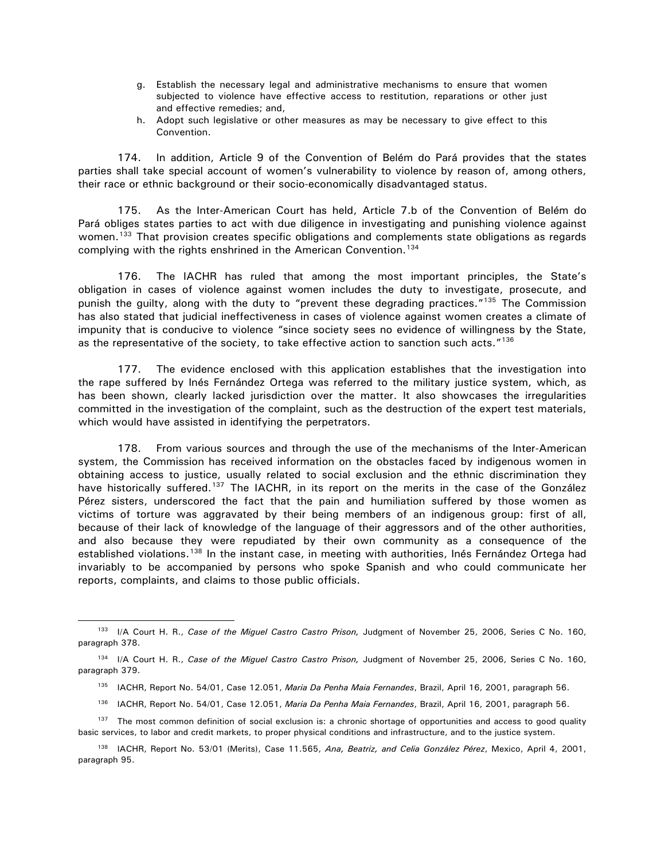- g. Establish the necessary legal and administrative mechanisms to ensure that women subjected to violence have effective access to restitution, reparations or other just and effective remedies; and,
- h. Adopt such legislative or other measures as may be necessary to give effect to this Convention.

174. In addition, Article 9 of the Convention of Belém do Pará provides that the states parties shall take special account of women's vulnerability to violence by reason of, among others, their race or ethnic background or their socio-economically disadvantaged status.

175. As the Inter-American Court has held, Article 7.b of the Convention of Belém do Pará obliges states parties to act with due diligence in investigating and punishing violence against women.<sup>[133](#page-40-0)</sup> That provision creates specific obligations and complements state obligations as regards complying with the rights enshrined in the American Convention.<sup>134</sup>

176. The IACHR has ruled that among the most important principles, the State's obligation in cases of violence against women includes the duty to investigate, prosecute, and punish the guilty, along with the duty to "prevent these degrading practices."<sup>[135](#page-40-2)</sup> The Commission has also stated that judicial ineffectiveness in cases of violence against women creates a climate of impunity that is conducive to violence "since society sees no evidence of willingness by the State, as the representative of the society, to take effective action to sanction such acts."[136](#page-40-3)

177. The evidence enclosed with this application establishes that the investigation into the rape suffered by Inés Fernández Ortega was referred to the military justice system, which, as has been shown, clearly lacked jurisdiction over the matter. It also showcases the irregularities committed in the investigation of the complaint, such as the destruction of the expert test materials, which would have assisted in identifying the perpetrators.

178. From various sources and through the use of the mechanisms of the Inter-American system, the Commission has received information on the obstacles faced by indigenous women in obtaining access to justice, usually related to social exclusion and the ethnic discrimination they have historically suffered.<sup>[137](#page-40-4)</sup> The IACHR, in its report on the merits in the case of the González Pérez sisters, underscored the fact that the pain and humiliation suffered by those women as victims of torture was aggravated by their being members of an indigenous group: first of all, because of their lack of knowledge of the language of their aggressors and of the other authorities, and also because they were repudiated by their own community as a consequence of the established violations.<sup>[138](#page-40-5)</sup> In the instant case, in meeting with authorities, Inés Fernández Ortega had invariably to be accompanied by persons who spoke Spanish and who could communicate her reports, complaints, and claims to those public officials.

- <sup>135</sup> IACHR, Report No. 54/01, Case 12.051, Maria Da Penha Maia Fernandes, Brazil, April 16, 2001, paragraph 56.
- <sup>136</sup> IACHR, Report No. 54/01, Case 12.051, *Maria Da Penha Maia Fernandes*, Brazil, April 16, 2001, paragraph 56.
- <span id="page-40-4"></span><span id="page-40-3"></span>137 The most common definition of social exclusion is: a chronic shortage of opportunities and access to good quality basic services, to labor and credit markets, to proper physical conditions and infrastructure, and to the justice system.
- <span id="page-40-5"></span><sup>138</sup> IACHR, Report No. 53/01 (Merits), Case 11.565, *Ana, Beatriz, and Celia González Pérez*, Mexico, April 4, 2001, paragraph 95.

<span id="page-40-0"></span><sup>133</sup> I/A Court H. R., *Case of the Miguel Castro Castro Prison,* Judgment of November 25, 2006, Series C No. 160, paragraph 378.

<span id="page-40-2"></span><span id="page-40-1"></span><sup>134</sup> I/A Court H. R., *Case of the Miguel Castro Castro Prison,* Judgment of November 25, 2006, Series C No. 160, paragraph 379.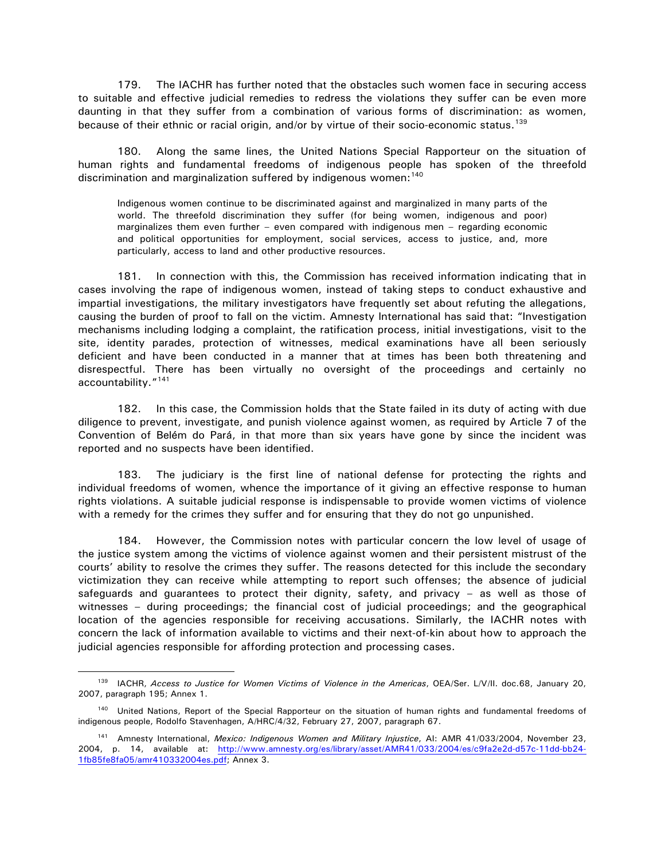179. The IACHR has further noted that the obstacles such women face in securing access to suitable and effective judicial remedies to redress the violations they suffer can be even more daunting in that they suffer from a combination of various forms of discrimination: as women, because of their ethnic or racial origin, and/or by virtue of their socio-economic status.<sup>[139](#page-41-0)</sup>

180. Along the same lines, the United Nations Special Rapporteur on the situation of human rights and fundamental freedoms of indigenous people has spoken of the threefold discrimination and marginalization suffered by indigenous women:<sup>140</sup>

Indigenous women continue to be discriminated against and marginalized in many parts of the world. The threefold discrimination they suffer (for being women, indigenous and poor) marginalizes them even further – even compared with indigenous men – regarding economic and political opportunities for employment, social services, access to justice, and, more particularly, access to land and other productive resources.

181. In connection with this, the Commission has received information indicating that in cases involving the rape of indigenous women, instead of taking steps to conduct exhaustive and impartial investigations, the military investigators have frequently set about refuting the allegations, causing the burden of proof to fall on the victim. Amnesty International has said that: "Investigation mechanisms including lodging a complaint, the ratification process, initial investigations, visit to the site, identity parades, protection of witnesses, medical examinations have all been seriously deficient and have been conducted in a manner that at times has been both threatening and disrespectful. There has been virtually no oversight of the proceedings and certainly no accountability."[141](#page-41-2)

182. In this case, the Commission holds that the State failed in its duty of acting with due diligence to prevent, investigate, and punish violence against women, as required by Article 7 of the Convention of Belém do Pará, in that more than six years have gone by since the incident was reported and no suspects have been identified.

183. The judiciary is the first line of national defense for protecting the rights and individual freedoms of women, whence the importance of it giving an effective response to human rights violations. A suitable judicial response is indispensable to provide women victims of violence with a remedy for the crimes they suffer and for ensuring that they do not go unpunished.

184. However, the Commission notes with particular concern the low level of usage of the justice system among the victims of violence against women and their persistent mistrust of the courts' ability to resolve the crimes they suffer. The reasons detected for this include the secondary victimization they can receive while attempting to report such offenses; the absence of judicial safeguards and guarantees to protect their dignity, safety, and privacy – as well as those of witnesses – during proceedings; the financial cost of judicial proceedings; and the geographical location of the agencies responsible for receiving accusations. Similarly, the IACHR notes with concern the lack of information available to victims and their next-of-kin about how to approach the judicial agencies responsible for affording protection and processing cases.

<span id="page-41-0"></span><sup>139</sup> IACHR, *Access to Justice for Women Victims of Violence in the Americas*, OEA/Ser. L/V/II. doc.68, January 20, 2007, paragraph 195; Annex 1.

<span id="page-41-1"></span><sup>&</sup>lt;sup>140</sup> United Nations, Report of the Special Rapporteur on the situation of human rights and fundamental freedoms of indigenous people, Rodolfo Stavenhagen, A/HRC/4/32, February 27, 2007, paragraph 67.

<span id="page-41-2"></span><sup>141</sup> Amnesty International, *Mexico: Indigenous Women and Military Injustice*, AI: AMR 41/033/2004, November 23, 2004, p. 14, available at: [http://www.amnesty.org/es/library/asset/AMR41/033/2004/es/c9fa2e2d-d57c-11dd-bb24-](http://www.amnesty.org/es/library/asset/AMR41/033/2004/es/c9fa2e2d-d57c-11dd-bb24-1fb85fe8fa05/amr410332004es.pdf) [1fb85fe8fa05/amr410332004es.pdf;](http://www.amnesty.org/es/library/asset/AMR41/033/2004/es/c9fa2e2d-d57c-11dd-bb24-1fb85fe8fa05/amr410332004es.pdf) Annex 3.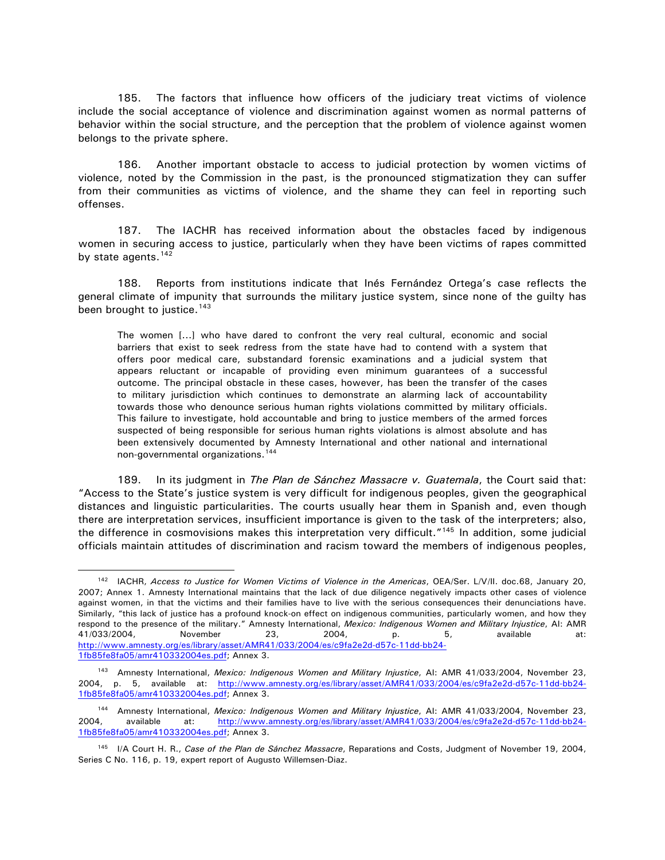185. The factors that influence how officers of the judiciary treat victims of violence include the social acceptance of violence and discrimination against women as normal patterns of behavior within the social structure, and the perception that the problem of violence against women belongs to the private sphere.

186. Another important obstacle to access to judicial protection by women victims of violence, noted by the Commission in the past, is the pronounced stigmatization they can suffer from their communities as victims of violence, and the shame they can feel in reporting such offenses.

187. The IACHR has received information about the obstacles faced by indigenous women in securing access to justice, particularly when they have been victims of rapes committed by state agents.<sup>[142](#page-42-0)</sup>

188. Reports from institutions indicate that Inés Fernández Ortega's case reflects the general climate of impunity that surrounds the military justice system, since none of the guilty has been brought to justice.<sup>[143](#page-42-1)</sup>

The women [...] who have dared to confront the very real cultural, economic and social barriers that exist to seek redress from the state have had to contend with a system that offers poor medical care, substandard forensic examinations and a judicial system that appears reluctant or incapable of providing even minimum guarantees of a successful outcome. The principal obstacle in these cases, however, has been the transfer of the cases to military jurisdiction which continues to demonstrate an alarming lack of accountability towards those who denounce serious human rights violations committed by military officials. This failure to investigate, hold accountable and bring to justice members of the armed forces suspected of being responsible for serious human rights violations is almost absolute and has been extensively documented by Amnesty International and other national and international non-governmental organizations.<sup>[144](#page-42-2)</sup>

189. In its judgment in *The Plan de Sánchez Massacre v. Guatemala*, the Court said that: "Access to the State's justice system is very difficult for indigenous peoples, given the geographical distances and linguistic particularities. The courts usually hear them in Spanish and, even though there are interpretation services, insufficient importance is given to the task of the interpreters; also, the difference in cosmovisions makes this interpretation very difficult."<sup>[145](#page-42-3)</sup> In addition, some judicial officials maintain attitudes of discrimination and racism toward the members of indigenous peoples,

<span id="page-42-0"></span><sup>142</sup> IACHR, *Access to Justice for Women Victims of Violence in the Americas*, OEA/Ser. L/V/II. doc.68, January 20, 2007; Annex 1. Amnesty International maintains that the lack of due diligence negatively impacts other cases of violence against women, in that the victims and their families have to live with the serious consequences their denunciations have. Similarly, "this lack of justice has a profound knock-on effect on indigenous communities, particularly women, and how they respond to the presence of the military." Amnesty International, *Mexico: Indigenous Women and Military Injustice*, AI: AMR 41/033/2004, November 23, 2004, p. 5, available at: [http://www.amnesty.org/es/library/asset/AMR41/033/2004/es/c9fa2e2d-d57c-11dd-bb24-](http://www.amnesty.org/es/library/asset/AMR41/033/2004/es/c9fa2e2d-d57c-11dd-bb24-1fb85fe8fa05/amr410332004es.pdf) [1fb85fe8fa05/amr410332004es.pdf;](http://www.amnesty.org/es/library/asset/AMR41/033/2004/es/c9fa2e2d-d57c-11dd-bb24-1fb85fe8fa05/amr410332004es.pdf) Annex 3.

<span id="page-42-1"></span><sup>143</sup> Amnesty International, *Mexico: Indigenous Women and Military Injustice*, AI: AMR 41/033/2004, November 23, 2004, p. 5, available at: [http://www.amnesty.org/es/library/asset/AMR41/033/2004/es/c9fa2e2d-d57c-11dd-bb24-](http://www.amnesty.org/es/library/asset/AMR41/033/2004/es/c9fa2e2d-d57c-11dd-bb24-1fb85fe8fa05/amr410332004es.pdf) [1fb85fe8fa05/amr410332004es.pdf;](http://www.amnesty.org/es/library/asset/AMR41/033/2004/es/c9fa2e2d-d57c-11dd-bb24-1fb85fe8fa05/amr410332004es.pdf) Annex 3.

<span id="page-42-2"></span><sup>144</sup> Amnesty International, *Mexico: Indigenous Women and Military Injustice*, AI: AMR 41/033/2004, November 23, 2004, available at: [http://www.amnesty.org/es/library/asset/AMR41/033/2004/es/c9fa2e2d-d57c-11dd-bb24-](http://www.amnesty.org/es/library/asset/AMR41/033/2004/es/c9fa2e2d-d57c-11dd-bb24-1fb85fe8fa05/amr410332004es.pdf) [1fb85fe8fa05/amr410332004es.pdf;](http://www.amnesty.org/es/library/asset/AMR41/033/2004/es/c9fa2e2d-d57c-11dd-bb24-1fb85fe8fa05/amr410332004es.pdf) Annex 3.

<span id="page-42-3"></span><sup>145</sup> I/A Court H. R., *Case of the Plan de Sánchez Massacre*, Reparations and Costs, Judgment of November 19, 2004, Series C No. 116, p. 19, expert report of Augusto Willemsen-Diaz.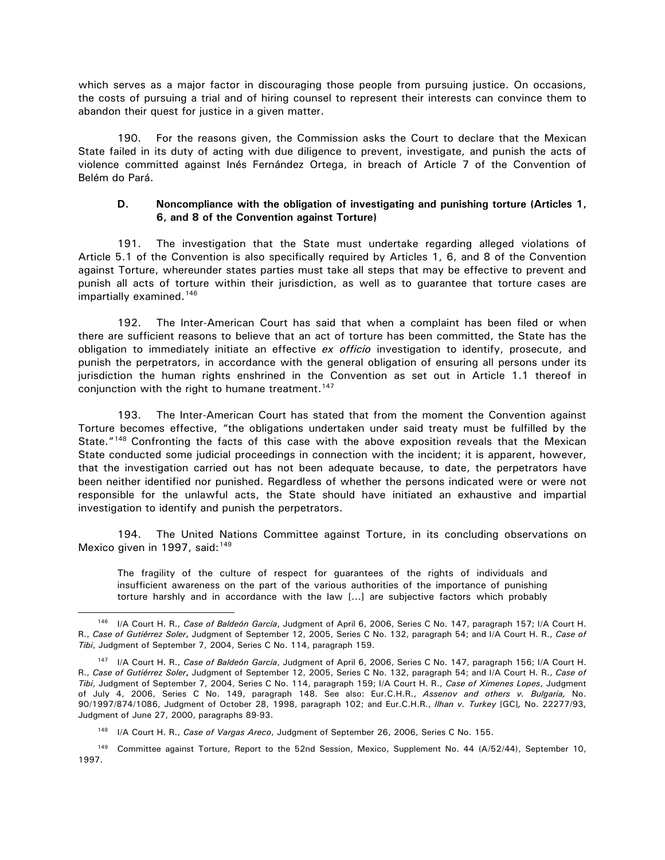<span id="page-43-0"></span>which serves as a major factor in discouraging those people from pursuing justice. On occasions, the costs of pursuing a trial and of hiring counsel to represent their interests can convince them to abandon their quest for justice in a given matter.

190. For the reasons given, the Commission asks the Court to declare that the Mexican State failed in its duty of acting with due diligence to prevent, investigate, and punish the acts of violence committed against Inés Fernández Ortega, in breach of Article 7 of the Convention of Belém do Pará.

#### **D. Noncompliance with the obligation of investigating and punishing torture (Articles 1, 6, and 8 of the Convention against Torture)**

191. The investigation that the State must undertake regarding alleged violations of Article 5.1 of the Convention is also specifically required by Articles 1, 6, and 8 of the Convention against Torture, whereunder states parties must take all steps that may be effective to prevent and punish all acts of torture within their jurisdiction, as well as to guarantee that torture cases are impartially examined.<sup>[146](#page-43-1)</sup>

192. The Inter-American Court has said that when a complaint has been filed or when there are sufficient reasons to believe that an act of torture has been committed, the State has the obligation to immediately initiate an effective *ex officio* investigation to identify, prosecute, and punish the perpetrators, in accordance with the general obligation of ensuring all persons under its jurisdiction the human rights enshrined in the Convention as set out in Article 1.1 thereof in conjunction with the right to humane treatment.<sup>147</sup>

193. The Inter-American Court has stated that from the moment the Convention against Torture becomes effective, "the obligations undertaken under said treaty must be fulfilled by the State."<sup>[148](#page-43-3)</sup> Confronting the facts of this case with the above exposition reveals that the Mexican State conducted some judicial proceedings in connection with the incident; it is apparent, however, that the investigation carried out has not been adequate because, to date, the perpetrators have been neither identified nor punished. Regardless of whether the persons indicated were or were not responsible for the unlawful acts, the State should have initiated an exhaustive and impartial investigation to identify and punish the perpetrators.

194. The United Nations Committee against Torture, in its concluding observations on Mexico given in 1997, said:<sup>[149](#page-43-4)</sup>

The fragility of the culture of respect for guarantees of the rights of individuals and insufficient awareness on the part of the various authorities of the importance of punishing torture harshly and in accordance with the law [...] are subjective factors which probably

<span id="page-43-1"></span><sup>146</sup> I/A Court H. R., *Case of Baldeón García*, Judgment of April 6, 2006, Series C No. 147, paragraph 157; I/A Court H. R., *Case of Gutiérrez Soler***,** Judgment of September 12, 2005, Series C No. 132, paragraph 54; and I/A Court H. R., *Case of Tibi*, Judgment of September 7, 2004, Series C No. 114, paragraph 159.

<span id="page-43-2"></span><sup>147</sup> I/A Court H. R., *Case of Baldeón García*, Judgment of April 6, 2006, Series C No. 147, paragraph 156; I/A Court H. R., *Case of Gutiérrez Soler***,** Judgment of September 12, 2005, Series C No. 132, paragraph 54; and I/A Court H. R., *Case of Tibi*, Judgment of September 7, 2004, Series C No. 114, paragraph 159; I/A Court H. R., *Case of Ximenes Lopes*, Judgment of July 4, 2006, Series C No. 149, paragraph 148. See also: Eur.C.H.R., *Assenov and others v. Bulgaria,* No. 90/1997/874/1086, Judgment of October 28, 1998, paragraph 102; and Eur.C.H.R., *Ilhan v. Turkey* [GC]*,* No. 22277/93, Judgment of June 27, 2000, paragraphs 89-93.

I/A Court H. R., Case of Vargas Areco, Judgment of September 26, 2006, Series C No. 155.

<span id="page-43-4"></span><span id="page-43-3"></span><sup>149</sup> Committee against Torture, Report to the 52nd Session, Mexico, Supplement No. 44 (A/52/44), September 10, 1997.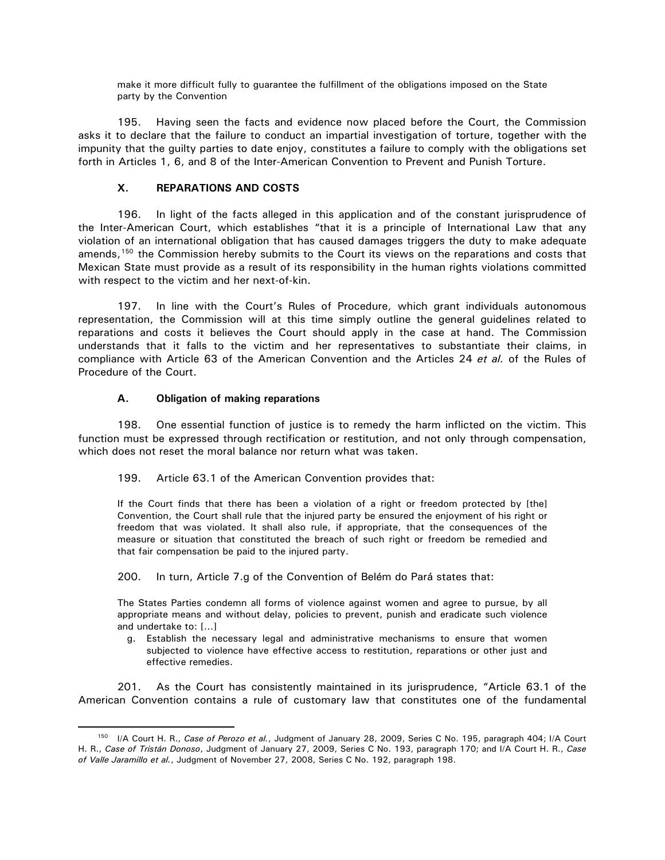make it more difficult fully to guarantee the fulfillment of the obligations imposed on the State party by the Convention

<span id="page-44-0"></span>195. Having seen the facts and evidence now placed before the Court, the Commission asks it to declare that the failure to conduct an impartial investigation of torture, together with the impunity that the guilty parties to date enjoy, constitutes a failure to comply with the obligations set forth in Articles 1, 6, and 8 of the Inter-American Convention to Prevent and Punish Torture.

# **X. REPARATIONS AND COSTS**

196. In light of the facts alleged in this application and of the constant jurisprudence of the Inter-American Court, which establishes "that it is a principle of International Law that any violation of an international obligation that has caused damages triggers the duty to make adequate amends,<sup>[150](#page-44-1)</sup> the Commission hereby submits to the Court its views on the reparations and costs that Mexican State must provide as a result of its responsibility in the human rights violations committed with respect to the victim and her next-of-kin.

197. In line with the Court's Rules of Procedure, which grant individuals autonomous representation, the Commission will at this time simply outline the general guidelines related to reparations and costs it believes the Court should apply in the case at hand. The Commission understands that it falls to the victim and her representatives to substantiate their claims, in compliance with Article 63 of the American Convention and the Articles 24 *et al.* of the Rules of Procedure of the Court.

#### **A. Obligation of making reparations**

 $\overline{a}$ 

198. One essential function of justice is to remedy the harm inflicted on the victim. This function must be expressed through rectification or restitution, and not only through compensation, which does not reset the moral balance nor return what was taken.

199. Article 63.1 of the American Convention provides that:

If the Court finds that there has been a violation of a right or freedom protected by [the] Convention, the Court shall rule that the injured party be ensured the enjoyment of his right or freedom that was violated. It shall also rule, if appropriate, that the consequences of the measure or situation that constituted the breach of such right or freedom be remedied and that fair compensation be paid to the injured party.

200. In turn, Article 7.g of the Convention of Belém do Pará states that:

The States Parties condemn all forms of violence against women and agree to pursue, by all appropriate means and without delay, policies to prevent, punish and eradicate such violence and undertake to: […]

g. Establish the necessary legal and administrative mechanisms to ensure that women subjected to violence have effective access to restitution, reparations or other just and effective remedies.

201. As the Court has consistently maintained in its jurisprudence, "Article 63.1 of the American Convention contains a rule of customary law that constitutes one of the fundamental

<span id="page-44-1"></span><sup>150</sup> I/A Court H. R., *Case of Perozo et al.*, Judgment of January 28, 2009, Series C No. 195, paragraph 404; I/A Court H. R., *Case of Tristán Donoso*, Judgment of January 27, 2009, Series C No. 193, paragraph 170; and I/A Court H. R., *Case of Valle Jaramillo et al.*, Judgment of November 27, 2008, Series C No. 192, paragraph 198.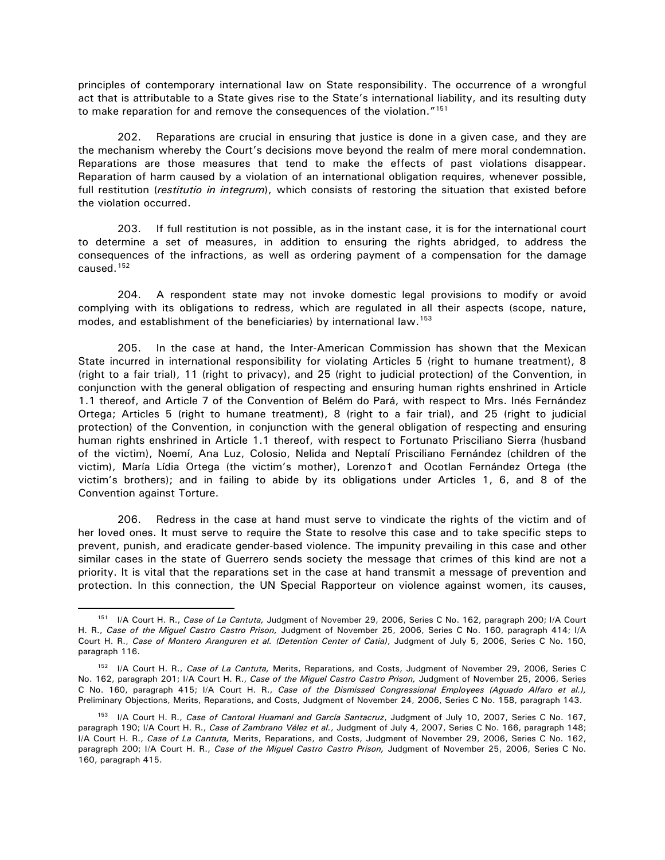principles of contemporary international law on State responsibility. The occurrence of a wrongful act that is attributable to a State gives rise to the State's international liability, and its resulting duty to make reparation for and remove the consequences of the violation."[151](#page-45-0)

202. Reparations are crucial in ensuring that justice is done in a given case, and they are the mechanism whereby the Court's decisions move beyond the realm of mere moral condemnation. Reparations are those measures that tend to make the effects of past violations disappear. Reparation of harm caused by a violation of an international obligation requires, whenever possible, full restitution (*restitutio in integrum*), which consists of restoring the situation that existed before the violation occurred.

203. If full restitution is not possible, as in the instant case, it is for the international court to determine a set of measures, in addition to ensuring the rights abridged, to address the consequences of the infractions, as well as ordering payment of a compensation for the damage caused.[152](#page-45-1)

204. A respondent state may not invoke domestic legal provisions to modify or avoid complying with its obligations to redress, which are regulated in all their aspects (scope, nature, modes, and establishment of the beneficiaries) by international law.<sup>[153](#page-45-2)</sup>

205. In the case at hand, the Inter-American Commission has shown that the Mexican State incurred in international responsibility for violating Articles 5 (right to humane treatment), 8 (right to a fair trial), 11 (right to privacy), and 25 (right to judicial protection) of the Convention, in conjunction with the general obligation of respecting and ensuring human rights enshrined in Article 1.1 thereof, and Article 7 of the Convention of Belém do Pará, with respect to Mrs. Inés Fernández Ortega; Articles 5 (right to humane treatment), 8 (right to a fair trial), and 25 (right to judicial protection) of the Convention, in conjunction with the general obligation of respecting and ensuring human rights enshrined in Article 1.1 thereof, with respect to Fortunato Prisciliano Sierra (husband of the victim), Noemí, Ana Luz, Colosio, Nelida and Neptalí Prisciliano Fernández (children of the victim), María Lídia Ortega (the victim's mother), Lorenzo† and Ocotlan Fernández Ortega (the victim's brothers); and in failing to abide by its obligations under Articles 1, 6, and 8 of the Convention against Torture.

206. Redress in the case at hand must serve to vindicate the rights of the victim and of her loved ones. It must serve to require the State to resolve this case and to take specific steps to prevent, punish, and eradicate gender-based violence. The impunity prevailing in this case and other similar cases in the state of Guerrero sends society the message that crimes of this kind are not a priority. It is vital that the reparations set in the case at hand transmit a message of prevention and protection. In this connection, the UN Special Rapporteur on violence against women, its causes,

<span id="page-45-0"></span><sup>151</sup> I/A Court H. R., *Case of La Cantuta,* Judgment of November 29, 2006, Series C No. 162, paragraph 200; I/A Court H. R., *Case of the Miguel Castro Castro Prison,* Judgment of November 25, 2006, Series C No. 160, paragraph 414; I/A Court H. R., *Case of Montero Aranguren et al. (Detention Center of Catia)*, Judgment of July 5, 2006, Series C No. 150, paragraph 116.

<span id="page-45-1"></span><sup>152</sup> I/A Court H. R., *Case of La Cantuta,* Merits, Reparations, and Costs, Judgment of November 29, 2006, Series C No. 162, paragraph 201; I/A Court H. R., *Case of the Miguel Castro Castro Prison,* Judgment of November 25, 2006, Series C No. 160, paragraph 415; I/A Court H. R., *Case of the Dismissed Congressional Employees (Aguado Alfaro et al.),*  Preliminary Objections, Merits, Reparations, and Costs, Judgment of November 24, 2006, Series C No. 158, paragraph 143.

<span id="page-45-2"></span><sup>153</sup> I/A Court H. R., *Case of Cantoral Huamaní and García Santacruz*, Judgment of July 10, 2007, Series C No. 167, paragraph 190; I/A Court H. R., *Case of Zambrano Vélez et al.*, Judgment of July 4, 2007, Series C No. 166, paragraph 148; I/A Court H. R., *Case of La Cantuta,* Merits, Reparations, and Costs, Judgment of November 29, 2006, Series C No. 162, paragraph 200; I/A Court H. R., *Case of the Miguel Castro Castro Prison,* Judgment of November 25, 2006, Series C No. 160, paragraph 415.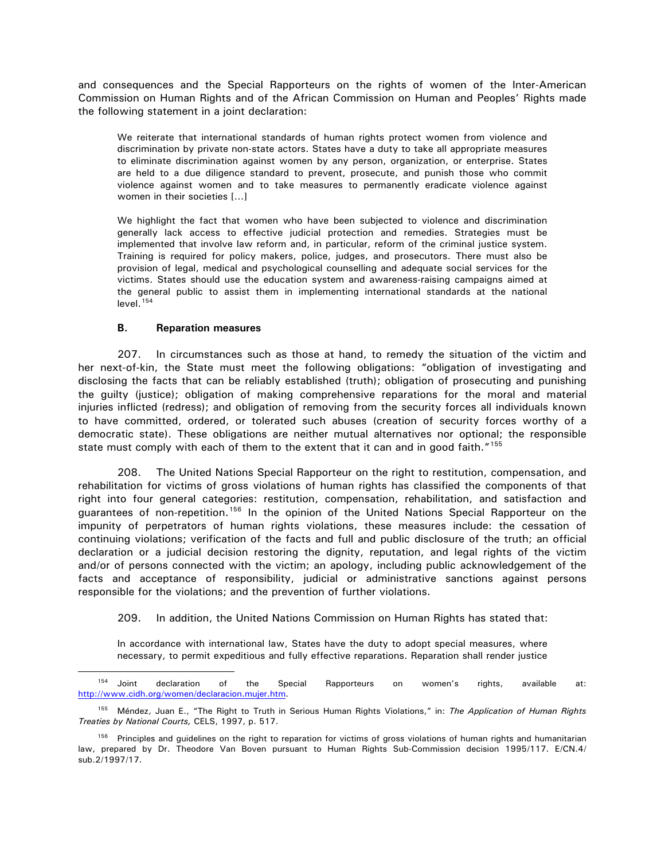<span id="page-46-0"></span>and consequences and the Special Rapporteurs on the rights of women of the Inter-American Commission on Human Rights and of the African Commission on Human and Peoples' Rights made the following statement in a joint declaration:

We reiterate that international standards of human rights protect women from violence and discrimination by private non-state actors. States have a duty to take all appropriate measures to eliminate discrimination against women by any person, organization, or enterprise. States are held to a due diligence standard to prevent, prosecute, and punish those who commit violence against women and to take measures to permanently eradicate violence against women in their societies […]

We highlight the fact that women who have been subjected to violence and discrimination generally lack access to effective judicial protection and remedies. Strategies must be implemented that involve law reform and, in particular, reform of the criminal justice system. Training is required for policy makers, police, judges, and prosecutors. There must also be provision of legal, medical and psychological counselling and adequate social services for the victims. States should use the education system and awareness-raising campaigns aimed at the general public to assist them in implementing international standards at the national  $level.<sup>154</sup>$  $level.<sup>154</sup>$  $level.<sup>154</sup>$ 

#### **B. Reparation measures**

 $\overline{a}$ 

207. In circumstances such as those at hand, to remedy the situation of the victim and her next-of-kin, the State must meet the following obligations: "obligation of investigating and disclosing the facts that can be reliably established (truth); obligation of prosecuting and punishing the guilty (justice); obligation of making comprehensive reparations for the moral and material injuries inflicted (redress); and obligation of removing from the security forces all individuals known to have committed, ordered, or tolerated such abuses (creation of security forces worthy of a democratic state). These obligations are neither mutual alternatives nor optional; the responsible state must comply with each of them to the extent that it can and in good faith."<sup>[155](#page-46-2)</sup>

208. The United Nations Special Rapporteur on the right to restitution, compensation, and rehabilitation for victims of gross violations of human rights has classified the components of that right into four general categories: restitution, compensation, rehabilitation, and satisfaction and guarantees of non-repetition.<sup>[156](#page-46-3)</sup> In the opinion of the United Nations Special Rapporteur on the impunity of perpetrators of human rights violations, these measures include: the cessation of continuing violations; verification of the facts and full and public disclosure of the truth; an official declaration or a judicial decision restoring the dignity, reputation, and legal rights of the victim and/or of persons connected with the victim; an apology, including public acknowledgement of the facts and acceptance of responsibility, judicial or administrative sanctions against persons responsible for the violations; and the prevention of further violations.

209. In addition, the United Nations Commission on Human Rights has stated that:

In accordance with international law, States have the duty to adopt special measures, where necessary, to permit expeditious and fully effective reparations. Reparation shall render justice

<span id="page-46-1"></span><sup>&</sup>lt;sup>154</sup> Joint declaration of the Special Rapporteurs on women's rights, available at: <http://www.cidh.org/women/declaracion.mujer.htm>.

<span id="page-46-2"></span><sup>155</sup> Méndez, Juan E., "The Right to Truth in Serious Human Rights Violations," in: *The Application of Human Rights Treaties by National Courts,* CELS, 1997, p. 517.

<span id="page-46-3"></span><sup>&</sup>lt;sup>156</sup> Principles and guidelines on the right to reparation for victims of gross violations of human rights and humanitarian law, prepared by Dr. Theodore Van Boven pursuant to Human Rights Sub-Commission decision 1995/117. E/CN.4/ sub.2/1997/17.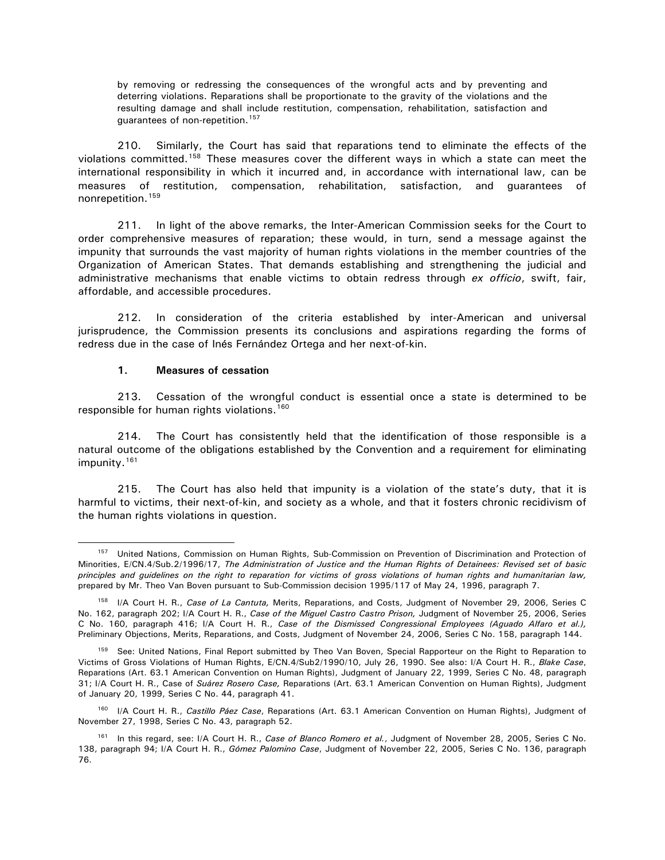<span id="page-47-0"></span>by removing or redressing the consequences of the wrongful acts and by preventing and deterring violations. Reparations shall be proportionate to the gravity of the violations and the resulting damage and shall include restitution, compensation, rehabilitation, satisfaction and guarantees of non-repetition.<sup>[157](#page-47-1)</sup>

210. Similarly, the Court has said that reparations tend to eliminate the effects of the violations committed.<sup>[158](#page-47-2)</sup> These measures cover the different ways in which a state can meet the international responsibility in which it incurred and, in accordance with international law, can be measures of restitution, compensation, rehabilitation, satisfaction, and guarantees of nonrepetition[.159](#page-47-3)

211. In light of the above remarks, the Inter-American Commission seeks for the Court to order comprehensive measures of reparation; these would, in turn, send a message against the impunity that surrounds the vast majority of human rights violations in the member countries of the Organization of American States. That demands establishing and strengthening the judicial and administrative mechanisms that enable victims to obtain redress through *ex officio*, swift, fair, affordable, and accessible procedures.

212. In consideration of the criteria established by inter-American and universal jurisprudence, the Commission presents its conclusions and aspirations regarding the forms of redress due in the case of Inés Fernández Ortega and her next-of-kin.

#### **1. Measures of cessation**

 $\overline{a}$ 

213. Cessation of the wrongful conduct is essential once a state is determined to be responsible for human rights violations.<sup>[160](#page-47-4)</sup>

214. The Court has consistently held that the identification of those responsible is a natural outcome of the obligations established by the Convention and a requirement for eliminating impunity.<sup>[161](#page-47-5)</sup>

215. The Court has also held that impunity is a violation of the state's duty, that it is harmful to victims, their next-of-kin, and society as a whole, and that it fosters chronic recidivism of the human rights violations in question.

<span id="page-47-1"></span><sup>157</sup> United Nations, Commission on Human Rights, Sub-Commission on Prevention of Discrimination and Protection of Minorities, E/CN.4/Sub.2/1996/17, *The Administration of Justice and the Human Rights of Detainees: Revised set of basic principles and guidelines on the right to reparation for victims of gross violations of human rights and humanitarian law,* prepared by Mr. Theo Van Boven pursuant to Sub-Commission decision 1995/117 of May 24, 1996, paragraph 7.

<span id="page-47-2"></span><sup>158</sup> I/A Court H. R., *Case of La Cantuta,* Merits, Reparations, and Costs, Judgment of November 29, 2006, Series C No. 162, paragraph 202; I/A Court H. R., *Case of the Miguel Castro Castro Prison,* Judgment of November 25, 2006, Series C No. 160, paragraph 416; I/A Court H. R., *Case of the Dismissed Congressional Employees (Aguado Alfaro et al.),*  Preliminary Objections, Merits, Reparations, and Costs, Judgment of November 24, 2006, Series C No. 158, paragraph 144.

<span id="page-47-3"></span><sup>&</sup>lt;sup>159</sup> See: United Nations, Final Report submitted by Theo Van Boven, Special Rapporteur on the Right to Reparation to Victims of Gross Violations of Human Rights, E/CN.4/Sub2/1990/10, July 26, 1990. See also: I/A Court H. R., *Blake Case*, Reparations (Art. 63.1 American Convention on Human Rights), Judgment of January 22, 1999, Series C No. 48, paragraph 31; I/A Court H. R., Case of *Suárez Rosero Case,* Reparations (Art. 63.1 American Convention on Human Rights), Judgment of January 20, 1999, Series C No. 44, paragraph 41.

<span id="page-47-4"></span><sup>160</sup> I/A Court H. R., *Castillo Páez Case*, Reparations (Art. 63.1 American Convention on Human Rights), Judgment of November 27, 1998, Series C No. 43, paragraph 52.

<span id="page-47-5"></span><sup>161</sup> In this regard, see: I/A Court H. R., *Case of Blanco Romero et al.*, Judgment of November 28, 2005, Series C No. 138, paragraph 94; I/A Court H. R., *Gómez Palomino Case*, Judgment of November 22, 2005, Series C No. 136, paragraph 76.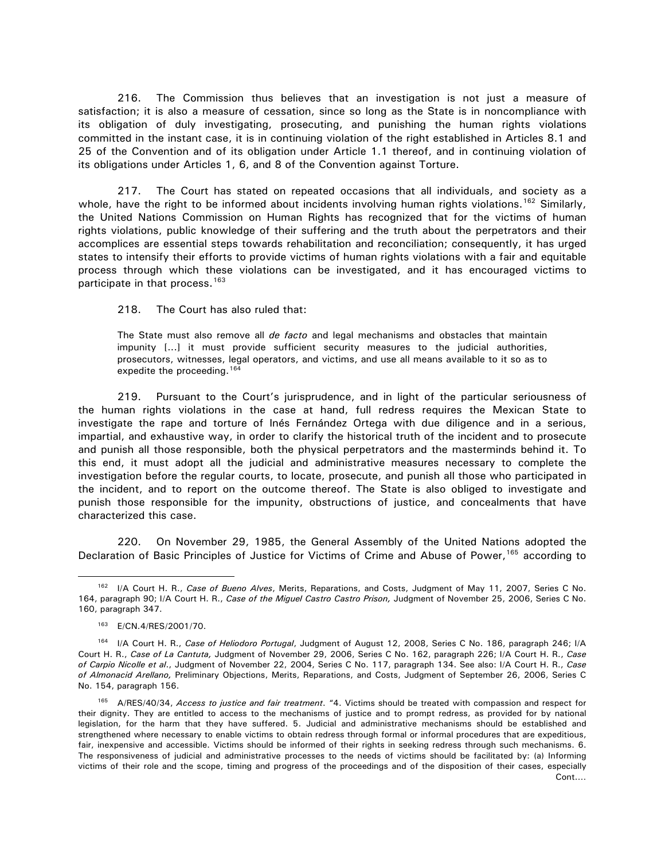216. The Commission thus believes that an investigation is not just a measure of satisfaction; it is also a measure of cessation, since so long as the State is in noncompliance with its obligation of duly investigating, prosecuting, and punishing the human rights violations committed in the instant case, it is in continuing violation of the right established in Articles 8.1 and 25 of the Convention and of its obligation under Article 1.1 thereof, and in continuing violation of its obligations under Articles 1, 6, and 8 of the Convention against Torture.

217. The Court has stated on repeated occasions that all individuals, and society as a whole, have the right to be informed about incidents involving human rights violations.<sup>[162](#page-48-0)</sup> Similarly, the United Nations Commission on Human Rights has recognized that for the victims of human rights violations, public knowledge of their suffering and the truth about the perpetrators and their accomplices are essential steps towards rehabilitation and reconciliation; consequently, it has urged states to intensify their efforts to provide victims of human rights violations with a fair and equitable process through which these violations can be investigated, and it has encouraged victims to participate in that process.<sup>[163](#page-48-1)</sup>

218. The Court has also ruled that:

The State must also remove all *de facto* and legal mechanisms and obstacles that maintain impunity [...] it must provide sufficient security measures to the judicial authorities, prosecutors, witnesses, legal operators, and victims, and use all means available to it so as to expedite the proceeding.<sup>164</sup>

219. Pursuant to the Court's jurisprudence, and in light of the particular seriousness of the human rights violations in the case at hand, full redress requires the Mexican State to investigate the rape and torture of Inés Fernández Ortega with due diligence and in a serious, impartial, and exhaustive way, in order to clarify the historical truth of the incident and to prosecute and punish all those responsible, both the physical perpetrators and the masterminds behind it. To this end, it must adopt all the judicial and administrative measures necessary to complete the investigation before the regular courts, to locate, prosecute, and punish all those who participated in the incident, and to report on the outcome thereof. The State is also obliged to investigate and punish those responsible for the impunity, obstructions of justice, and concealments that have characterized this case.

220. On November 29, 1985, the General Assembly of the United Nations adopted the Declaration of Basic Principles of Justice for Victims of Crime and Abuse of Power,<sup>[165](#page-48-3)</sup> according to

<span id="page-48-0"></span><sup>162</sup> I/A Court H. R., *Case of Bueno Alves*, Merits, Reparations, and Costs, Judgment of May 11, 2007, Series C No. 164, paragraph 90; I/A Court H. R., *Case of the Miguel Castro Castro Prison,* Judgment of November 25, 2006, Series C No. 160, paragraph 347.

<sup>163</sup> E/CN.4/RES/2001/70.

<span id="page-48-2"></span><span id="page-48-1"></span><sup>164</sup> I/A Court H. R., *Case of Heliodoro Portugal*, Judgment of August 12, 2008, Series C No. 186, paragraph 246; I/A Court H. R., *Case of La Cantuta,* Judgment of November 29, 2006, Series C No. 162, paragraph 226; I/A Court H. R., *Case of Carpio Nicolle et al*., Judgment of November 22, 2004, Series C No. 117, paragraph 134. See also: I/A Court H. R., *Case of Almonacid Arellano,* Preliminary Objections, Merits, Reparations, and Costs, Judgment of September 26, 2006, Series C No. 154, paragraph 156.

<span id="page-48-3"></span>Cont.… <sup>165</sup> A/RES/40/34, *Access to justice and fair treatment*. "4. Victims should be treated with compassion and respect for their dignity. They are entitled to access to the mechanisms of justice and to prompt redress, as provided for by national legislation, for the harm that they have suffered. 5. Judicial and administrative mechanisms should be established and strengthened where necessary to enable victims to obtain redress through formal or informal procedures that are expeditious, fair, inexpensive and accessible. Victims should be informed of their rights in seeking redress through such mechanisms. 6. The responsiveness of judicial and administrative processes to the needs of victims should be facilitated by: (a) Informing victims of their role and the scope, timing and progress of the proceedings and of the disposition of their cases, especially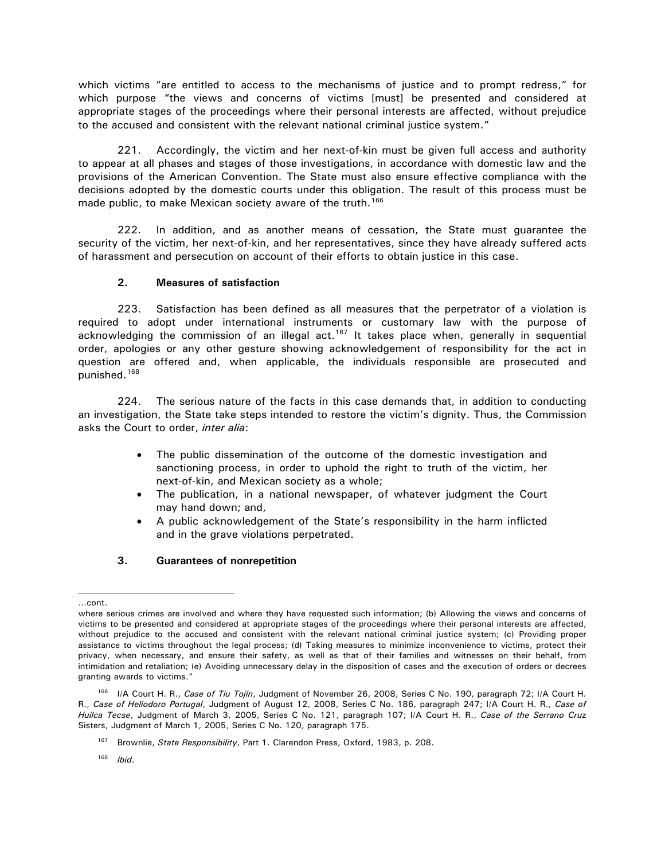<span id="page-49-0"></span>which victims "are entitled to access to the mechanisms of justice and to prompt redress," for which purpose "the views and concerns of victims [must] be presented and considered at appropriate stages of the proceedings where their personal interests are affected, without prejudice to the accused and consistent with the relevant national criminal justice system."

221. Accordingly, the victim and her next-of-kin must be given full access and authority to appear at all phases and stages of those investigations, in accordance with domestic law and the provisions of the American Convention. The State must also ensure effective compliance with the decisions adopted by the domestic courts under this obligation. The result of this process must be made public, to make Mexican society aware of the truth.<sup>[166](#page-49-1)</sup>

222. In addition, and as another means of cessation, the State must guarantee the security of the victim, her next-of-kin, and her representatives, since they have already suffered acts of harassment and persecution on account of their efforts to obtain justice in this case.

# **2. Measures of satisfaction**

223. Satisfaction has been defined as all measures that the perpetrator of a violation is required to adopt under international instruments or customary law with the purpose of acknowledging the commission of an illegal act.<sup>[167](#page-49-2)</sup> It takes place when, generally in sequential order, apologies or any other gesture showing acknowledgement of responsibility for the act in question are offered and, when applicable, the individuals responsible are prosecuted and punished.[168](#page-49-3)

224. The serious nature of the facts in this case demands that, in addition to conducting an investigation, the State take steps intended to restore the victim's dignity. Thus, the Commission asks the Court to order, *inter alia*:

- The public dissemination of the outcome of the domestic investigation and sanctioning process, in order to uphold the right to truth of the victim, her next-of-kin, and Mexican society as a whole;
- The publication, in a national newspaper, of whatever judgment the Court may hand down; and,
- A public acknowledgement of the State's responsibility in the harm inflicted and in the grave violations perpetrated.

# **3. Guarantees of nonrepetition**

<sup>…</sup>cont.

where serious crimes are involved and where they have requested such information; (b) Allowing the views and concerns of victims to be presented and considered at appropriate stages of the proceedings where their personal interests are affected, without prejudice to the accused and consistent with the relevant national criminal justice system; (c) Providing proper assistance to victims throughout the legal process; (d) Taking measures to minimize inconvenience to victims, protect their privacy, when necessary, and ensure their safety, as well as that of their families and witnesses on their behalf, from intimidation and retaliation; (e) Avoiding unnecessary delay in the disposition of cases and the execution of orders or decrees granting awards to victims."

<span id="page-49-2"></span><span id="page-49-1"></span><sup>166</sup> I/A Court H. R., *Case of Tiu Tojín*, Judgment of November 26, 2008, Series C No. 190, paragraph 72; I/A Court H. R., *Case of Heliodoro Portugal*, Judgment of August 12, 2008, Series C No. 186, paragraph 247; I/A Court H. R., *Case of Huilca Tecse*, Judgment of March 3, 2005, Series C No. 121, paragraph 107; I/A Court H. R., *Case of the Serrano Cru*z Sisters, Judgment of March 1, 2005, Series C No. 120, paragraph 175.

<sup>167</sup> Brownlie, *State Responsibility*, Part 1. Clarendon Press, Oxford, 1983, p. 208.

<span id="page-49-3"></span><sup>168</sup> *Ibid*.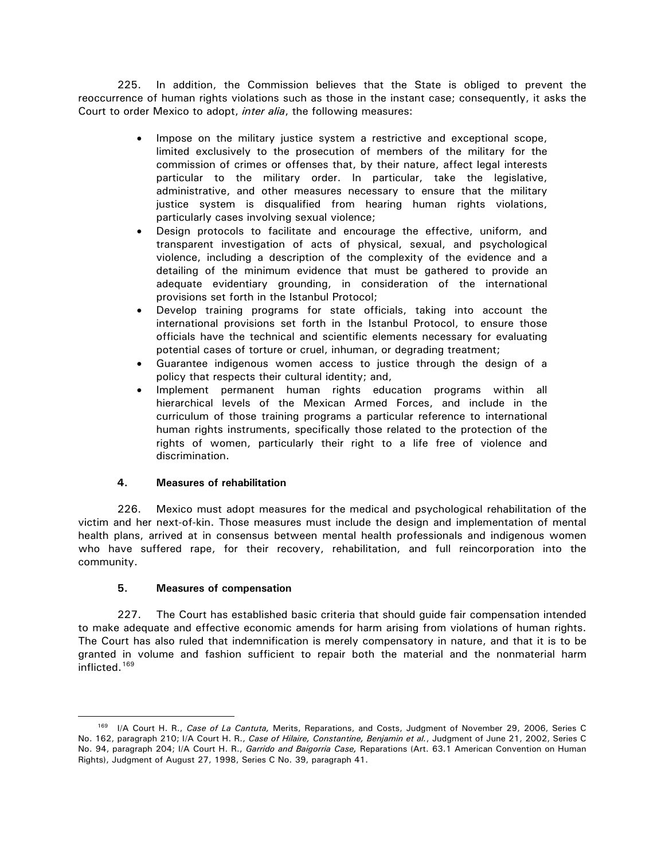<span id="page-50-0"></span>225. In addition, the Commission believes that the State is obliged to prevent the reoccurrence of human rights violations such as those in the instant case; consequently, it asks the Court to order Mexico to adopt, *inter alia*, the following measures:

- Impose on the military justice system a restrictive and exceptional scope, limited exclusively to the prosecution of members of the military for the commission of crimes or offenses that, by their nature, affect legal interests particular to the military order. In particular, take the legislative, administrative, and other measures necessary to ensure that the military justice system is disqualified from hearing human rights violations, particularly cases involving sexual violence;
- Design protocols to facilitate and encourage the effective, uniform, and transparent investigation of acts of physical, sexual, and psychological violence, including a description of the complexity of the evidence and a detailing of the minimum evidence that must be gathered to provide an adequate evidentiary grounding, in consideration of the international provisions set forth in the Istanbul Protocol;
- Develop training programs for state officials, taking into account the international provisions set forth in the Istanbul Protocol, to ensure those officials have the technical and scientific elements necessary for evaluating potential cases of torture or cruel, inhuman, or degrading treatment;
- Guarantee indigenous women access to justice through the design of a policy that respects their cultural identity; and,
- Implement permanent human rights education programs within all hierarchical levels of the Mexican Armed Forces, and include in the curriculum of those training programs a particular reference to international human rights instruments, specifically those related to the protection of the rights of women, particularly their right to a life free of violence and discrimination.

# **4. Measures of rehabilitation**

226. Mexico must adopt measures for the medical and psychological rehabilitation of the victim and her next-of-kin. Those measures must include the design and implementation of mental health plans, arrived at in consensus between mental health professionals and indigenous women who have suffered rape, for their recovery, rehabilitation, and full reincorporation into the community.

# **5. Measures of compensation**

 $\overline{a}$ 

227. The Court has established basic criteria that should guide fair compensation intended to make adequate and effective economic amends for harm arising from violations of human rights. The Court has also ruled that indemnification is merely compensatory in nature, and that it is to be granted in volume and fashion sufficient to repair both the material and the nonmaterial harm inflicted.<sup>169</sup>

<span id="page-50-1"></span><sup>169</sup> I/A Court H. R., *Case of La Cantuta,* Merits, Reparations, and Costs, Judgment of November 29, 2006, Series C No. 162, paragraph 210; I/A Court H. R., *Case of Hilaire, Constantine, Benjamin et al.*, Judgment of June 21, 2002, Series C No. 94, paragraph 204; I/A Court H. R., *Garrido and Baigorria Case,* Reparations (Art. 63.1 American Convention on Human Rights), Judgment of August 27, 1998, Series C No. 39, paragraph 41.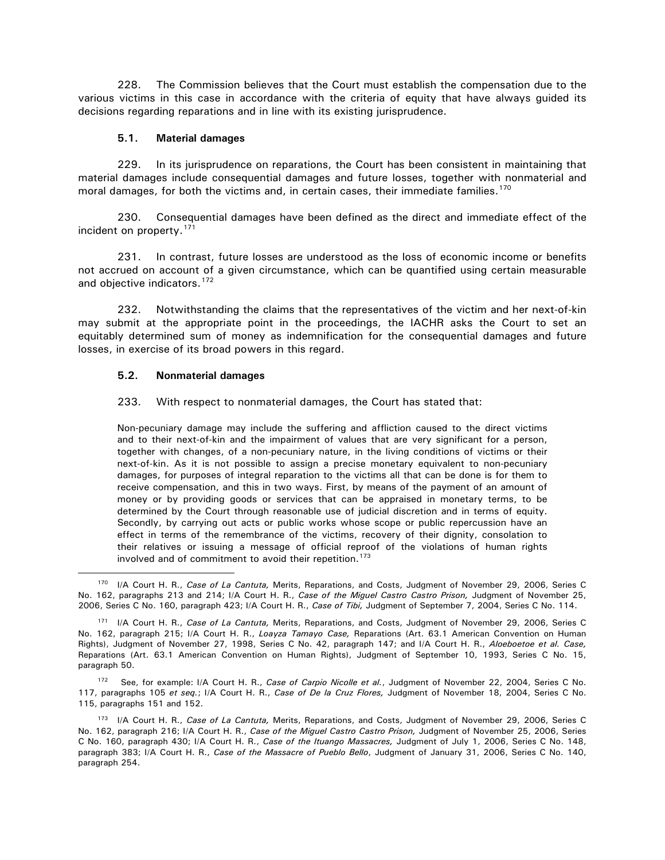<span id="page-51-0"></span>228. The Commission believes that the Court must establish the compensation due to the various victims in this case in accordance with the criteria of equity that have always guided its decisions regarding reparations and in line with its existing jurisprudence.

#### **5.1. Material damages**

229. In its jurisprudence on reparations, the Court has been consistent in maintaining that material damages include consequential damages and future losses, together with nonmaterial and moral damages, for both the victims and, in certain cases, their immediate families.<sup>[170](#page-51-1)</sup>

230. Consequential damages have been defined as the direct and immediate effect of the incident on property.[171](#page-51-2)

231. In contrast, future losses are understood as the loss of economic income or benefits not accrued on account of a given circumstance, which can be quantified using certain measurable and objective indicators.<sup>[172](#page-51-3)</sup>

232. Notwithstanding the claims that the representatives of the victim and her next-of-kin may submit at the appropriate point in the proceedings, the IACHR asks the Court to set an equitably determined sum of money as indemnification for the consequential damages and future losses, in exercise of its broad powers in this regard.

#### **5.2. Nonmaterial damages**

 $\overline{a}$ 

#### 233. With respect to nonmaterial damages, the Court has stated that:

Non-pecuniary damage may include the suffering and affliction caused to the direct victims and to their next-of-kin and the impairment of values that are very significant for a person, together with changes, of a non-pecuniary nature, in the living conditions of victims or their next-of-kin. As it is not possible to assign a precise monetary equivalent to non-pecuniary damages, for purposes of integral reparation to the victims all that can be done is for them to receive compensation, and this in two ways. First, by means of the payment of an amount of money or by providing goods or services that can be appraised in monetary terms, to be determined by the Court through reasonable use of judicial discretion and in terms of equity. Secondly, by carrying out acts or public works whose scope or public repercussion have an effect in terms of the remembrance of the victims, recovery of their dignity, consolation to their relatives or issuing a message of official reproof of the violations of human rights involved and of commitment to avoid their repetition.<sup>[173](#page-51-4)</sup>

<span id="page-51-3"></span>See, for example: I/A Court H. R., *Case of Carpio Nicolle et al.*, Judgment of November 22, 2004, Series C No. 117, paragraphs 105 *et seq.*; I/A Court H. R., *Case of De la Cruz Flores,* Judgment of November 18, 2004, Series C No. 115, paragraphs 151 and 152.

<span id="page-51-1"></span><sup>170</sup> I/A Court H. R., *Case of La Cantuta,* Merits, Reparations, and Costs, Judgment of November 29, 2006, Series C No. 162, paragraphs 213 and 214; I/A Court H. R., *Case of the Miguel Castro Castro Prison,* Judgment of November 25, 2006, Series C No. 160, paragraph 423; I/A Court H. R., *Case of Tibi,* Judgment of September 7, 2004, Series C No. 114.

<span id="page-51-2"></span><sup>171</sup> I/A Court H. R., *Case of La Cantuta,* Merits, Reparations, and Costs, Judgment of November 29, 2006, Series C No. 162, paragraph 215; I/A Court H. R., *Loayza Tamayo Case,* Reparations (Art. 63.1 American Convention on Human Rights), Judgment of November 27, 1998, Series C No. 42, paragraph 147; and I/A Court H. R., *Aloeboetoe et al. Case,*  Reparations (Art. 63.1 American Convention on Human Rights), Judgment of September 10, 1993, Series C No. 15, paragraph 50.

<span id="page-51-4"></span><sup>173</sup> I/A Court H. R., *Case of La Cantuta,* Merits, Reparations, and Costs, Judgment of November 29, 2006, Series C No. 162, paragraph 216; I/A Court H. R., *Case of the Miguel Castro Castro Prison,* Judgment of November 25, 2006, Series C No. 160, paragraph 430; I/A Court H. R., *Case of the Ituango Massacres,* Judgment of July 1, 2006, Series C No. 148, paragraph 383; I/A Court H. R., *Case of the Massacre of Pueblo Bello*, Judgment of January 31, 2006, Series C No. 140, paragraph 254.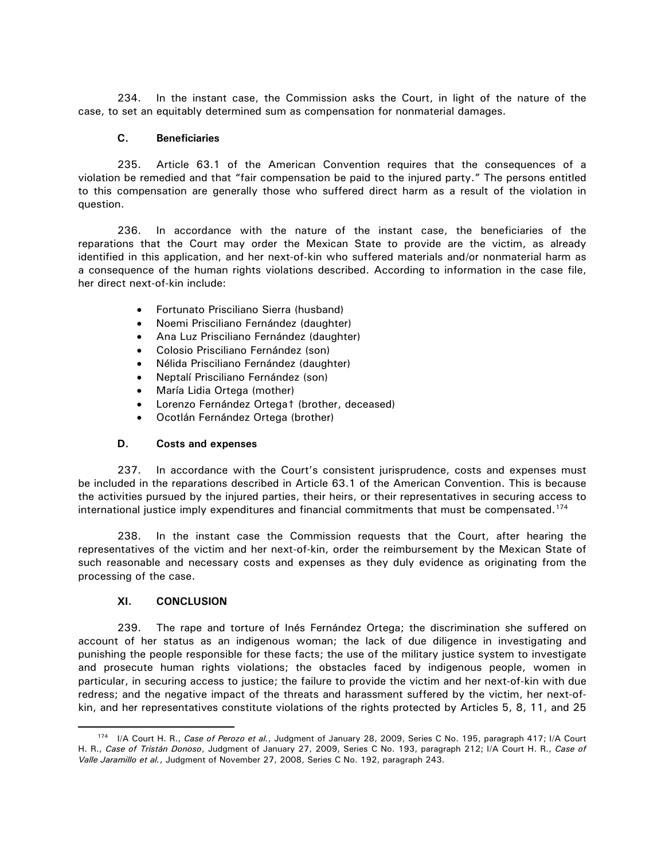<span id="page-52-0"></span>234. In the instant case, the Commission asks the Court, in light of the nature of the case, to set an equitably determined sum as compensation for nonmaterial damages.

#### **C. Beneficiaries**

235. Article 63.1 of the American Convention requires that the consequences of a violation be remedied and that "fair compensation be paid to the injured party." The persons entitled to this compensation are generally those who suffered direct harm as a result of the violation in question.

236. In accordance with the nature of the instant case, the beneficiaries of the reparations that the Court may order the Mexican State to provide are the victim, as already identified in this application, and her next-of-kin who suffered materials and/or nonmaterial harm as a consequence of the human rights violations described. According to information in the case file, her direct next-of-kin include:

- Fortunato Prisciliano Sierra (husband)
- Noemi Prisciliano Fernández (daughter)
- Ana Luz Prisciliano Fernández (daughter)
- Colosio Prisciliano Fernández (son)
- Nélida Prisciliano Fernández (daughter)
- Neptalí Prisciliano Fernández (son)
- María Lidia Ortega (mother)
- Lorenzo Fernández Ortega† (brother, deceased)
- Ocotlán Fernández Ortega (brother)

# **D. Costs and expenses**

237. In accordance with the Court's consistent jurisprudence, costs and expenses must be included in the reparations described in Article 63.1 of the American Convention. This is because the activities pursued by the injured parties, their heirs, or their representatives in securing access to international justice imply expenditures and financial commitments that must be compensated.<sup>[174](#page-52-1)</sup>

238. In the instant case the Commission requests that the Court, after hearing the representatives of the victim and her next-of-kin, order the reimbursement by the Mexican State of such reasonable and necessary costs and expenses as they duly evidence as originating from the processing of the case.

# **XI. CONCLUSION**

 $\overline{a}$ 

239. The rape and torture of Inés Fernández Ortega; the discrimination she suffered on account of her status as an indigenous woman; the lack of due diligence in investigating and punishing the people responsible for these facts; the use of the military justice system to investigate and prosecute human rights violations; the obstacles faced by indigenous people, women in particular, in securing access to justice; the failure to provide the victim and her next-of-kin with due redress; and the negative impact of the threats and harassment suffered by the victim, her next-ofkin, and her representatives constitute violations of the rights protected by Articles 5, 8, 11, and 25

<span id="page-52-1"></span><sup>174</sup> I/A Court H. R., *Case of Perozo et al.*, Judgment of January 28, 2009, Series C No. 195, paragraph 417; I/A Court H. R., *Case of Tristán Donoso*, Judgment of January 27, 2009, Series C No. 193, paragraph 212; I/A Court H. R., *Case of Valle Jaramillo et al.*, Judgment of November 27, 2008, Series C No. 192, paragraph 243.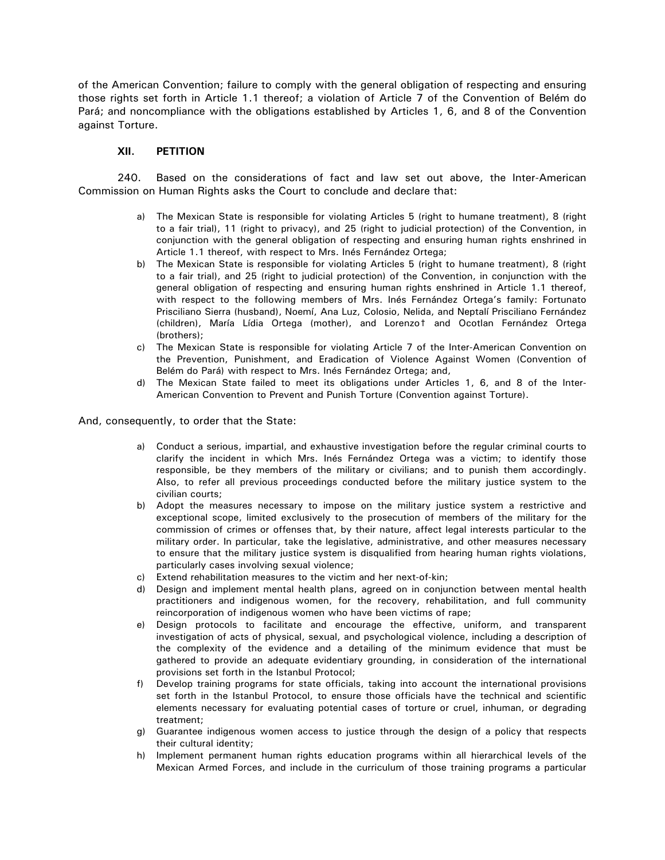<span id="page-53-0"></span>of the American Convention; failure to comply with the general obligation of respecting and ensuring those rights set forth in Article 1.1 thereof; a violation of Article 7 of the Convention of Belém do Pará; and noncompliance with the obligations established by Articles 1, 6, and 8 of the Convention against Torture.

#### **XII. PETITION**

240. Based on the considerations of fact and law set out above, the Inter-American Commission on Human Rights asks the Court to conclude and declare that:

- a) The Mexican State is responsible for violating Articles 5 (right to humane treatment), 8 (right to a fair trial), 11 (right to privacy), and 25 (right to judicial protection) of the Convention, in conjunction with the general obligation of respecting and ensuring human rights enshrined in Article 1.1 thereof, with respect to Mrs. Inés Fernández Ortega;
- b) The Mexican State is responsible for violating Articles 5 (right to humane treatment), 8 (right to a fair trial), and 25 (right to judicial protection) of the Convention, in conjunction with the general obligation of respecting and ensuring human rights enshrined in Article 1.1 thereof, with respect to the following members of Mrs. Inés Fernández Ortega's family: Fortunato Prisciliano Sierra (husband), Noemí, Ana Luz, Colosio, Nelida, and Neptalí Prisciliano Fernández (children), María Lídia Ortega (mother), and Lorenzo† and Ocotlan Fernández Ortega (brothers);
- c) The Mexican State is responsible for violating Article 7 of the Inter-American Convention on the Prevention, Punishment, and Eradication of Violence Against Women (Convention of Belém do Pará) with respect to Mrs. Inés Fernández Ortega; and,
- d) The Mexican State failed to meet its obligations under Articles 1, 6, and 8 of the Inter-American Convention to Prevent and Punish Torture (Convention against Torture).

And, consequently, to order that the State:

- a) Conduct a serious, impartial, and exhaustive investigation before the regular criminal courts to clarify the incident in which Mrs. Inés Fernández Ortega was a victim; to identify those responsible, be they members of the military or civilians; and to punish them accordingly. Also, to refer all previous proceedings conducted before the military justice system to the civilian courts;
- b) Adopt the measures necessary to impose on the military justice system a restrictive and exceptional scope, limited exclusively to the prosecution of members of the military for the commission of crimes or offenses that, by their nature, affect legal interests particular to the military order. In particular, take the legislative, administrative, and other measures necessary to ensure that the military justice system is disqualified from hearing human rights violations, particularly cases involving sexual violence;
- c) Extend rehabilitation measures to the victim and her next-of-kin;
- d) Design and implement mental health plans, agreed on in conjunction between mental health practitioners and indigenous women, for the recovery, rehabilitation, and full community reincorporation of indigenous women who have been victims of rape;
- e) Design protocols to facilitate and encourage the effective, uniform, and transparent investigation of acts of physical, sexual, and psychological violence, including a description of the complexity of the evidence and a detailing of the minimum evidence that must be gathered to provide an adequate evidentiary grounding, in consideration of the international provisions set forth in the Istanbul Protocol;
- f) Develop training programs for state officials, taking into account the international provisions set forth in the Istanbul Protocol, to ensure those officials have the technical and scientific elements necessary for evaluating potential cases of torture or cruel, inhuman, or degrading treatment;
- g) Guarantee indigenous women access to justice through the design of a policy that respects their cultural identity;
- h) Implement permanent human rights education programs within all hierarchical levels of the Mexican Armed Forces, and include in the curriculum of those training programs a particular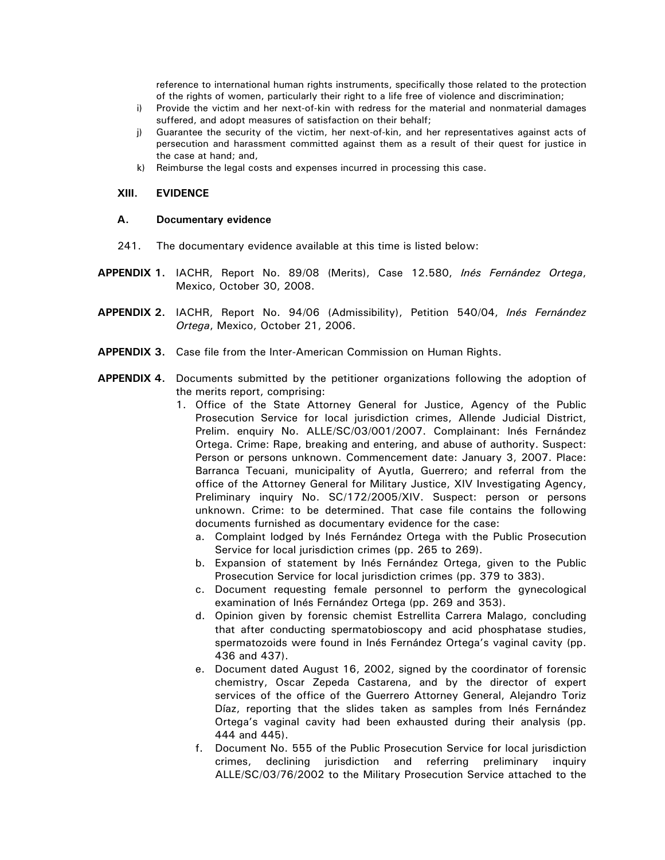reference to international human rights instruments, specifically those related to the protection of the rights of women, particularly their right to a life free of violence and discrimination;

- <span id="page-54-0"></span>i) Provide the victim and her next-of-kin with redress for the material and nonmaterial damages suffered, and adopt measures of satisfaction on their behalf;
- j) Guarantee the security of the victim, her next-of-kin, and her representatives against acts of persecution and harassment committed against them as a result of their quest for justice in the case at hand; and,
- k) Reimburse the legal costs and expenses incurred in processing this case.

#### **XIII. EVIDENCE**

#### **A. Documentary evidence**

- 241. The documentary evidence available at this time is listed below:
- **APPENDIX 1.** IACHR, Report No. 89/08 (Merits), Case 12.580, *Inés Fernández Ortega*, Mexico, October 30, 2008.
- **APPENDIX 2.** IACHR, Report No. 94/06 (Admissibility), Petition 540/04, *Inés Fernández Ortega*, Mexico, October 21, 2006.
- **APPENDIX 3.** Case file from the Inter-American Commission on Human Rights.
- **APPENDIX 4.** Documents submitted by the petitioner organizations following the adoption of the merits report, comprising:
	- 1. Office of the State Attorney General for Justice, Agency of the Public Prosecution Service for local jurisdiction crimes, Allende Judicial District, Prelim. enquiry No. ALLE/SC/03/001/2007. Complainant: Inés Fernández Ortega. Crime: Rape, breaking and entering, and abuse of authority. Suspect: Person or persons unknown. Commencement date: January 3, 2007. Place: Barranca Tecuani, municipality of Ayutla, Guerrero; and referral from the office of the Attorney General for Military Justice, XIV Investigating Agency, Preliminary inquiry No. SC/172/2005/XIV. Suspect: person or persons unknown. Crime: to be determined. That case file contains the following documents furnished as documentary evidence for the case:
		- a. Complaint lodged by Inés Fernández Ortega with the Public Prosecution Service for local jurisdiction crimes (pp. 265 to 269).
		- b. Expansion of statement by Inés Fernández Ortega, given to the Public Prosecution Service for local jurisdiction crimes (pp. 379 to 383).
		- c. Document requesting female personnel to perform the gynecological examination of Inés Fernández Ortega (pp. 269 and 353).
		- d. Opinion given by forensic chemist Estrellita Carrera Malago, concluding that after conducting spermatobioscopy and acid phosphatase studies, spermatozoids were found in Inés Fernández Ortega's vaginal cavity (pp. 436 and 437).
		- e. Document dated August 16, 2002, signed by the coordinator of forensic chemistry, Oscar Zepeda Castarena, and by the director of expert services of the office of the Guerrero Attorney General, Alejandro Toriz Díaz, reporting that the slides taken as samples from Inés Fernández Ortega's vaginal cavity had been exhausted during their analysis (pp. 444 and 445).
		- f. Document No. 555 of the Public Prosecution Service for local jurisdiction crimes, declining jurisdiction and referring preliminary inquiry ALLE/SC/03/76/2002 to the Military Prosecution Service attached to the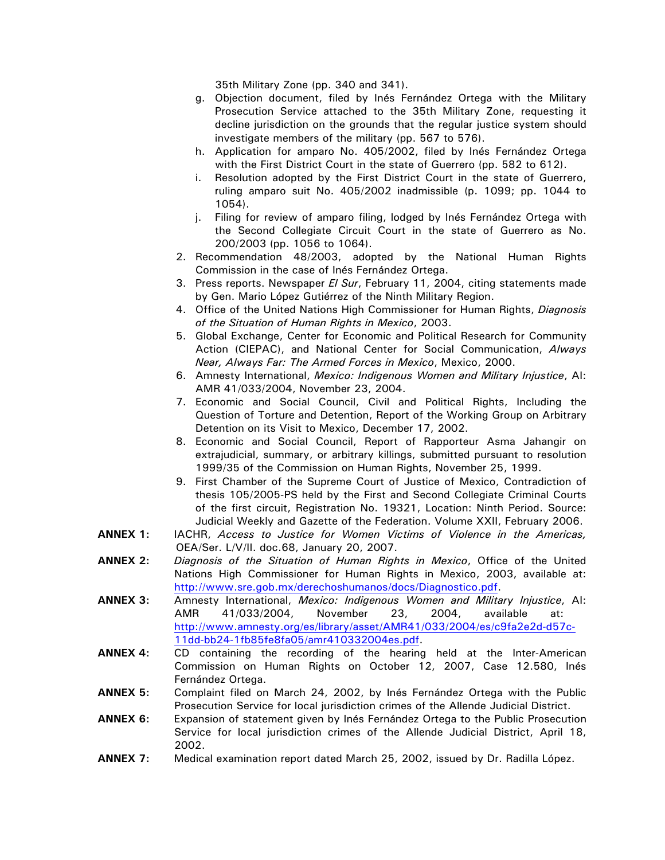35th Military Zone (pp. 340 and 341).

- g. Objection document, filed by Inés Fernández Ortega with the Military Prosecution Service attached to the 35th Military Zone, requesting it decline jurisdiction on the grounds that the regular justice system should investigate members of the military (pp. 567 to 576).
- h. Application for amparo No. 405/2002, filed by Inés Fernández Ortega with the First District Court in the state of Guerrero (pp. 582 to 612).
- i. Resolution adopted by the First District Court in the state of Guerrero, ruling amparo suit No. 405/2002 inadmissible (p. 1099; pp. 1044 to 1054).
- j. Filing for review of amparo filing, lodged by Inés Fernández Ortega with the Second Collegiate Circuit Court in the state of Guerrero as No. 200/2003 (pp. 1056 to 1064).
- 2. Recommendation 48/2003, adopted by the National Human Rights Commission in the case of Inés Fernández Ortega.
- 3. Press reports. Newspaper *El Sur*, February 11, 2004, citing statements made by Gen. Mario López Gutiérrez of the Ninth Military Region.
- 4. Office of the United Nations High Commissioner for Human Rights, *Diagnosis of the Situation of Human Rights in Mexico*, 2003.
- 5. Global Exchange, Center for Economic and Political Research for Community Action (CIEPAC), and National Center for Social Communication, *Always Near, Always Far: The Armed Forces in Mexico*, Mexico, 2000.
- 6. Amnesty International, *Mexico: Indigenous Women and Military Injustice*, AI: AMR 41/033/2004, November 23, 2004.
- 7. Economic and Social Council, Civil and Political Rights, Including the Question of Torture and Detention, Report of the Working Group on Arbitrary Detention on its Visit to Mexico, December 17, 2002.
- 8. Economic and Social Council, Report of Rapporteur Asma Jahangir on extrajudicial, summary, or arbitrary killings, submitted pursuant to resolution 1999/35 of the Commission on Human Rights, November 25, 1999.
- 9. First Chamber of the Supreme Court of Justice of Mexico, Contradiction of thesis 105/2005-PS held by the First and Second Collegiate Criminal Courts of the first circuit, Registration No. 19321, Location: Ninth Period. Source: Judicial Weekly and Gazette of the Federation. Volume XXII, February 2006.
- **ANNEX 1:** IACHR, *Access to Justice for Women Victims of Violence in the Americas,* OEA/Ser. L/V/II. doc.68, January 20, 2007.
- **ANNEX 2:** *Diagnosis of the Situation of Human Rights in Mexico*, Office of the United Nations High Commissioner for Human Rights in Mexico, 2003, available at: <http://www.sre.gob.mx/derechoshumanos/docs/Diagnostico.pdf>.
- **ANNEX 3:** Amnesty International, *Mexico: Indigenous Women and Military Injustice*, AI: AMR 41/033/2004, November 23, 2004, available at: [http://www.amnesty.org/es/library/asset/AMR41/033/2004/es/c9fa2e2d-d57c-](http://www.amnesty.org/es/library/asset/AMR41/033/2004/es/c9fa2e2d-d57c-11dd-bb24-1fb85fe8fa05/amr410332004es.pdf)[11dd-bb24-1fb85fe8fa05/amr410332004es.pdf](http://www.amnesty.org/es/library/asset/AMR41/033/2004/es/c9fa2e2d-d57c-11dd-bb24-1fb85fe8fa05/amr410332004es.pdf).
- **ANNEX 4:** CD containing the recording of the hearing held at the Inter-American Commission on Human Rights on October 12, 2007, Case 12.580, Inés Fernández Ortega.
- **ANNEX 5:** Complaint filed on March 24, 2002, by Inés Fernández Ortega with the Public Prosecution Service for local jurisdiction crimes of the Allende Judicial District.
- **ANNEX 6:** Expansion of statement given by Inés Fernández Ortega to the Public Prosecution Service for local jurisdiction crimes of the Allende Judicial District, April 18, 2002.
- **ANNEX 7:** Medical examination report dated March 25, 2002, issued by Dr. Radilla López.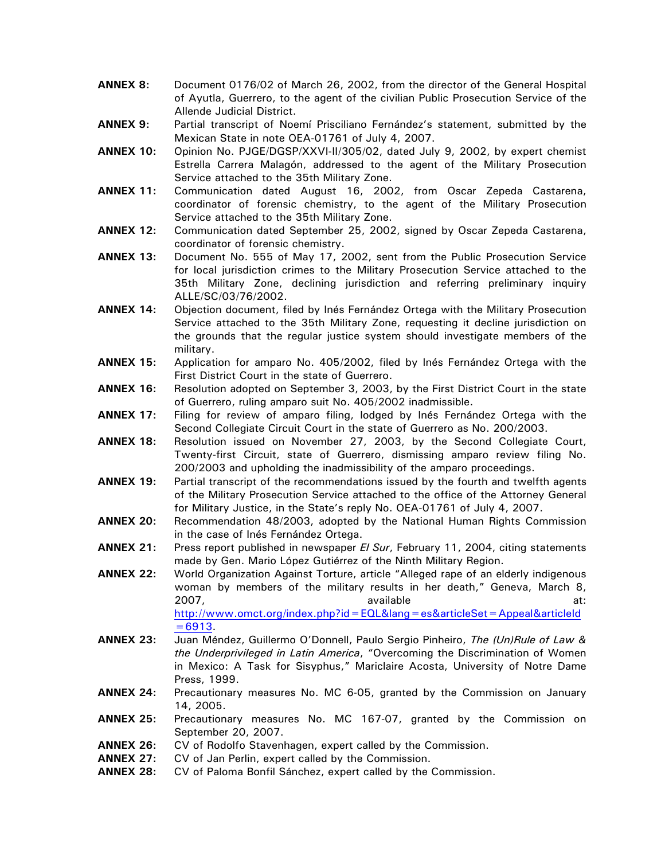- **ANNEX 8:** Document 0176/02 of March 26, 2002, from the director of the General Hospital of Ayutla, Guerrero, to the agent of the civilian Public Prosecution Service of the Allende Judicial District.
- **ANNEX 9:** Partial transcript of Noemí Prisciliano Fernández's statement, submitted by the Mexican State in note OEA-01761 of July 4, 2007.
- **ANNEX 10:** Opinion No. PJGE/DGSP/XXVI-II/305/02, dated July 9, 2002, by expert chemist Estrella Carrera Malagón, addressed to the agent of the Military Prosecution Service attached to the 35th Military Zone.
- **ANNEX 11:** Communication dated August 16, 2002, from Oscar Zepeda Castarena, coordinator of forensic chemistry, to the agent of the Military Prosecution Service attached to the 35th Military Zone.
- **ANNEX 12:** Communication dated September 25, 2002, signed by Oscar Zepeda Castarena, coordinator of forensic chemistry.
- **ANNEX 13:** Document No. 555 of May 17, 2002, sent from the Public Prosecution Service for local jurisdiction crimes to the Military Prosecution Service attached to the 35th Military Zone, declining jurisdiction and referring preliminary inquiry ALLE/SC/03/76/2002.
- **ANNEX 14:** Objection document, filed by Inés Fernández Ortega with the Military Prosecution Service attached to the 35th Military Zone, requesting it decline jurisdiction on the grounds that the regular justice system should investigate members of the military.
- **ANNEX 15:** Application for amparo No. 405/2002, filed by Inés Fernández Ortega with the First District Court in the state of Guerrero.
- **ANNEX 16:** Resolution adopted on September 3, 2003, by the First District Court in the state of Guerrero, ruling amparo suit No. 405/2002 inadmissible.
- **ANNEX 17:** Filing for review of amparo filing, lodged by Inés Fernández Ortega with the Second Collegiate Circuit Court in the state of Guerrero as No. 200/2003.
- **ANNEX 18:** Resolution issued on November 27, 2003, by the Second Collegiate Court, Twenty-first Circuit, state of Guerrero, dismissing amparo review filing No. 200/2003 and upholding the inadmissibility of the amparo proceedings.
- **ANNEX 19:** Partial transcript of the recommendations issued by the fourth and twelfth agents of the Military Prosecution Service attached to the office of the Attorney General for Military Justice, in the State's reply No. OEA-01761 of July 4, 2007.
- **ANNEX 20:** Recommendation 48/2003, adopted by the National Human Rights Commission in the case of Inés Fernández Ortega.
- **ANNEX 21:** Press report published in newspaper *El Sur*, February 11, 2004, citing statements made by Gen. Mario López Gutiérrez of the Ninth Military Region.
- **ANNEX 22:** World Organization Against Torture, article "Alleged rape of an elderly indigenous woman by members of the military results in her death," Geneva, March 8, 2007, available at: [http://www.omct.org/index.php?id=EQL&lang=es&articleSet=Appeal&articleId](http://www.omct.org/index.php?id=EQL&lang=es&articleSet=Appeal&articleId=6913)

 $=6913.$ **ANNEX 23:** Juan Méndez, Guillermo O'Donnell, Paulo Sergio Pinheiro, *The (Un)Rule of Law &* 

- *the Underprivileged in Latin America*, "Overcoming the Discrimination of Women in Mexico: A Task for Sisyphus," Mariclaire Acosta, University of Notre Dame Press, 1999.
- **ANNEX 24:** Precautionary measures No. MC 6-05, granted by the Commission on January 14, 2005.
- **ANNEX 25:** Precautionary measures No. MC 167-07, granted by the Commission on September 20, 2007.
- **ANNEX 26:** CV of Rodolfo Stavenhagen, expert called by the Commission.
- **ANNEX 27:** CV of Jan Perlin, expert called by the Commission.
- **ANNEX 28:** CV of Paloma Bonfil Sánchez, expert called by the Commission.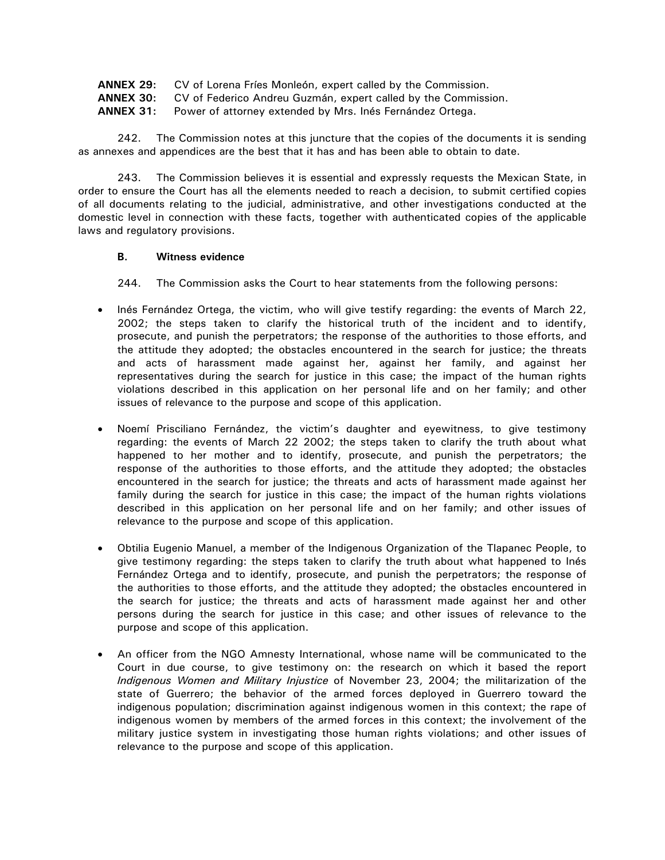<span id="page-57-0"></span>

| ANNEX 29:  | CV of Lorena Fríes Monleón, expert called by the Commission. |
|------------|--------------------------------------------------------------|
| ANINIEV OO |                                                              |

**ANNEX 30:** CV of Federico Andreu Guzmán, expert called by the Commission.

**ANNEX 31:** Power of attorney extended by Mrs. Inés Fernández Ortega.

242. The Commission notes at this juncture that the copies of the documents it is sending as annexes and appendices are the best that it has and has been able to obtain to date.

243. The Commission believes it is essential and expressly requests the Mexican State, in order to ensure the Court has all the elements needed to reach a decision, to submit certified copies of all documents relating to the judicial, administrative, and other investigations conducted at the domestic level in connection with these facts, together with authenticated copies of the applicable laws and regulatory provisions.

# **B. Witness evidence**

244. The Commission asks the Court to hear statements from the following persons:

- Inés Fernández Ortega, the victim, who will give testify regarding: the events of March 22, 2002; the steps taken to clarify the historical truth of the incident and to identify, prosecute, and punish the perpetrators; the response of the authorities to those efforts, and the attitude they adopted; the obstacles encountered in the search for justice; the threats and acts of harassment made against her, against her family, and against her representatives during the search for justice in this case; the impact of the human rights violations described in this application on her personal life and on her family; and other issues of relevance to the purpose and scope of this application.
- Noemí Prisciliano Fernández, the victim's daughter and eyewitness, to give testimony regarding: the events of March 22 2002; the steps taken to clarify the truth about what happened to her mother and to identify, prosecute, and punish the perpetrators; the response of the authorities to those efforts, and the attitude they adopted; the obstacles encountered in the search for justice; the threats and acts of harassment made against her family during the search for justice in this case; the impact of the human rights violations described in this application on her personal life and on her family; and other issues of relevance to the purpose and scope of this application.
- Obtilia Eugenio Manuel, a member of the Indigenous Organization of the Tlapanec People, to give testimony regarding: the steps taken to clarify the truth about what happened to Inés Fernández Ortega and to identify, prosecute, and punish the perpetrators; the response of the authorities to those efforts, and the attitude they adopted; the obstacles encountered in the search for justice; the threats and acts of harassment made against her and other persons during the search for justice in this case; and other issues of relevance to the purpose and scope of this application.
- An officer from the NGO Amnesty International, whose name will be communicated to the Court in due course, to give testimony on: the research on which it based the report *Indigenous Women and Military Injustice* of November 23, 2004; the militarization of the state of Guerrero; the behavior of the armed forces deployed in Guerrero toward the indigenous population; discrimination against indigenous women in this context; the rape of indigenous women by members of the armed forces in this context; the involvement of the military justice system in investigating those human rights violations; and other issues of relevance to the purpose and scope of this application.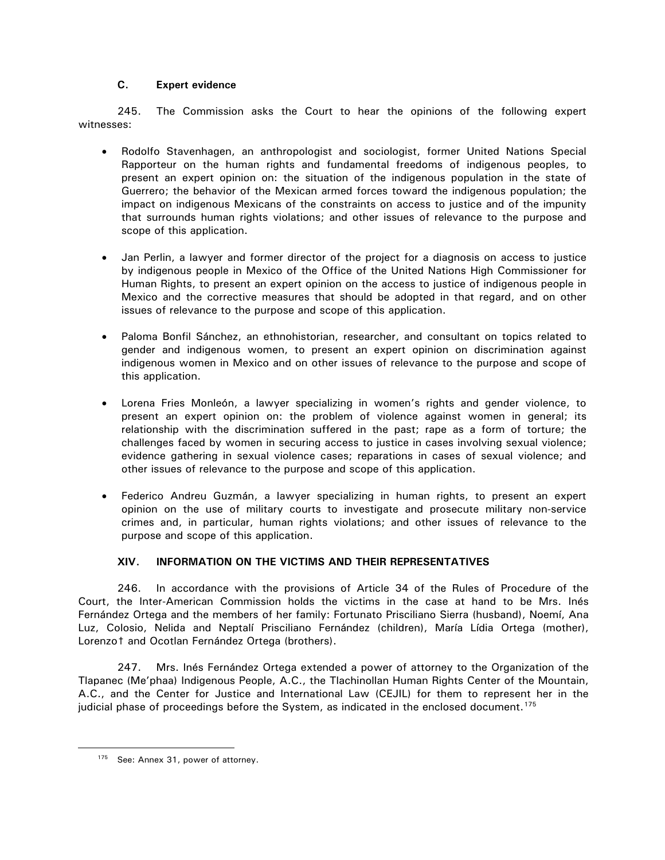# **C. Expert evidence**

<span id="page-58-0"></span>245. The Commission asks the Court to hear the opinions of the following expert witnesses:

- Rodolfo Stavenhagen, an anthropologist and sociologist, former United Nations Special Rapporteur on the human rights and fundamental freedoms of indigenous peoples, to present an expert opinion on: the situation of the indigenous population in the state of Guerrero; the behavior of the Mexican armed forces toward the indigenous population; the impact on indigenous Mexicans of the constraints on access to justice and of the impunity that surrounds human rights violations; and other issues of relevance to the purpose and scope of this application.
- Jan Perlin, a lawyer and former director of the project for a diagnosis on access to justice by indigenous people in Mexico of the Office of the United Nations High Commissioner for Human Rights, to present an expert opinion on the access to justice of indigenous people in Mexico and the corrective measures that should be adopted in that regard, and on other issues of relevance to the purpose and scope of this application.
- Paloma Bonfil Sánchez, an ethnohistorian, researcher, and consultant on topics related to gender and indigenous women, to present an expert opinion on discrimination against indigenous women in Mexico and on other issues of relevance to the purpose and scope of this application.
- Lorena Fries Monleón, a lawyer specializing in women's rights and gender violence, to present an expert opinion on: the problem of violence against women in general; its relationship with the discrimination suffered in the past; rape as a form of torture; the challenges faced by women in securing access to justice in cases involving sexual violence; evidence gathering in sexual violence cases; reparations in cases of sexual violence; and other issues of relevance to the purpose and scope of this application.
- Federico Andreu Guzmán, a lawyer specializing in human rights, to present an expert opinion on the use of military courts to investigate and prosecute military non-service crimes and, in particular, human rights violations; and other issues of relevance to the purpose and scope of this application.

# **XIV. INFORMATION ON THE VICTIMS AND THEIR REPRESENTATIVES**

246. In accordance with the provisions of Article 34 of the Rules of Procedure of the Court, the Inter-American Commission holds the victims in the case at hand to be Mrs. Inés Fernández Ortega and the members of her family: Fortunato Prisciliano Sierra (husband), Noemí, Ana Luz, Colosio, Nelida and Neptalí Prisciliano Fernández (children), María Lídia Ortega (mother), Lorenzot and Ocotlan Fernández Ortega (brothers).

247. Mrs. Inés Fernández Ortega extended a power of attorney to the Organization of the Tlapanec (Me'phaa) Indigenous People, A.C., the Tlachinollan Human Rights Center of the Mountain, A.C., and the Center for Justice and International Law (CEJIL) for them to represent her in the judicial phase of proceedings before the System, as indicated in the enclosed document.<sup>[175](#page-58-1)</sup>

<span id="page-58-1"></span><sup>175</sup> See: Annex 31, power of attorney.